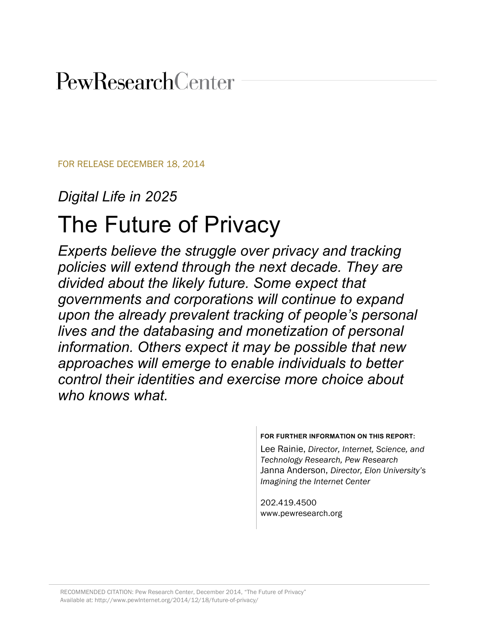# PewResearchCenter

FOR RELEASE DECEMBER 18, 2014

### *Digital Life in 2025*

# The Future of Privacy

*Experts believe the struggle over privacy and tracking policies will extend through the next decade. They are divided about the likely future. Some expect that governments and corporations will continue to expand upon the already prevalent tracking of people's personal lives and the databasing and monetization of personal information. Others expect it may be possible that new approaches will emerge to enable individuals to better control their identities and exercise more choice about who knows what.* 

**FOR FURTHER INFORMATION ON THIS REPORT:**

Lee Rainie, *Director, Internet, Science, and Technology Research, Pew Research* Janna Anderson, *Director, Elon University's Imagining the Internet Center*

202.419.4500 www.pewresearch.org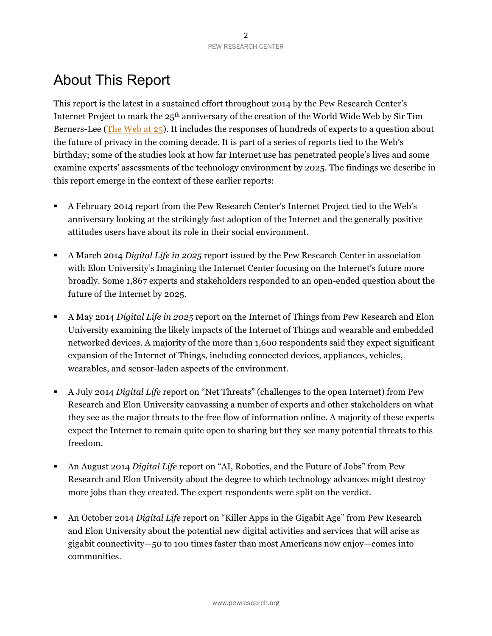# About This Report

This report is the latest in a sustained effort throughout 2014 by the Pew Research Center's Internet Project to mark the 25th anniversary of the creation of the World Wide Web by Sir Tim Berners-Lee (The Web at 25). It includes the responses of hundreds of experts to a question about the future of privacy in the coming decade. It is part of a series of reports tied to the Web's birthday; some of the studies look at how far Internet use has penetrated people's lives and some examine experts' assessments of the technology environment by 2025. The findings we describe in this report emerge in the context of these earlier reports:

- A February 2014 report from the Pew Research Center's Internet Project tied to the Web's anniversary looking at the strikingly fast adoption of the Internet and the generally positive attitudes users have about its role in their social environment.
- A March 2014 *Digital Life in 2025* report issued by the Pew Research Center in association with Elon University's Imagining the Internet Center focusing on the Internet's future more broadly. Some 1,867 experts and stakeholders responded to an open-ended question about the future of the Internet by 2025.
- A May 2014 *Digital Life in 2025* report on the Internet of Things from Pew Research and Elon University examining the likely impacts of the Internet of Things and wearable and embedded networked devices. A majority of the more than 1,600 respondents said they expect significant expansion of the Internet of Things, including connected devices, appliances, vehicles, wearables, and sensor-laden aspects of the environment.
- A July 2014 *Digital Life* report on "Net Threats" (challenges to the open Internet) from Pew Research and Elon University canvassing a number of experts and other stakeholders on what they see as the major threats to the free flow of information online. A majority of these experts expect the Internet to remain quite open to sharing but they see many potential threats to this freedom.
- An August 2014 *Digital Life* report on "AI, Robotics, and the Future of Jobs" from Pew Research and Elon University about the degree to which technology advances might destroy more jobs than they created. The expert respondents were split on the verdict.
- An October 2014 *Digital Life* report on "Killer Apps in the Gigabit Age" from Pew Research and Elon University about the potential new digital activities and services that will arise as gigabit connectivity—50 to 100 times faster than most Americans now enjoy—comes into communities.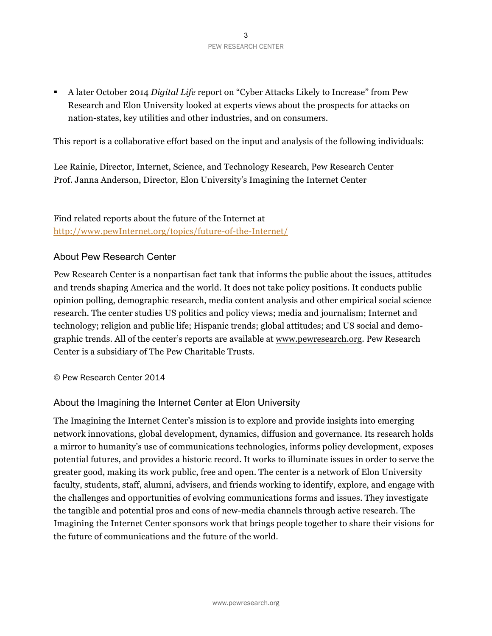A later October 2014 *Digital Life* report on "Cyber Attacks Likely to Increase" from Pew Research and Elon University looked at experts views about the prospects for attacks on nation-states, key utilities and other industries, and on consumers.

This report is a collaborative effort based on the input and analysis of the following individuals:

Lee Rainie, Director, Internet, Science, and Technology Research, Pew Research Center Prof. Janna Anderson, Director, Elon University's Imagining the Internet Center

### Find related reports about the future of the Internet at http://www.pewInternet.org/topics/future-of-the-Internet/

### About Pew Research Center

Pew Research Center is a nonpartisan fact tank that informs the public about the issues, attitudes and trends shaping America and the world. It does not take policy positions. It conducts public opinion polling, demographic research, media content analysis and other empirical social science research. The center studies US politics and policy views; media and journalism; Internet and technology; religion and public life; Hispanic trends; global attitudes; and US social and demographic trends. All of the center's reports are available at www.pewresearch.org. Pew Research Center is a subsidiary of The Pew Charitable Trusts.

© Pew Research Center 2014

### About the Imagining the Internet Center at Elon University

The Imagining the Internet Center's mission is to explore and provide insights into emerging network innovations, global development, dynamics, diffusion and governance. Its research holds a mirror to humanity's use of communications technologies, informs policy development, exposes potential futures, and provides a historic record. It works to illuminate issues in order to serve the greater good, making its work public, free and open. The center is a network of Elon University faculty, students, staff, alumni, advisers, and friends working to identify, explore, and engage with the challenges and opportunities of evolving communications forms and issues. They investigate the tangible and potential pros and cons of new-media channels through active research. The Imagining the Internet Center sponsors work that brings people together to share their visions for the future of communications and the future of the world.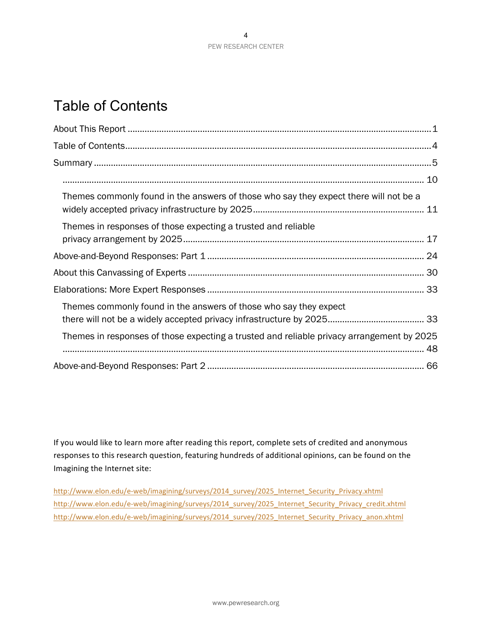## Table of Contents

| Themes commonly found in the answers of those who say they expect there will not be a     |
|-------------------------------------------------------------------------------------------|
| Themes in responses of those expecting a trusted and reliable                             |
|                                                                                           |
|                                                                                           |
|                                                                                           |
| Themes commonly found in the answers of those who say they expect                         |
| Themes in responses of those expecting a trusted and reliable privacy arrangement by 2025 |
|                                                                                           |

If you would like to learn more after reading this report, complete sets of credited and anonymous responses to this research question, featuring hundreds of additional opinions, can be found on the Imagining the Internet site:

http://www.elon.edu/e-web/imagining/surveys/2014\_survey/2025\_Internet\_Security\_Privacy.xhtml http://www.elon.edu/e-web/imagining/surveys/2014\_survey/2025\_Internet\_Security\_Privacy\_credit.xhtml http://www.elon.edu/e-web/imagining/surveys/2014\_survey/2025\_Internet\_Security\_Privacy\_anon.xhtml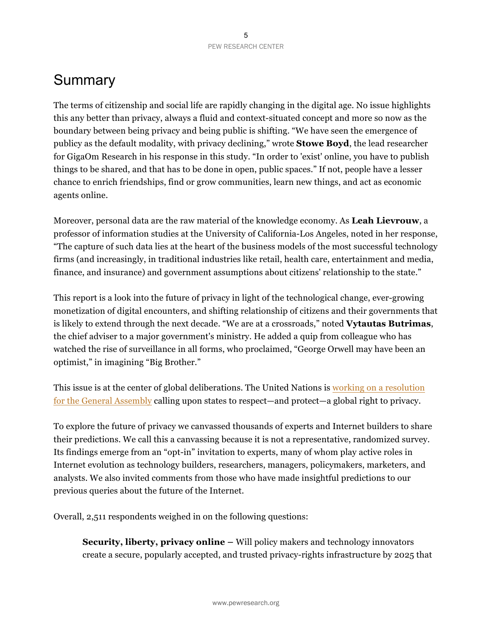### Summary

The terms of citizenship and social life are rapidly changing in the digital age. No issue highlights this any better than privacy, always a fluid and context-situated concept and more so now as the boundary between being privacy and being public is shifting. "We have seen the emergence of publicy as the default modality, with privacy declining," wrote **Stowe Boyd**, the lead researcher for GigaOm Research in his response in this study. "In order to 'exist' online, you have to publish things to be shared, and that has to be done in open, public spaces." If not, people have a lesser chance to enrich friendships, find or grow communities, learn new things, and act as economic agents online.

Moreover, personal data are the raw material of the knowledge economy. As **Leah Lievrouw**, a professor of information studies at the University of California-Los Angeles, noted in her response, "The capture of such data lies at the heart of the business models of the most successful technology firms (and increasingly, in traditional industries like retail, health care, entertainment and media, finance, and insurance) and government assumptions about citizens' relationship to the state."

This report is a look into the future of privacy in light of the technological change, ever-growing monetization of digital encounters, and shifting relationship of citizens and their governments that is likely to extend through the next decade. "We are at a crossroads," noted **Vytautas Butrimas**, the chief adviser to a major government's ministry. He added a quip from colleague who has watched the rise of surveillance in all forms, who proclaimed, "George Orwell may have been an optimist," in imagining "Big Brother."

This issue is at the center of global deliberations. The United Nations is working on a resolution for the General Assembly calling upon states to respect—and protect—a global right to privacy.

To explore the future of privacy we canvassed thousands of experts and Internet builders to share their predictions. We call this a canvassing because it is not a representative, randomized survey. Its findings emerge from an "opt-in" invitation to experts, many of whom play active roles in Internet evolution as technology builders, researchers, managers, policymakers, marketers, and analysts. We also invited comments from those who have made insightful predictions to our previous queries about the future of the Internet.

Overall, 2,511 respondents weighed in on the following questions:

**Security, liberty, privacy online –** Will policy makers and technology innovators create a secure, popularly accepted, and trusted privacy-rights infrastructure by 2025 that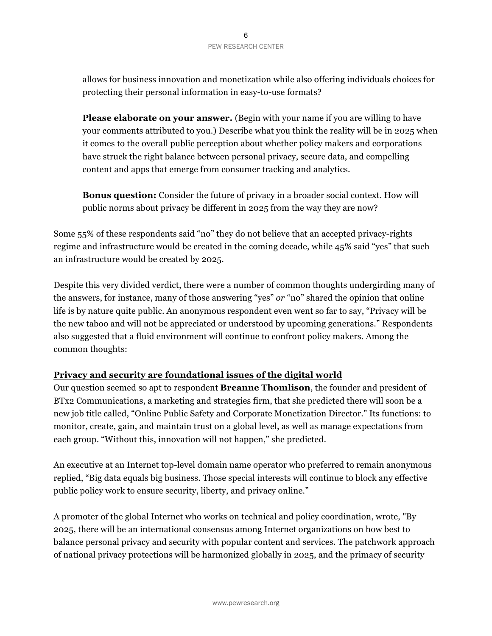#### 6 PEW RESEARCH CENTER

allows for business innovation and monetization while also offering individuals choices for protecting their personal information in easy-to-use formats?

**Please elaborate on your answer.** (Begin with your name if you are willing to have your comments attributed to you.) Describe what you think the reality will be in 2025 when it comes to the overall public perception about whether policy makers and corporations have struck the right balance between personal privacy, secure data, and compelling content and apps that emerge from consumer tracking and analytics.

**Bonus question:** Consider the future of privacy in a broader social context. How will public norms about privacy be different in 2025 from the way they are now?

Some 55% of these respondents said "no" they do not believe that an accepted privacy-rights regime and infrastructure would be created in the coming decade, while 45% said "yes" that such an infrastructure would be created by 2025.

Despite this very divided verdict, there were a number of common thoughts undergirding many of the answers, for instance, many of those answering "yes" *or* "no" shared the opinion that online life is by nature quite public. An anonymous respondent even went so far to say, "Privacy will be the new taboo and will not be appreciated or understood by upcoming generations." Respondents also suggested that a fluid environment will continue to confront policy makers. Among the common thoughts:

### **Privacy and security are foundational issues of the digital world**

Our question seemed so apt to respondent **Breanne Thomlison**, the founder and president of BTx2 Communications, a marketing and strategies firm, that she predicted there will soon be a new job title called, "Online Public Safety and Corporate Monetization Director." Its functions: to monitor, create, gain, and maintain trust on a global level, as well as manage expectations from each group. "Without this, innovation will not happen," she predicted.

An executive at an Internet top-level domain name operator who preferred to remain anonymous replied, "Big data equals big business. Those special interests will continue to block any effective public policy work to ensure security, liberty, and privacy online."

A promoter of the global Internet who works on technical and policy coordination, wrote, "By 2025, there will be an international consensus among Internet organizations on how best to balance personal privacy and security with popular content and services. The patchwork approach of national privacy protections will be harmonized globally in 2025, and the primacy of security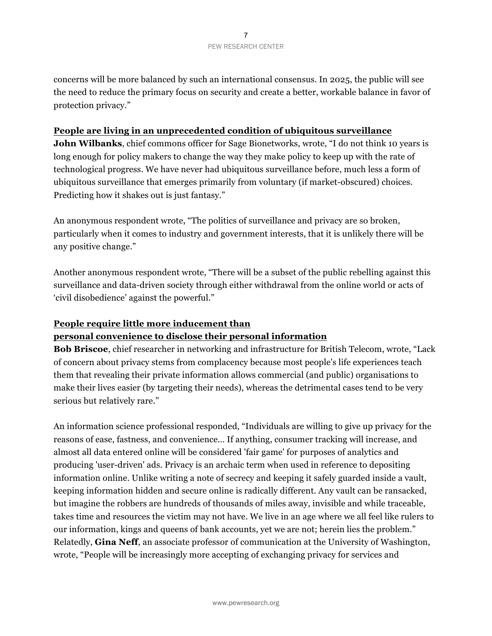concerns will be more balanced by such an international consensus. In 2025, the public will see the need to reduce the primary focus on security and create a better, workable balance in favor of protection privacy."

### **People are living in an unprecedented condition of ubiquitous surveillance**

**John Wilbanks**, chief commons officer for Sage Bionetworks, wrote, "I do not think 10 years is long enough for policy makers to change the way they make policy to keep up with the rate of technological progress. We have never had ubiquitous surveillance before, much less a form of ubiquitous surveillance that emerges primarily from voluntary (if market-obscured) choices. Predicting how it shakes out is just fantasy."

An anonymous respondent wrote, "The politics of surveillance and privacy are so broken, particularly when it comes to industry and government interests, that it is unlikely there will be any positive change."

Another anonymous respondent wrote, "There will be a subset of the public rebelling against this surveillance and data-driven society through either withdrawal from the online world or acts of 'civil disobedience' against the powerful."

#### **People require little more inducement than**

### **personal convenience to disclose their personal information**

**Bob Briscoe**, chief researcher in networking and infrastructure for British Telecom, wrote, "Lack of concern about privacy stems from complacency because most people's life experiences teach them that revealing their private information allows commercial (and public) organisations to make their lives easier (by targeting their needs), whereas the detrimental cases tend to be very serious but relatively rare."

An information science professional responded, "Individuals are willing to give up privacy for the reasons of ease, fastness, and convenience… If anything, consumer tracking will increase, and almost all data entered online will be considered 'fair game' for purposes of analytics and producing 'user-driven' ads. Privacy is an archaic term when used in reference to depositing information online. Unlike writing a note of secrecy and keeping it safely guarded inside a vault, keeping information hidden and secure online is radically different. Any vault can be ransacked, but imagine the robbers are hundreds of thousands of miles away, invisible and while traceable, takes time and resources the victim may not have. We live in an age where we all feel like rulers to our information, kings and queens of bank accounts, yet we are not; herein lies the problem." Relatedly, **Gina Neff**, an associate professor of communication at the University of Washington, wrote, "People will be increasingly more accepting of exchanging privacy for services and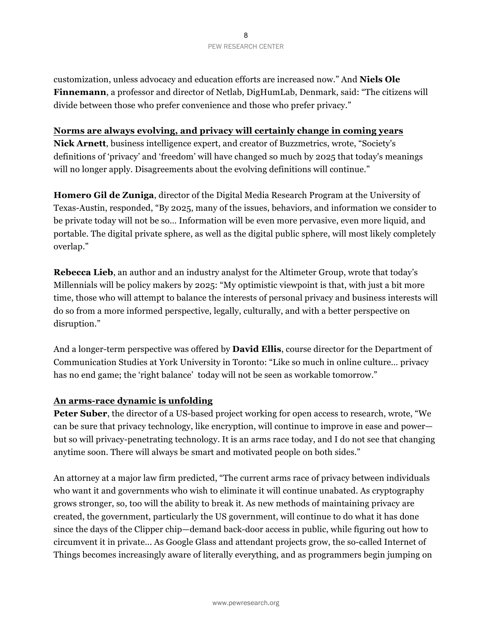customization, unless advocacy and education efforts are increased now." And **Niels Ole Finnemann**, a professor and director of Netlab, DigHumLab, Denmark, said: "The citizens will divide between those who prefer convenience and those who prefer privacy."

#### **Norms are always evolving, and privacy will certainly change in coming years**

**Nick Arnett**, business intelligence expert, and creator of Buzzmetrics, wrote, "Society's definitions of 'privacy' and 'freedom' will have changed so much by 2025 that today's meanings will no longer apply. Disagreements about the evolving definitions will continue."

**Homero Gil de Zuniga**, director of the Digital Media Research Program at the University of Texas-Austin, responded, "By 2025, many of the issues, behaviors, and information we consider to be private today will not be so… Information will be even more pervasive, even more liquid, and portable. The digital private sphere, as well as the digital public sphere, will most likely completely overlap."

**Rebecca Lieb**, an author and an industry analyst for the Altimeter Group, wrote that today's Millennials will be policy makers by 2025: "My optimistic viewpoint is that, with just a bit more time, those who will attempt to balance the interests of personal privacy and business interests will do so from a more informed perspective, legally, culturally, and with a better perspective on disruption."

And a longer-term perspective was offered by **David Ellis**, course director for the Department of Communication Studies at York University in Toronto: "Like so much in online culture… privacy has no end game; the 'right balance' today will not be seen as workable tomorrow."

### **An arms-race dynamic is unfolding**

**Peter Suber**, the director of a US-based project working for open access to research, wrote, "We can be sure that privacy technology, like encryption, will continue to improve in ease and power but so will privacy-penetrating technology. It is an arms race today, and I do not see that changing anytime soon. There will always be smart and motivated people on both sides."

An attorney at a major law firm predicted, "The current arms race of privacy between individuals who want it and governments who wish to eliminate it will continue unabated. As cryptography grows stronger, so, too will the ability to break it. As new methods of maintaining privacy are created, the government, particularly the US government, will continue to do what it has done since the days of the Clipper chip—demand back-door access in public, while figuring out how to circumvent it in private... As Google Glass and attendant projects grow, the so-called Internet of Things becomes increasingly aware of literally everything, and as programmers begin jumping on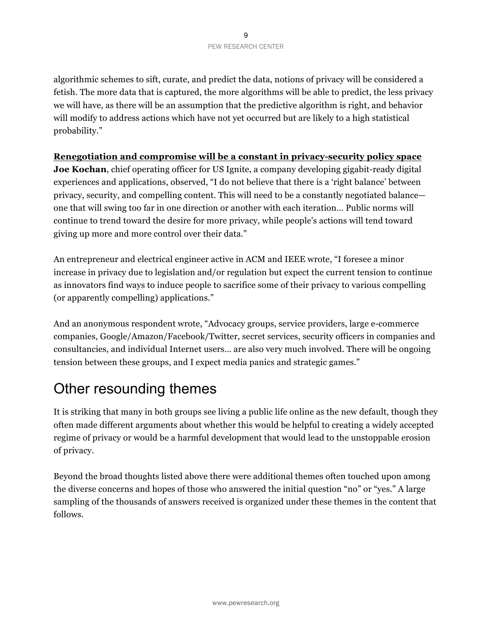algorithmic schemes to sift, curate, and predict the data, notions of privacy will be considered a fetish. The more data that is captured, the more algorithms will be able to predict, the less privacy we will have, as there will be an assumption that the predictive algorithm is right, and behavior will modify to address actions which have not yet occurred but are likely to a high statistical probability."

### **Renegotiation and compromise will be a constant in privacy-security policy space**

**Joe Kochan**, chief operating officer for US Ignite, a company developing gigabit-ready digital experiences and applications, observed, "I do not believe that there is a 'right balance' between privacy, security, and compelling content. This will need to be a constantly negotiated balance one that will swing too far in one direction or another with each iteration… Public norms will continue to trend toward the desire for more privacy, while people's actions will tend toward giving up more and more control over their data."

An entrepreneur and electrical engineer active in ACM and IEEE wrote, "I foresee a minor increase in privacy due to legislation and/or regulation but expect the current tension to continue as innovators find ways to induce people to sacrifice some of their privacy to various compelling (or apparently compelling) applications."

And an anonymous respondent wrote, "Advocacy groups, service providers, large e-commerce companies, Google/Amazon/Facebook/Twitter, secret services, security officers in companies and consultancies, and individual Internet users… are also very much involved. There will be ongoing tension between these groups, and I expect media panics and strategic games."

### Other resounding themes

It is striking that many in both groups see living a public life online as the new default, though they often made different arguments about whether this would be helpful to creating a widely accepted regime of privacy or would be a harmful development that would lead to the unstoppable erosion of privacy.

Beyond the broad thoughts listed above there were additional themes often touched upon among the diverse concerns and hopes of those who answered the initial question "no" or "yes." A large sampling of the thousands of answers received is organized under these themes in the content that follows.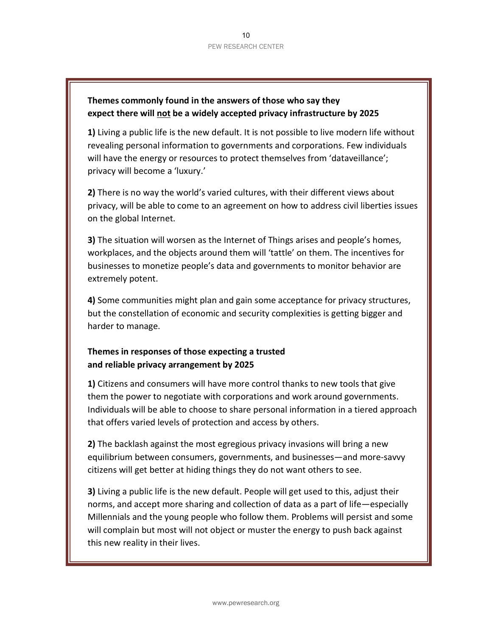### **Themes commonly found in the answers of those who say they** expect there will not be a widely accepted privacy infrastructure by 2025

1) Living a public life is the new default. It is not possible to live modern life without revealing personal information to governments and corporations. Few individuals will have the energy or resources to protect themselves from 'dataveillance'; privacy will become a 'luxury.'

**2)** There is no way the world's varied cultures, with their different views about privacy, will be able to come to an agreement on how to address civil liberties issues on the global Internet.

**3)** The situation will worsen as the Internet of Things arises and people's homes, workplaces, and the objects around them will 'tattle' on them. The incentives for businesses to monetize people's data and governments to monitor behavior are extremely potent.

**4)** Some communities might plan and gain some acceptance for privacy structures, but the constellation of economic and security complexities is getting bigger and harder to manage.

### Themes in responses of those expecting a trusted and reliable privacy arrangement by 2025

**1)** Citizens and consumers will have more control thanks to new tools that give them the power to negotiate with corporations and work around governments. Individuals will be able to choose to share personal information in a tiered approach that offers varied levels of protection and access by others.

**2)** The backlash against the most egregious privacy invasions will bring a new equilibrium between consumers, governments, and businesses—and more-savvy citizens will get better at hiding things they do not want others to see.

**3)** Living a public life is the new default. People will get used to this, adjust their norms, and accept more sharing and collection of data as a part of life—especially Millennials and the young people who follow them. Problems will persist and some will complain but most will not object or muster the energy to push back against this new reality in their lives.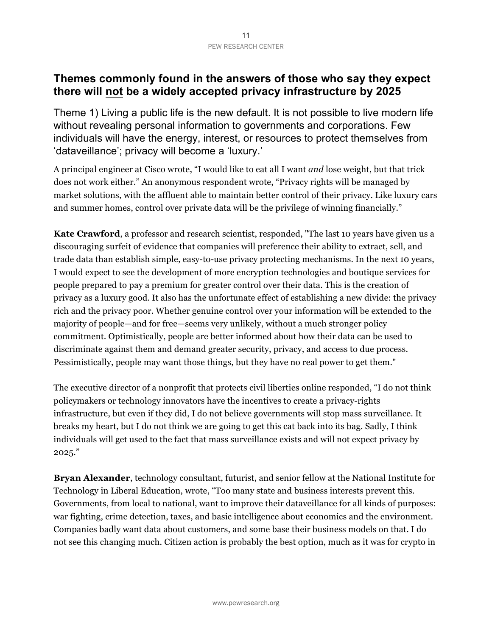### **Themes commonly found in the answers of those who say they expect there will not be a widely accepted privacy infrastructure by 2025**

Theme 1) Living a public life is the new default. It is not possible to live modern life without revealing personal information to governments and corporations. Few individuals will have the energy, interest, or resources to protect themselves from 'dataveillance'; privacy will become a 'luxury.'

A principal engineer at Cisco wrote, "I would like to eat all I want *and* lose weight, but that trick does not work either." An anonymous respondent wrote, "Privacy rights will be managed by market solutions, with the affluent able to maintain better control of their privacy. Like luxury cars and summer homes, control over private data will be the privilege of winning financially."

**Kate Crawford**, a professor and research scientist, responded, "The last 10 years have given us a discouraging surfeit of evidence that companies will preference their ability to extract, sell, and trade data than establish simple, easy-to-use privacy protecting mechanisms. In the next 10 years, I would expect to see the development of more encryption technologies and boutique services for people prepared to pay a premium for greater control over their data. This is the creation of privacy as a luxury good. It also has the unfortunate effect of establishing a new divide: the privacy rich and the privacy poor. Whether genuine control over your information will be extended to the majority of people—and for free—seems very unlikely, without a much stronger policy commitment. Optimistically, people are better informed about how their data can be used to discriminate against them and demand greater security, privacy, and access to due process. Pessimistically, people may want those things, but they have no real power to get them."

The executive director of a nonprofit that protects civil liberties online responded, "I do not think policymakers or technology innovators have the incentives to create a privacy-rights infrastructure, but even if they did, I do not believe governments will stop mass surveillance. It breaks my heart, but I do not think we are going to get this cat back into its bag. Sadly, I think individuals will get used to the fact that mass surveillance exists and will not expect privacy by 2025."

**Bryan Alexander**, technology consultant, futurist, and senior fellow at the National Institute for Technology in Liberal Education, wrote, "Too many state and business interests prevent this. Governments, from local to national, want to improve their dataveillance for all kinds of purposes: war fighting, crime detection, taxes, and basic intelligence about economics and the environment. Companies badly want data about customers, and some base their business models on that. I do not see this changing much. Citizen action is probably the best option, much as it was for crypto in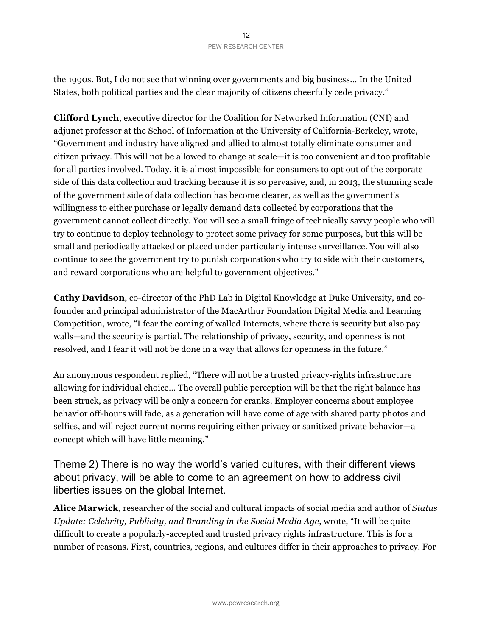the 1990s. But, I do not see that winning over governments and big business… In the United States, both political parties and the clear majority of citizens cheerfully cede privacy."

**Clifford Lynch**, executive director for the Coalition for Networked Information (CNI) and adjunct professor at the School of Information at the University of California-Berkeley, wrote, "Government and industry have aligned and allied to almost totally eliminate consumer and citizen privacy. This will not be allowed to change at scale—it is too convenient and too profitable for all parties involved. Today, it is almost impossible for consumers to opt out of the corporate side of this data collection and tracking because it is so pervasive, and, in 2013, the stunning scale of the government side of data collection has become clearer, as well as the government's willingness to either purchase or legally demand data collected by corporations that the government cannot collect directly. You will see a small fringe of technically savvy people who will try to continue to deploy technology to protect some privacy for some purposes, but this will be small and periodically attacked or placed under particularly intense surveillance. You will also continue to see the government try to punish corporations who try to side with their customers, and reward corporations who are helpful to government objectives."

**Cathy Davidson**, co-director of the PhD Lab in Digital Knowledge at Duke University, and cofounder and principal administrator of the MacArthur Foundation Digital Media and Learning Competition, wrote, "I fear the coming of walled Internets, where there is security but also pay walls—and the security is partial. The relationship of privacy, security, and openness is not resolved, and I fear it will not be done in a way that allows for openness in the future."

An anonymous respondent replied, "There will not be a trusted privacy-rights infrastructure allowing for individual choice… The overall public perception will be that the right balance has been struck, as privacy will be only a concern for cranks. Employer concerns about employee behavior off-hours will fade, as a generation will have come of age with shared party photos and selfies, and will reject current norms requiring either privacy or sanitized private behavior—a concept which will have little meaning."

Theme 2) There is no way the world's varied cultures, with their different views about privacy, will be able to come to an agreement on how to address civil liberties issues on the global Internet.

**Alice Marwick**, researcher of the social and cultural impacts of social media and author of *Status Update: Celebrity, Publicity, and Branding in the Social Media Age*, wrote, "It will be quite difficult to create a popularly-accepted and trusted privacy rights infrastructure. This is for a number of reasons. First, countries, regions, and cultures differ in their approaches to privacy. For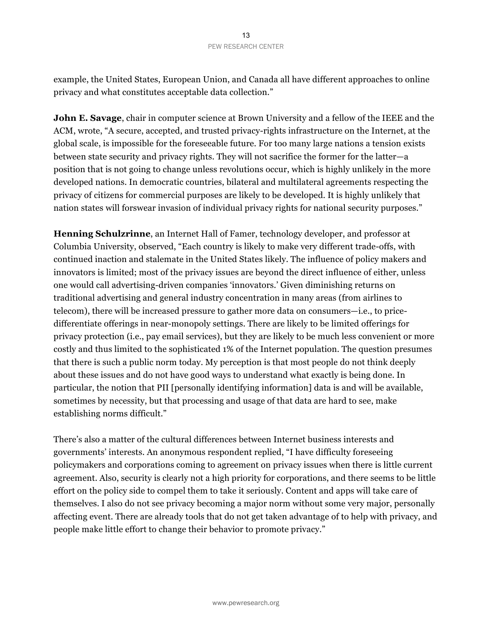example, the United States, European Union, and Canada all have different approaches to online privacy and what constitutes acceptable data collection."

**John E. Savage**, chair in computer science at Brown University and a fellow of the IEEE and the ACM, wrote, "A secure, accepted, and trusted privacy-rights infrastructure on the Internet, at the global scale, is impossible for the foreseeable future. For too many large nations a tension exists between state security and privacy rights. They will not sacrifice the former for the latter—a position that is not going to change unless revolutions occur, which is highly unlikely in the more developed nations. In democratic countries, bilateral and multilateral agreements respecting the privacy of citizens for commercial purposes are likely to be developed. It is highly unlikely that nation states will forswear invasion of individual privacy rights for national security purposes."

**Henning Schulzrinne**, an Internet Hall of Famer, technology developer, and professor at Columbia University, observed, "Each country is likely to make very different trade-offs, with continued inaction and stalemate in the United States likely. The influence of policy makers and innovators is limited; most of the privacy issues are beyond the direct influence of either, unless one would call advertising-driven companies 'innovators.' Given diminishing returns on traditional advertising and general industry concentration in many areas (from airlines to telecom), there will be increased pressure to gather more data on consumers—i.e., to pricedifferentiate offerings in near-monopoly settings. There are likely to be limited offerings for privacy protection (i.e., pay email services), but they are likely to be much less convenient or more costly and thus limited to the sophisticated 1% of the Internet population. The question presumes that there is such a public norm today. My perception is that most people do not think deeply about these issues and do not have good ways to understand what exactly is being done. In particular, the notion that PII [personally identifying information] data is and will be available, sometimes by necessity, but that processing and usage of that data are hard to see, make establishing norms difficult."

There's also a matter of the cultural differences between Internet business interests and governments' interests. An anonymous respondent replied, "I have difficulty foreseeing policymakers and corporations coming to agreement on privacy issues when there is little current agreement. Also, security is clearly not a high priority for corporations, and there seems to be little effort on the policy side to compel them to take it seriously. Content and apps will take care of themselves. I also do not see privacy becoming a major norm without some very major, personally affecting event. There are already tools that do not get taken advantage of to help with privacy, and people make little effort to change their behavior to promote privacy."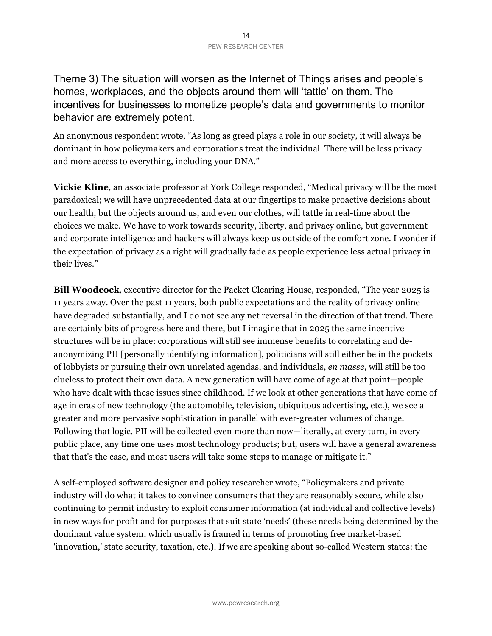Theme 3) The situation will worsen as the Internet of Things arises and people's homes, workplaces, and the objects around them will 'tattle' on them. The incentives for businesses to monetize people's data and governments to monitor behavior are extremely potent.

An anonymous respondent wrote, "As long as greed plays a role in our society, it will always be dominant in how policymakers and corporations treat the individual. There will be less privacy and more access to everything, including your DNA."

**Vickie Kline**, an associate professor at York College responded, "Medical privacy will be the most paradoxical; we will have unprecedented data at our fingertips to make proactive decisions about our health, but the objects around us, and even our clothes, will tattle in real-time about the choices we make. We have to work towards security, liberty, and privacy online, but government and corporate intelligence and hackers will always keep us outside of the comfort zone. I wonder if the expectation of privacy as a right will gradually fade as people experience less actual privacy in their lives."

**Bill Woodcock**, executive director for the Packet Clearing House, responded, "The year 2025 is 11 years away. Over the past 11 years, both public expectations and the reality of privacy online have degraded substantially, and I do not see any net reversal in the direction of that trend. There are certainly bits of progress here and there, but I imagine that in 2025 the same incentive structures will be in place: corporations will still see immense benefits to correlating and deanonymizing PII [personally identifying information], politicians will still either be in the pockets of lobbyists or pursuing their own unrelated agendas, and individuals, *en masse*, will still be too clueless to protect their own data. A new generation will have come of age at that point—people who have dealt with these issues since childhood. If we look at other generations that have come of age in eras of new technology (the automobile, television, ubiquitous advertising, etc.), we see a greater and more pervasive sophistication in parallel with ever-greater volumes of change. Following that logic, PII will be collected even more than now—literally, at every turn, in every public place, any time one uses most technology products; but, users will have a general awareness that that's the case, and most users will take some steps to manage or mitigate it."

A self-employed software designer and policy researcher wrote, "Policymakers and private industry will do what it takes to convince consumers that they are reasonably secure, while also continuing to permit industry to exploit consumer information (at individual and collective levels) in new ways for profit and for purposes that suit state 'needs' (these needs being determined by the dominant value system, which usually is framed in terms of promoting free market-based 'innovation,' state security, taxation, etc.). If we are speaking about so-called Western states: the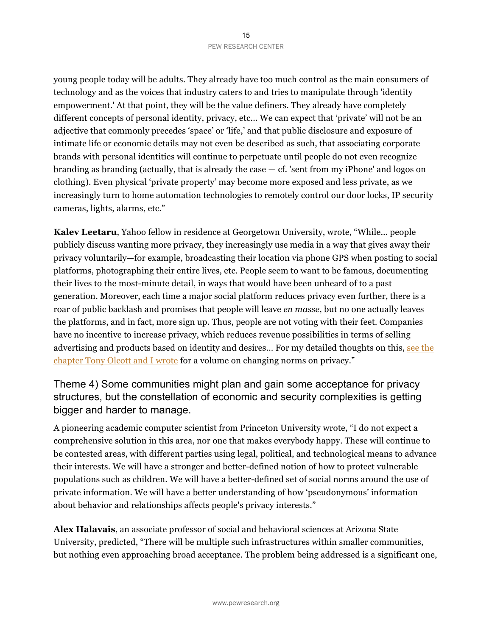young people today will be adults. They already have too much control as the main consumers of technology and as the voices that industry caters to and tries to manipulate through 'identity empowerment.' At that point, they will be the value definers. They already have completely different concepts of personal identity, privacy, etc... We can expect that 'private' will not be an adjective that commonly precedes 'space' or 'life,' and that public disclosure and exposure of intimate life or economic details may not even be described as such, that associating corporate brands with personal identities will continue to perpetuate until people do not even recognize branding as branding (actually, that is already the case  $-$  cf. 'sent from my iPhone' and logos on clothing). Even physical 'private property' may become more exposed and less private, as we increasingly turn to home automation technologies to remotely control our door locks, IP security cameras, lights, alarms, etc."

**Kalev Leetaru**, Yahoo fellow in residence at Georgetown University, wrote, "While… people publicly discuss wanting more privacy, they increasingly use media in a way that gives away their privacy voluntarily—for example, broadcasting their location via phone GPS when posting to social platforms, photographing their entire lives, etc. People seem to want to be famous, documenting their lives to the most-minute detail, in ways that would have been unheard of to a past generation. Moreover, each time a major social platform reduces privacy even further, there is a roar of public backlash and promises that people will leave *en masse*, but no one actually leaves the platforms, and in fact, more sign up. Thus, people are not voting with their feet. Companies have no incentive to increase privacy, which reduces revenue possibilities in terms of selling advertising and products based on identity and desires… For my detailed thoughts on this, see the chapter Tony Olcott and I wrote for a volume on changing norms on privacy."

### Theme 4) Some communities might plan and gain some acceptance for privacy structures, but the constellation of economic and security complexities is getting bigger and harder to manage.

A pioneering academic computer scientist from Princeton University wrote, "I do not expect a comprehensive solution in this area, nor one that makes everybody happy. These will continue to be contested areas, with different parties using legal, political, and technological means to advance their interests. We will have a stronger and better-defined notion of how to protect vulnerable populations such as children. We will have a better-defined set of social norms around the use of private information. We will have a better understanding of how 'pseudonymous' information about behavior and relationships affects people's privacy interests."

**Alex Halavais**, an associate professor of social and behavioral sciences at Arizona State University, predicted, "There will be multiple such infrastructures within smaller communities, but nothing even approaching broad acceptance. The problem being addressed is a significant one,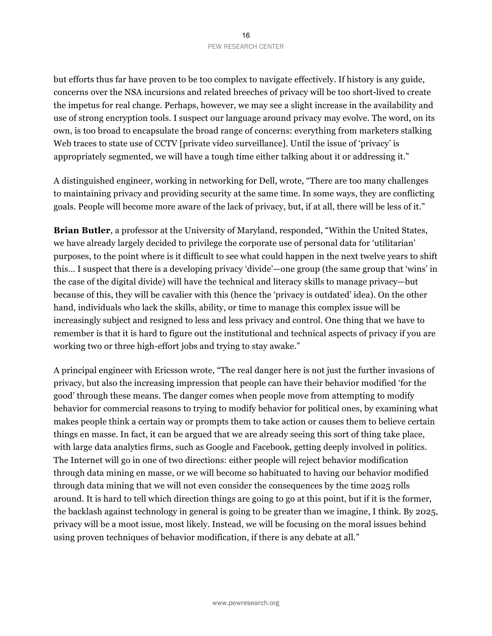but efforts thus far have proven to be too complex to navigate effectively. If history is any guide, concerns over the NSA incursions and related breeches of privacy will be too short-lived to create the impetus for real change. Perhaps, however, we may see a slight increase in the availability and use of strong encryption tools. I suspect our language around privacy may evolve. The word, on its own, is too broad to encapsulate the broad range of concerns: everything from marketers stalking Web traces to state use of CCTV [private video surveillance]. Until the issue of 'privacy' is appropriately segmented, we will have a tough time either talking about it or addressing it."

A distinguished engineer, working in networking for Dell, wrote, "There are too many challenges to maintaining privacy and providing security at the same time. In some ways, they are conflicting goals. People will become more aware of the lack of privacy, but, if at all, there will be less of it."

**Brian Butler**, a professor at the University of Maryland, responded, "Within the United States, we have already largely decided to privilege the corporate use of personal data for 'utilitarian' purposes, to the point where is it difficult to see what could happen in the next twelve years to shift this… I suspect that there is a developing privacy 'divide'—one group (the same group that 'wins' in the case of the digital divide) will have the technical and literacy skills to manage privacy—but because of this, they will be cavalier with this (hence the 'privacy is outdated' idea). On the other hand, individuals who lack the skills, ability, or time to manage this complex issue will be increasingly subject and resigned to less and less privacy and control. One thing that we have to remember is that it is hard to figure out the institutional and technical aspects of privacy if you are working two or three high-effort jobs and trying to stay awake."

A principal engineer with Ericsson wrote, "The real danger here is not just the further invasions of privacy, but also the increasing impression that people can have their behavior modified 'for the good' through these means. The danger comes when people move from attempting to modify behavior for commercial reasons to trying to modify behavior for political ones, by examining what makes people think a certain way or prompts them to take action or causes them to believe certain things en masse. In fact, it can be argued that we are already seeing this sort of thing take place, with large data analytics firms, such as Google and Facebook, getting deeply involved in politics. The Internet will go in one of two directions: either people will reject behavior modification through data mining en masse, or we will become so habituated to having our behavior modified through data mining that we will not even consider the consequences by the time 2025 rolls around. It is hard to tell which direction things are going to go at this point, but if it is the former, the backlash against technology in general is going to be greater than we imagine, I think. By 2025, privacy will be a moot issue, most likely. Instead, we will be focusing on the moral issues behind using proven techniques of behavior modification, if there is any debate at all."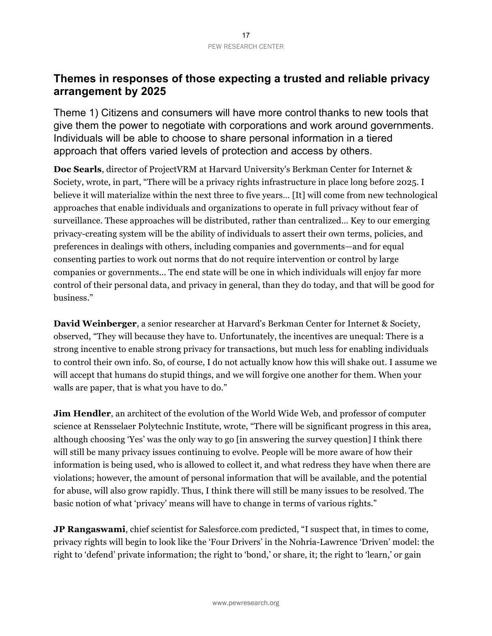### **Themes in responses of those expecting a trusted and reliable privacy arrangement by 2025**

Theme 1) Citizens and consumers will have more control thanks to new tools that give them the power to negotiate with corporations and work around governments. Individuals will be able to choose to share personal information in a tiered approach that offers varied levels of protection and access by others.

**Doc Searls**, director of ProjectVRM at Harvard University's Berkman Center for Internet & Society, wrote, in part, "There will be a privacy rights infrastructure in place long before 2025. I believe it will materialize within the next three to five years… [It] will come from new technological approaches that enable individuals and organizations to operate in full privacy without fear of surveillance. These approaches will be distributed, rather than centralized… Key to our emerging privacy-creating system will be the ability of individuals to assert their own terms, policies, and preferences in dealings with others, including companies and governments—and for equal consenting parties to work out norms that do not require intervention or control by large companies or governments... The end state will be one in which individuals will enjoy far more control of their personal data, and privacy in general, than they do today, and that will be good for business."

**David Weinberger**, a senior researcher at Harvard's Berkman Center for Internet & Society, observed, "They will because they have to. Unfortunately, the incentives are unequal: There is a strong incentive to enable strong privacy for transactions, but much less for enabling individuals to control their own info. So, of course, I do not actually know how this will shake out. I assume we will accept that humans do stupid things, and we will forgive one another for them. When your walls are paper, that is what you have to do."

**Jim Hendler**, an architect of the evolution of the World Wide Web, and professor of computer science at Rensselaer Polytechnic Institute, wrote, "There will be significant progress in this area, although choosing 'Yes' was the only way to go [in answering the survey question] I think there will still be many privacy issues continuing to evolve. People will be more aware of how their information is being used, who is allowed to collect it, and what redress they have when there are violations; however, the amount of personal information that will be available, and the potential for abuse, will also grow rapidly. Thus, I think there will still be many issues to be resolved. The basic notion of what 'privacy' means will have to change in terms of various rights."

**JP Rangaswami**, chief scientist for Salesforce.com predicted, "I suspect that, in times to come, privacy rights will begin to look like the 'Four Drivers' in the Nohria-Lawrence 'Driven' model: the right to 'defend' private information; the right to 'bond,' or share, it; the right to 'learn,' or gain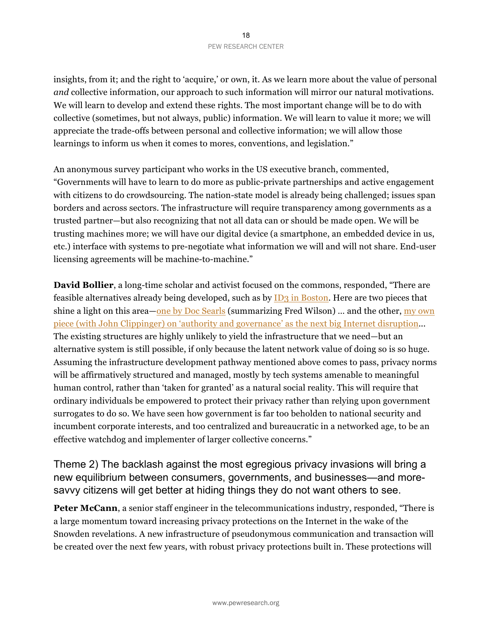insights, from it; and the right to 'acquire,' or own, it. As we learn more about the value of personal *and* collective information, our approach to such information will mirror our natural motivations. We will learn to develop and extend these rights. The most important change will be to do with collective (sometimes, but not always, public) information. We will learn to value it more; we will appreciate the trade-offs between personal and collective information; we will allow those learnings to inform us when it comes to mores, conventions, and legislation."

An anonymous survey participant who works in the US executive branch, commented, "Governments will have to learn to do more as public-private partnerships and active engagement with citizens to do crowdsourcing. The nation-state model is already being challenged; issues span borders and across sectors. The infrastructure will require transparency among governments as a trusted partner—but also recognizing that not all data can or should be made open. We will be trusting machines more; we will have our digital device (a smartphone, an embedded device in us, etc.) interface with systems to pre-negotiate what information we will and will not share. End-user licensing agreements will be machine-to-machine."

**David Bollier**, a long-time scholar and activist focused on the commons, responded, "There are feasible alternatives already being developed, such as by ID3 in Boston. Here are two pieces that shine a light on this area—one by Doc Searls (summarizing Fred Wilson) ... and the other, my own piece (with John Clippinger) on 'authority and governance' as the next big Internet disruption... The existing structures are highly unlikely to yield the infrastructure that we need—but an alternative system is still possible, if only because the latent network value of doing so is so huge. Assuming the infrastructure development pathway mentioned above comes to pass, privacy norms will be affirmatively structured and managed, mostly by tech systems amenable to meaningful human control, rather than 'taken for granted' as a natural social reality. This will require that ordinary individuals be empowered to protect their privacy rather than relying upon government surrogates to do so. We have seen how government is far too beholden to national security and incumbent corporate interests, and too centralized and bureaucratic in a networked age, to be an effective watchdog and implementer of larger collective concerns."

Theme 2) The backlash against the most egregious privacy invasions will bring a new equilibrium between consumers, governments, and businesses—and moresavvy citizens will get better at hiding things they do not want others to see.

**Peter McCann**, a senior staff engineer in the telecommunications industry, responded, "There is a large momentum toward increasing privacy protections on the Internet in the wake of the Snowden revelations. A new infrastructure of pseudonymous communication and transaction will be created over the next few years, with robust privacy protections built in. These protections will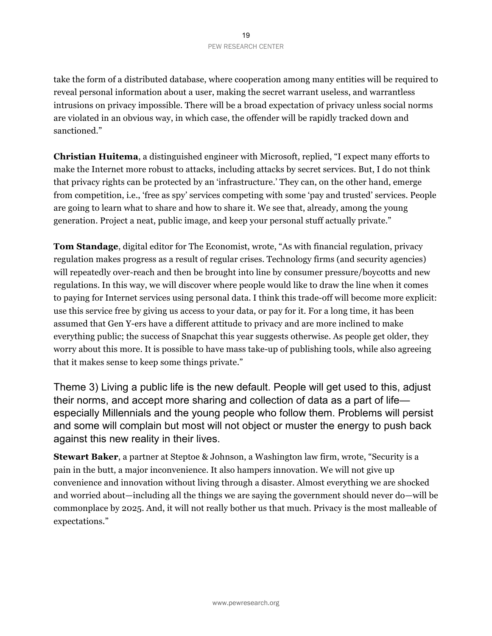take the form of a distributed database, where cooperation among many entities will be required to reveal personal information about a user, making the secret warrant useless, and warrantless intrusions on privacy impossible. There will be a broad expectation of privacy unless social norms are violated in an obvious way, in which case, the offender will be rapidly tracked down and sanctioned."

**Christian Huitema**, a distinguished engineer with Microsoft, replied, "I expect many efforts to make the Internet more robust to attacks, including attacks by secret services. But, I do not think that privacy rights can be protected by an 'infrastructure.' They can, on the other hand, emerge from competition, i.e., 'free as spy' services competing with some 'pay and trusted' services. People are going to learn what to share and how to share it. We see that, already, among the young generation. Project a neat, public image, and keep your personal stuff actually private."

**Tom Standage**, digital editor for The Economist, wrote, "As with financial regulation, privacy regulation makes progress as a result of regular crises. Technology firms (and security agencies) will repeatedly over-reach and then be brought into line by consumer pressure/boycotts and new regulations. In this way, we will discover where people would like to draw the line when it comes to paying for Internet services using personal data. I think this trade-off will become more explicit: use this service free by giving us access to your data, or pay for it. For a long time, it has been assumed that Gen Y-ers have a different attitude to privacy and are more inclined to make everything public; the success of Snapchat this year suggests otherwise. As people get older, they worry about this more. It is possible to have mass take-up of publishing tools, while also agreeing that it makes sense to keep some things private."

Theme 3) Living a public life is the new default. People will get used to this, adjust their norms, and accept more sharing and collection of data as a part of life especially Millennials and the young people who follow them. Problems will persist and some will complain but most will not object or muster the energy to push back against this new reality in their lives.

**Stewart Baker**, a partner at Steptoe & Johnson, a Washington law firm, wrote, "Security is a pain in the butt, a major inconvenience. It also hampers innovation. We will not give up convenience and innovation without living through a disaster. Almost everything we are shocked and worried about—including all the things we are saying the government should never do—will be commonplace by 2025. And, it will not really bother us that much. Privacy is the most malleable of expectations."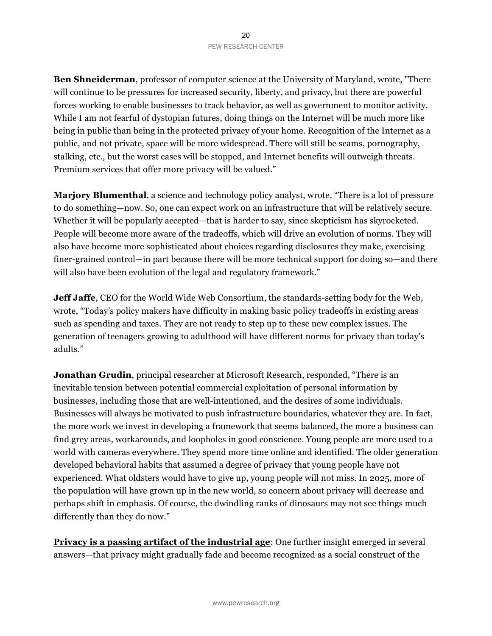**Ben Shneiderman**, professor of computer science at the University of Maryland, wrote, "There will continue to be pressures for increased security, liberty, and privacy, but there are powerful forces working to enable businesses to track behavior, as well as government to monitor activity. While I am not fearful of dystopian futures, doing things on the Internet will be much more like being in public than being in the protected privacy of your home. Recognition of the Internet as a public, and not private, space will be more widespread. There will still be scams, pornography, stalking, etc., but the worst cases will be stopped, and Internet benefits will outweigh threats. Premium services that offer more privacy will be valued."

**Marjory Blumenthal**, a science and technology policy analyst, wrote, "There is a lot of pressure to do something—now. So, one can expect work on an infrastructure that will be relatively secure. Whether it will be popularly accepted—that is harder to say, since skepticism has skyrocketed. People will become more aware of the tradeoffs, which will drive an evolution of norms. They will also have become more sophisticated about choices regarding disclosures they make, exercising finer-grained control—in part because there will be more technical support for doing so—and there will also have been evolution of the legal and regulatory framework."

**Jeff Jaffe**, CEO for the World Wide Web Consortium, the standards-setting body for the Web, wrote, "Today's policy makers have difficulty in making basic policy tradeoffs in existing areas such as spending and taxes. They are not ready to step up to these new complex issues. The generation of teenagers growing to adulthood will have different norms for privacy than today's adults."

**Jonathan Grudin**, principal researcher at Microsoft Research, responded, "There is an inevitable tension between potential commercial exploitation of personal information by businesses, including those that are well-intentioned, and the desires of some individuals. Businesses will always be motivated to push infrastructure boundaries, whatever they are. In fact, the more work we invest in developing a framework that seems balanced, the more a business can find grey areas, workarounds, and loopholes in good conscience. Young people are more used to a world with cameras everywhere. They spend more time online and identified. The older generation developed behavioral habits that assumed a degree of privacy that young people have not experienced. What oldsters would have to give up, young people will not miss. In 2025, more of the population will have grown up in the new world, so concern about privacy will decrease and perhaps shift in emphasis. Of course, the dwindling ranks of dinosaurs may not see things much differently than they do now."

**Privacy is a passing artifact of the industrial age**: One further insight emerged in several answers—that privacy might gradually fade and become recognized as a social construct of the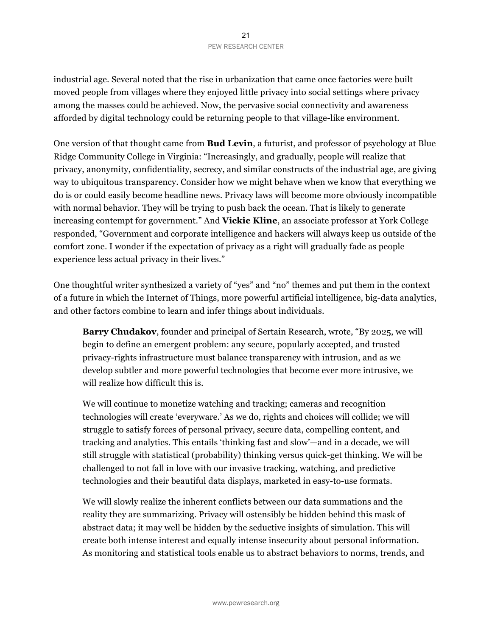industrial age. Several noted that the rise in urbanization that came once factories were built moved people from villages where they enjoyed little privacy into social settings where privacy among the masses could be achieved. Now, the pervasive social connectivity and awareness afforded by digital technology could be returning people to that village-like environment.

One version of that thought came from **Bud Levin**, a futurist, and professor of psychology at Blue Ridge Community College in Virginia: "Increasingly, and gradually, people will realize that privacy, anonymity, confidentiality, secrecy, and similar constructs of the industrial age, are giving way to ubiquitous transparency. Consider how we might behave when we know that everything we do is or could easily become headline news. Privacy laws will become more obviously incompatible with normal behavior. They will be trying to push back the ocean. That is likely to generate increasing contempt for government." And **Vickie Kline**, an associate professor at York College responded, "Government and corporate intelligence and hackers will always keep us outside of the comfort zone. I wonder if the expectation of privacy as a right will gradually fade as people experience less actual privacy in their lives."

One thoughtful writer synthesized a variety of "yes" and "no" themes and put them in the context of a future in which the Internet of Things, more powerful artificial intelligence, big-data analytics, and other factors combine to learn and infer things about individuals.

**Barry Chudakov**, founder and principal of Sertain Research, wrote, "By 2025, we will begin to define an emergent problem: any secure, popularly accepted, and trusted privacy-rights infrastructure must balance transparency with intrusion, and as we develop subtler and more powerful technologies that become ever more intrusive, we will realize how difficult this is.

We will continue to monetize watching and tracking; cameras and recognition technologies will create 'everyware.' As we do, rights and choices will collide; we will struggle to satisfy forces of personal privacy, secure data, compelling content, and tracking and analytics. This entails 'thinking fast and slow'—and in a decade, we will still struggle with statistical (probability) thinking versus quick-get thinking. We will be challenged to not fall in love with our invasive tracking, watching, and predictive technologies and their beautiful data displays, marketed in easy-to-use formats.

We will slowly realize the inherent conflicts between our data summations and the reality they are summarizing. Privacy will ostensibly be hidden behind this mask of abstract data; it may well be hidden by the seductive insights of simulation. This will create both intense interest and equally intense insecurity about personal information. As monitoring and statistical tools enable us to abstract behaviors to norms, trends, and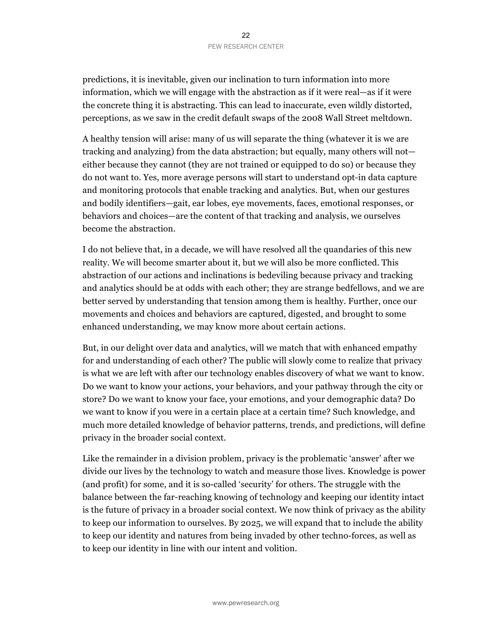predictions, it is inevitable, given our inclination to turn information into more information, which we will engage with the abstraction as if it were real—as if it were the concrete thing it is abstracting. This can lead to inaccurate, even wildly distorted, perceptions, as we saw in the credit default swaps of the 2008 Wall Street meltdown.

A healthy tension will arise: many of us will separate the thing (whatever it is we are tracking and analyzing) from the data abstraction; but equally, many others will not either because they cannot (they are not trained or equipped to do so) or because they do not want to. Yes, more average persons will start to understand opt-in data capture and monitoring protocols that enable tracking and analytics. But, when our gestures and bodily identifiers—gait, ear lobes, eye movements, faces, emotional responses, or behaviors and choices—are the content of that tracking and analysis, we ourselves become the abstraction.

I do not believe that, in a decade, we will have resolved all the quandaries of this new reality. We will become smarter about it, but we will also be more conflicted. This abstraction of our actions and inclinations is bedeviling because privacy and tracking and analytics should be at odds with each other; they are strange bedfellows, and we are better served by understanding that tension among them is healthy. Further, once our movements and choices and behaviors are captured, digested, and brought to some enhanced understanding, we may know more about certain actions.

But, in our delight over data and analytics, will we match that with enhanced empathy for and understanding of each other? The public will slowly come to realize that privacy is what we are left with after our technology enables discovery of what we want to know. Do we want to know your actions, your behaviors, and your pathway through the city or store? Do we want to know your face, your emotions, and your demographic data? Do we want to know if you were in a certain place at a certain time? Such knowledge, and much more detailed knowledge of behavior patterns, trends, and predictions, will define privacy in the broader social context.

Like the remainder in a division problem, privacy is the problematic 'answer' after we divide our lives by the technology to watch and measure those lives. Knowledge is power (and profit) for some, and it is so-called 'security' for others. The struggle with the balance between the far-reaching knowing of technology and keeping our identity intact is the future of privacy in a broader social context. We now think of privacy as the ability to keep our information to ourselves. By 2025, we will expand that to include the ability to keep our identity and natures from being invaded by other techno-forces, as well as to keep our identity in line with our intent and volition.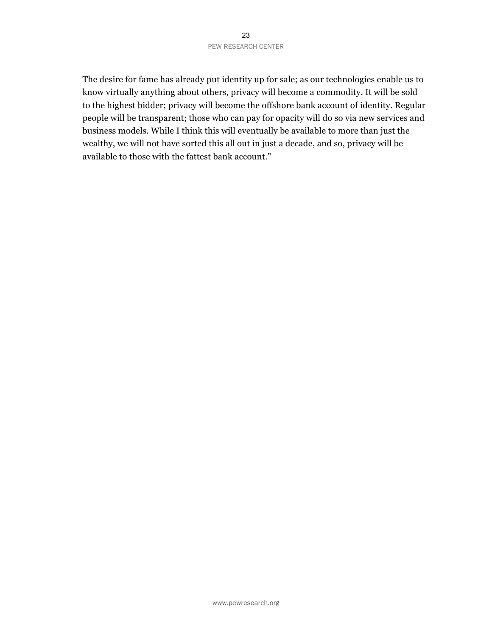#### 23 PEW RESEARCH CENTER

The desire for fame has already put identity up for sale; as our technologies enable us to know virtually anything about others, privacy will become a commodity. It will be sold to the highest bidder; privacy will become the offshore bank account of identity. Regular people will be transparent; those who can pay for opacity will do so via new services and business models. While I think this will eventually be available to more than just the wealthy, we will not have sorted this all out in just a decade, and so, privacy will be available to those with the fattest bank account."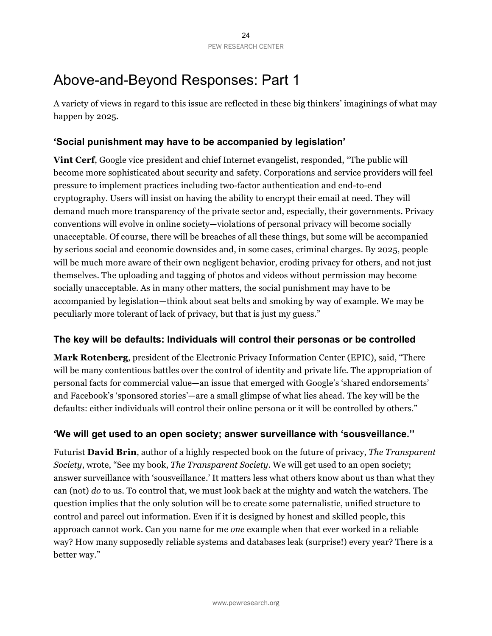# Above-and-Beyond Responses: Part 1

A variety of views in regard to this issue are reflected in these big thinkers' imaginings of what may happen by 2025.

### **'Social punishment may have to be accompanied by legislation'**

**Vint Cerf**, Google vice president and chief Internet evangelist, responded, "The public will become more sophisticated about security and safety. Corporations and service providers will feel pressure to implement practices including two-factor authentication and end-to-end cryptography. Users will insist on having the ability to encrypt their email at need. They will demand much more transparency of the private sector and, especially, their governments. Privacy conventions will evolve in online society—violations of personal privacy will become socially unacceptable. Of course, there will be breaches of all these things, but some will be accompanied by serious social and economic downsides and, in some cases, criminal charges. By 2025, people will be much more aware of their own negligent behavior, eroding privacy for others, and not just themselves. The uploading and tagging of photos and videos without permission may become socially unacceptable. As in many other matters, the social punishment may have to be accompanied by legislation—think about seat belts and smoking by way of example. We may be peculiarly more tolerant of lack of privacy, but that is just my guess."

### **The key will be defaults: Individuals will control their personas or be controlled**

**Mark Rotenberg**, president of the Electronic Privacy Information Center (EPIC), said, "There will be many contentious battles over the control of identity and private life. The appropriation of personal facts for commercial value—an issue that emerged with Google's 'shared endorsements' and Facebook's 'sponsored stories'—are a small glimpse of what lies ahead. The key will be the defaults: either individuals will control their online persona or it will be controlled by others."

### **'We will get used to an open society; answer surveillance with 'sousveillance.''**

Futurist **David Brin**, author of a highly respected book on the future of privacy, *The Transparent Society*, wrote, "See my book, *The Transparent Society*. We will get used to an open society; answer surveillance with 'sousveillance.' It matters less what others know about us than what they can (not) *do* to us. To control that, we must look back at the mighty and watch the watchers. The question implies that the only solution will be to create some paternalistic, unified structure to control and parcel out information. Even if it is designed by honest and skilled people, this approach cannot work. Can you name for me *one* example when that ever worked in a reliable way? How many supposedly reliable systems and databases leak (surprise!) every year? There is a better way."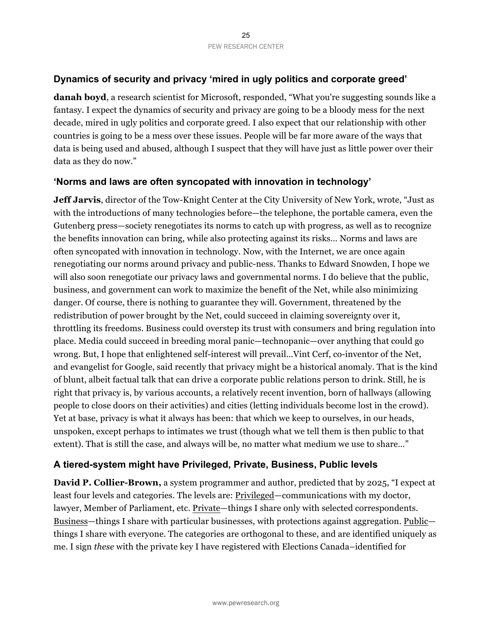### **Dynamics of security and privacy 'mired in ugly politics and corporate greed'**

**danah boyd**, a research scientist for Microsoft, responded, "What you're suggesting sounds like a fantasy. I expect the dynamics of security and privacy are going to be a bloody mess for the next decade, mired in ugly politics and corporate greed. I also expect that our relationship with other countries is going to be a mess over these issues. People will be far more aware of the ways that data is being used and abused, although I suspect that they will have just as little power over their data as they do now."

### **'Norms and laws are often syncopated with innovation in technology'**

**Jeff Jarvis**, director of the Tow-Knight Center at the City University of New York, wrote, "Just as with the introductions of many technologies before—the telephone, the portable camera, even the Gutenberg press—society renegotiates its norms to catch up with progress, as well as to recognize the benefits innovation can bring, while also protecting against its risks… Norms and laws are often syncopated with innovation in technology. Now, with the Internet, we are once again renegotiating our norms around privacy and public-ness. Thanks to Edward Snowden, I hope we will also soon renegotiate our privacy laws and governmental norms. I do believe that the public, business, and government can work to maximize the benefit of the Net, while also minimizing danger. Of course, there is nothing to guarantee they will. Government, threatened by the redistribution of power brought by the Net, could succeed in claiming sovereignty over it, throttling its freedoms. Business could overstep its trust with consumers and bring regulation into place. Media could succeed in breeding moral panic—technopanic—over anything that could go wrong. But, I hope that enlightened self-interest will prevail...Vint Cerf, co-inventor of the Net, and evangelist for Google, said recently that privacy might be a historical anomaly. That is the kind of blunt, albeit factual talk that can drive a corporate public relations person to drink. Still, he is right that privacy is, by various accounts, a relatively recent invention, born of hallways (allowing people to close doors on their activities) and cities (letting individuals become lost in the crowd). Yet at base, privacy is what it always has been: that which we keep to ourselves, in our heads, unspoken, except perhaps to intimates we trust (though what we tell them is then public to that extent). That is still the case, and always will be, no matter what medium we use to share…"

### **A tiered-system might have Privileged, Private, Business, Public levels**

**David P. Collier-Brown,** a system programmer and author, predicted that by 2025, "I expect at least four levels and categories. The levels are: Privileged—communications with my doctor, lawyer, Member of Parliament, etc. Private—things I share only with selected correspondents. Business—things I share with particular businesses, with protections against aggregation. Public things I share with everyone. The categories are orthogonal to these, and are identified uniquely as me. I sign *these* with the private key I have registered with Elections Canada–identified for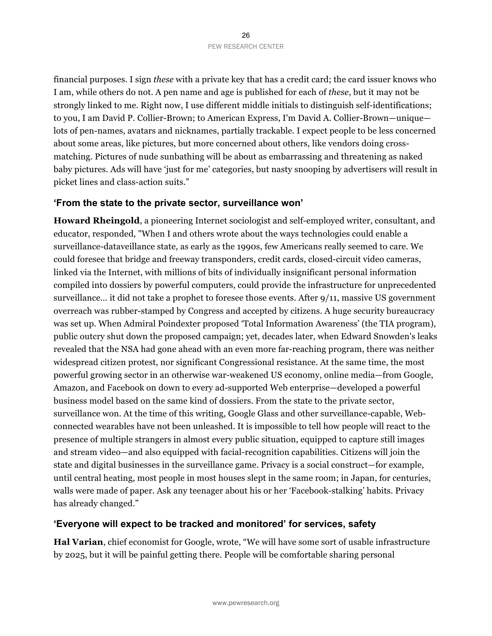financial purposes. I sign *these* with a private key that has a credit card; the card issuer knows who I am, while others do not. A pen name and age is published for each of *these*, but it may not be strongly linked to me. Right now, I use different middle initials to distinguish self-identifications; to you, I am David P. Collier-Brown; to American Express, I'm David A. Collier-Brown—unique lots of pen-names, avatars and nicknames, partially trackable. I expect people to be less concerned about some areas, like pictures, but more concerned about others, like vendors doing crossmatching. Pictures of nude sunbathing will be about as embarrassing and threatening as naked baby pictures. Ads will have 'just for me' categories, but nasty snooping by advertisers will result in picket lines and class-action suits."

#### **'From the state to the private sector, surveillance won'**

**Howard Rheingold**, a pioneering Internet sociologist and self-employed writer, consultant, and educator, responded, "When I and others wrote about the ways technologies could enable a surveillance-dataveillance state, as early as the 1990s, few Americans really seemed to care. We could foresee that bridge and freeway transponders, credit cards, closed-circuit video cameras, linked via the Internet, with millions of bits of individually insignificant personal information compiled into dossiers by powerful computers, could provide the infrastructure for unprecedented surveillance… it did not take a prophet to foresee those events. After 9/11, massive US government overreach was rubber-stamped by Congress and accepted by citizens. A huge security bureaucracy was set up. When Admiral Poindexter proposed 'Total Information Awareness' (the TIA program), public outcry shut down the proposed campaign; yet, decades later, when Edward Snowden's leaks revealed that the NSA had gone ahead with an even more far-reaching program, there was neither widespread citizen protest, nor significant Congressional resistance. At the same time, the most powerful growing sector in an otherwise war-weakened US economy, online media—from Google, Amazon, and Facebook on down to every ad-supported Web enterprise—developed a powerful business model based on the same kind of dossiers. From the state to the private sector, surveillance won. At the time of this writing, Google Glass and other surveillance-capable, Webconnected wearables have not been unleashed. It is impossible to tell how people will react to the presence of multiple strangers in almost every public situation, equipped to capture still images and stream video—and also equipped with facial-recognition capabilities. Citizens will join the state and digital businesses in the surveillance game. Privacy is a social construct—for example, until central heating, most people in most houses slept in the same room; in Japan, for centuries, walls were made of paper. Ask any teenager about his or her 'Facebook-stalking' habits. Privacy has already changed."

### **'Everyone will expect to be tracked and monitored' for services, safety**

**Hal Varian**, chief economist for Google, wrote, "We will have some sort of usable infrastructure by 2025, but it will be painful getting there. People will be comfortable sharing personal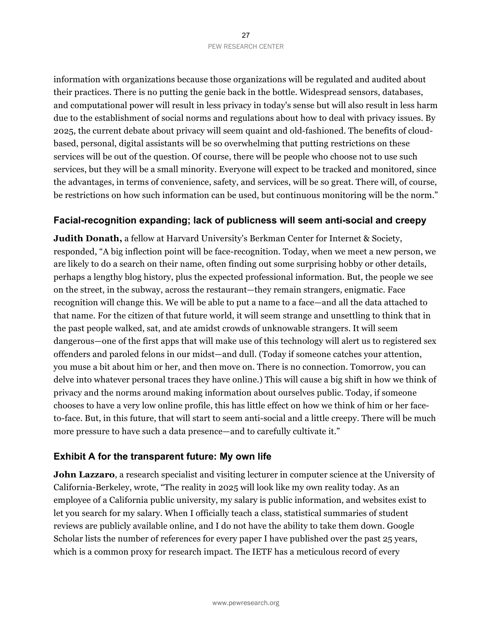information with organizations because those organizations will be regulated and audited about their practices. There is no putting the genie back in the bottle. Widespread sensors, databases, and computational power will result in less privacy in today's sense but will also result in less harm due to the establishment of social norms and regulations about how to deal with privacy issues. By 2025, the current debate about privacy will seem quaint and old-fashioned. The benefits of cloudbased, personal, digital assistants will be so overwhelming that putting restrictions on these services will be out of the question. Of course, there will be people who choose not to use such services, but they will be a small minority. Everyone will expect to be tracked and monitored, since the advantages, in terms of convenience, safety, and services, will be so great. There will, of course, be restrictions on how such information can be used, but continuous monitoring will be the norm."

### **Facial-recognition expanding; lack of publicness will seem anti-social and creepy**

**Judith Donath,** a fellow at Harvard University's Berkman Center for Internet & Society, responded, "A big inflection point will be face-recognition. Today, when we meet a new person, we are likely to do a search on their name, often finding out some surprising hobby or other details, perhaps a lengthy blog history, plus the expected professional information. But, the people we see on the street, in the subway, across the restaurant—they remain strangers, enigmatic. Face recognition will change this. We will be able to put a name to a face—and all the data attached to that name. For the citizen of that future world, it will seem strange and unsettling to think that in the past people walked, sat, and ate amidst crowds of unknowable strangers. It will seem dangerous—one of the first apps that will make use of this technology will alert us to registered sex offenders and paroled felons in our midst—and dull. (Today if someone catches your attention, you muse a bit about him or her, and then move on. There is no connection. Tomorrow, you can delve into whatever personal traces they have online.) This will cause a big shift in how we think of privacy and the norms around making information about ourselves public. Today, if someone chooses to have a very low online profile, this has little effect on how we think of him or her faceto-face. But, in this future, that will start to seem anti-social and a little creepy. There will be much more pressure to have such a data presence—and to carefully cultivate it."

### **Exhibit A for the transparent future: My own life**

**John Lazzaro**, a research specialist and visiting lecturer in computer science at the University of California-Berkeley, wrote, "The reality in 2025 will look like my own reality today. As an employee of a California public university, my salary is public information, and websites exist to let you search for my salary. When I officially teach a class, statistical summaries of student reviews are publicly available online, and I do not have the ability to take them down. Google Scholar lists the number of references for every paper I have published over the past 25 years, which is a common proxy for research impact. The IETF has a meticulous record of every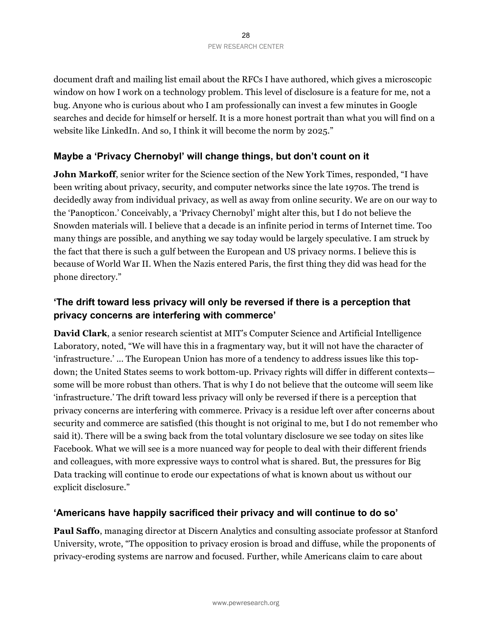document draft and mailing list email about the RFCs I have authored, which gives a microscopic window on how I work on a technology problem. This level of disclosure is a feature for me, not a bug. Anyone who is curious about who I am professionally can invest a few minutes in Google searches and decide for himself or herself. It is a more honest portrait than what you will find on a website like LinkedIn. And so, I think it will become the norm by 2025."

### **Maybe a 'Privacy Chernobyl' will change things, but don't count on it**

**John Markoff**, senior writer for the Science section of the New York Times, responded, "I have been writing about privacy, security, and computer networks since the late 1970s. The trend is decidedly away from individual privacy, as well as away from online security. We are on our way to the 'Panopticon.' Conceivably, a 'Privacy Chernobyl' might alter this, but I do not believe the Snowden materials will. I believe that a decade is an infinite period in terms of Internet time. Too many things are possible, and anything we say today would be largely speculative. I am struck by the fact that there is such a gulf between the European and US privacy norms. I believe this is because of World War II. When the Nazis entered Paris, the first thing they did was head for the phone directory."

### **'The drift toward less privacy will only be reversed if there is a perception that privacy concerns are interfering with commerce'**

**David Clark**, a senior research scientist at MIT's Computer Science and Artificial Intelligence Laboratory, noted, "We will have this in a fragmentary way, but it will not have the character of 'infrastructure.' ... The European Union has more of a tendency to address issues like this topdown; the United States seems to work bottom-up. Privacy rights will differ in different contexts some will be more robust than others. That is why I do not believe that the outcome will seem like 'infrastructure.' The drift toward less privacy will only be reversed if there is a perception that privacy concerns are interfering with commerce. Privacy is a residue left over after concerns about security and commerce are satisfied (this thought is not original to me, but I do not remember who said it). There will be a swing back from the total voluntary disclosure we see today on sites like Facebook. What we will see is a more nuanced way for people to deal with their different friends and colleagues, with more expressive ways to control what is shared. But, the pressures for Big Data tracking will continue to erode our expectations of what is known about us without our explicit disclosure."

### **'Americans have happily sacrificed their privacy and will continue to do so'**

**Paul Saffo**, managing director at Discern Analytics and consulting associate professor at Stanford University, wrote, "The opposition to privacy erosion is broad and diffuse, while the proponents of privacy-eroding systems are narrow and focused. Further, while Americans claim to care about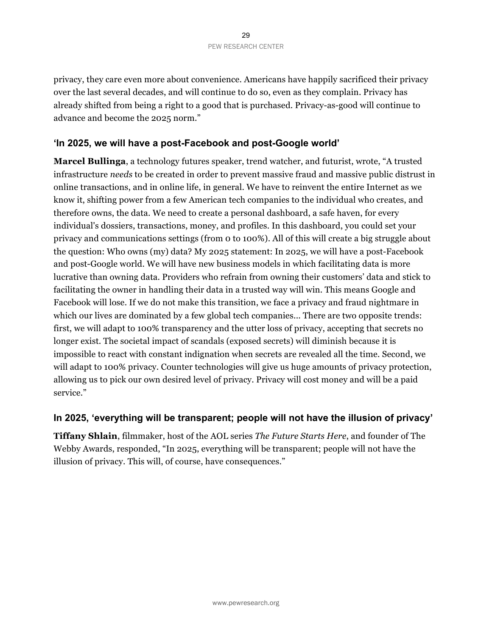privacy, they care even more about convenience. Americans have happily sacrificed their privacy over the last several decades, and will continue to do so, even as they complain. Privacy has already shifted from being a right to a good that is purchased. Privacy-as-good will continue to advance and become the 2025 norm."

### **'In 2025, we will have a post-Facebook and post-Google world'**

**Marcel Bullinga**, a technology futures speaker, trend watcher, and futurist, wrote, "A trusted infrastructure *needs* to be created in order to prevent massive fraud and massive public distrust in online transactions, and in online life, in general. We have to reinvent the entire Internet as we know it, shifting power from a few American tech companies to the individual who creates, and therefore owns, the data. We need to create a personal dashboard, a safe haven, for every individual's dossiers, transactions, money, and profiles. In this dashboard, you could set your privacy and communications settings (from 0 to 100%). All of this will create a big struggle about the question: Who owns (my) data? My 2025 statement: In 2025, we will have a post-Facebook and post-Google world. We will have new business models in which facilitating data is more lucrative than owning data. Providers who refrain from owning their customers' data and stick to facilitating the owner in handling their data in a trusted way will win. This means Google and Facebook will lose. If we do not make this transition, we face a privacy and fraud nightmare in which our lives are dominated by a few global tech companies... There are two opposite trends: first, we will adapt to 100% transparency and the utter loss of privacy, accepting that secrets no longer exist. The societal impact of scandals (exposed secrets) will diminish because it is impossible to react with constant indignation when secrets are revealed all the time. Second, we will adapt to 100% privacy. Counter technologies will give us huge amounts of privacy protection, allowing us to pick our own desired level of privacy. Privacy will cost money and will be a paid service."

### **In 2025, 'everything will be transparent; people will not have the illusion of privacy'**

**Tiffany Shlain**, filmmaker, host of the AOL series *The Future Starts Here*, and founder of The Webby Awards, responded, "In 2025, everything will be transparent; people will not have the illusion of privacy. This will, of course, have consequences."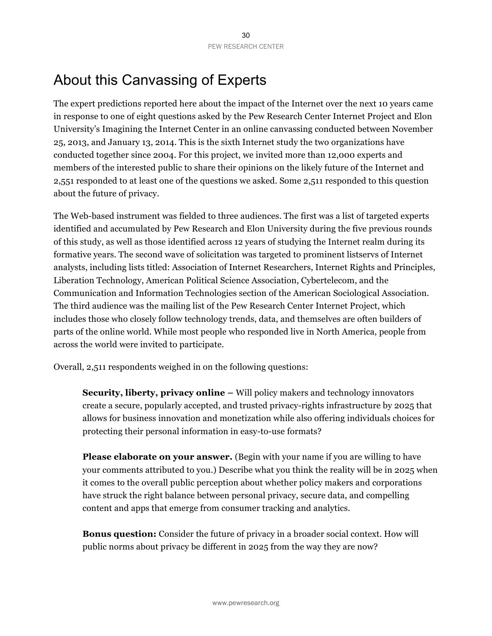# About this Canvassing of Experts

The expert predictions reported here about the impact of the Internet over the next 10 years came in response to one of eight questions asked by the Pew Research Center Internet Project and Elon University's Imagining the Internet Center in an online canvassing conducted between November 25, 2013, and January 13, 2014. This is the sixth Internet study the two organizations have conducted together since 2004. For this project, we invited more than 12,000 experts and members of the interested public to share their opinions on the likely future of the Internet and 2,551 responded to at least one of the questions we asked. Some 2,511 responded to this question about the future of privacy.

The Web-based instrument was fielded to three audiences. The first was a list of targeted experts identified and accumulated by Pew Research and Elon University during the five previous rounds of this study, as well as those identified across 12 years of studying the Internet realm during its formative years. The second wave of solicitation was targeted to prominent listservs of Internet analysts, including lists titled: Association of Internet Researchers, Internet Rights and Principles, Liberation Technology, American Political Science Association, Cybertelecom, and the Communication and Information Technologies section of the American Sociological Association. The third audience was the mailing list of the Pew Research Center Internet Project, which includes those who closely follow technology trends, data, and themselves are often builders of parts of the online world. While most people who responded live in North America, people from across the world were invited to participate.

Overall, 2,511 respondents weighed in on the following questions:

**Security, liberty, privacy online –** Will policy makers and technology innovators create a secure, popularly accepted, and trusted privacy-rights infrastructure by 2025 that allows for business innovation and monetization while also offering individuals choices for protecting their personal information in easy-to-use formats?

**Please elaborate on your answer.** (Begin with your name if you are willing to have your comments attributed to you.) Describe what you think the reality will be in 2025 when it comes to the overall public perception about whether policy makers and corporations have struck the right balance between personal privacy, secure data, and compelling content and apps that emerge from consumer tracking and analytics.

**Bonus question:** Consider the future of privacy in a broader social context. How will public norms about privacy be different in 2025 from the way they are now?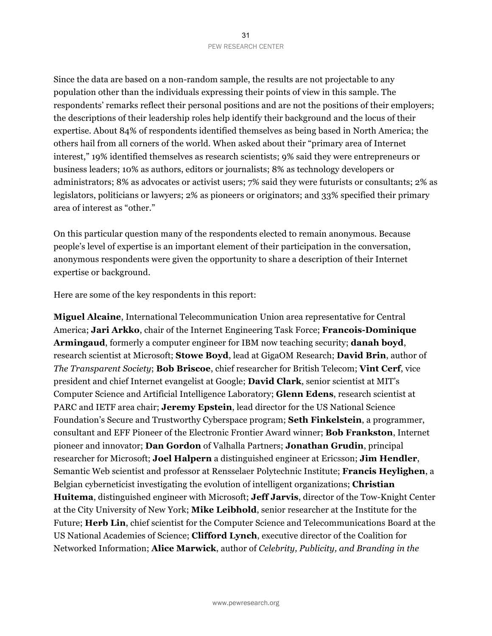Since the data are based on a non-random sample, the results are not projectable to any population other than the individuals expressing their points of view in this sample. The respondents' remarks reflect their personal positions and are not the positions of their employers; the descriptions of their leadership roles help identify their background and the locus of their expertise. About 84% of respondents identified themselves as being based in North America; the others hail from all corners of the world. When asked about their "primary area of Internet interest," 19% identified themselves as research scientists; 9% said they were entrepreneurs or business leaders; 10% as authors, editors or journalists; 8% as technology developers or administrators; 8% as advocates or activist users; 7% said they were futurists or consultants; 2% as legislators, politicians or lawyers; 2% as pioneers or originators; and 33% specified their primary area of interest as "other."

On this particular question many of the respondents elected to remain anonymous. Because people's level of expertise is an important element of their participation in the conversation, anonymous respondents were given the opportunity to share a description of their Internet expertise or background.

Here are some of the key respondents in this report:

**Miguel Alcaine**, International Telecommunication Union area representative for Central America; **Jari Arkko**, chair of the Internet Engineering Task Force; **Francois-Dominique Armingaud**, formerly a computer engineer for IBM now teaching security; **danah boyd**, research scientist at Microsoft; **Stowe Boyd**, lead at GigaOM Research; **David Brin**, author of *The Transparent Society*; **Bob Briscoe**, chief researcher for British Telecom; **Vint Cerf**, vice president and chief Internet evangelist at Google; **David Clark**, senior scientist at MIT's Computer Science and Artificial Intelligence Laboratory; **Glenn Edens**, research scientist at PARC and IETF area chair; **Jeremy Epstein**, lead director for the US National Science Foundation's Secure and Trustworthy Cyberspace program; **Seth Finkelstein**, a programmer, consultant and EFF Pioneer of the Electronic Frontier Award winner; **Bob Frankston**, Internet pioneer and innovator; **Dan Gordon** of Valhalla Partners; **Jonathan Grudin**, principal researcher for Microsoft; **Joel Halpern** a distinguished engineer at Ericsson; **Jim Hendler**, Semantic Web scientist and professor at Rensselaer Polytechnic Institute; **Francis Heylighen**, a Belgian cyberneticist investigating the evolution of intelligent organizations; **Christian Huitema**, distinguished engineer with Microsoft; **Jeff Jarvis**, director of the Tow-Knight Center at the City University of New York; **Mike Leibhold**, senior researcher at the Institute for the Future; **Herb Lin**, chief scientist for the Computer Science and Telecommunications Board at the US National Academies of Science; **Clifford Lynch**, executive director of the Coalition for Networked Information; **Alice Marwick**, author of *Celebrity, Publicity, and Branding in the*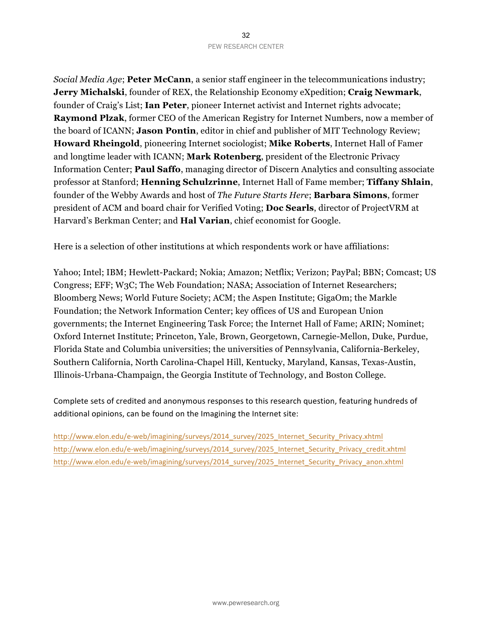*Social Media Age*; **Peter McCann**, a senior staff engineer in the telecommunications industry; **Jerry Michalski**, founder of REX, the Relationship Economy eXpedition; **Craig Newmark**, founder of Craig's List; **Ian Peter**, pioneer Internet activist and Internet rights advocate; **Raymond Plzak**, former CEO of the American Registry for Internet Numbers, now a member of the board of ICANN; **Jason Pontin**, editor in chief and publisher of MIT Technology Review; **Howard Rheingold**, pioneering Internet sociologist; **Mike Roberts**, Internet Hall of Famer and longtime leader with ICANN; **Mark Rotenberg**, president of the Electronic Privacy Information Center; **Paul Saffo**, managing director of Discern Analytics and consulting associate professor at Stanford; **Henning Schulzrinne**, Internet Hall of Fame member; **Tiffany Shlain**, founder of the Webby Awards and host of *The Future Starts Here*; **Barbara Simons**, former president of ACM and board chair for Verified Voting; **Doc Searls**, director of ProjectVRM at Harvard's Berkman Center; and **Hal Varian**, chief economist for Google.

Here is a selection of other institutions at which respondents work or have affiliations:

Yahoo; Intel; IBM; Hewlett-Packard; Nokia; Amazon; Netflix; Verizon; PayPal; BBN; Comcast; US Congress; EFF; W3C; The Web Foundation; NASA; Association of Internet Researchers; Bloomberg News; World Future Society; ACM; the Aspen Institute; GigaOm; the Markle Foundation; the Network Information Center; key offices of US and European Union governments; the Internet Engineering Task Force; the Internet Hall of Fame; ARIN; Nominet; Oxford Internet Institute; Princeton, Yale, Brown, Georgetown, Carnegie-Mellon, Duke, Purdue, Florida State and Columbia universities; the universities of Pennsylvania, California-Berkeley, Southern California, North Carolina-Chapel Hill, Kentucky, Maryland, Kansas, Texas-Austin, Illinois-Urbana-Champaign, the Georgia Institute of Technology, and Boston College.

Complete sets of credited and anonymous responses to this research question, featuring hundreds of additional opinions, can be found on the Imagining the Internet site:

http://www.elon.edu/e-web/imagining/surveys/2014\_survey/2025\_Internet\_Security\_Privacy.xhtml http://www.elon.edu/e-web/imagining/surveys/2014\_survey/2025\_Internet\_Security\_Privacy\_credit.xhtml http://www.elon.edu/e-web/imagining/surveys/2014\_survey/2025\_Internet\_Security\_Privacy\_anon.xhtml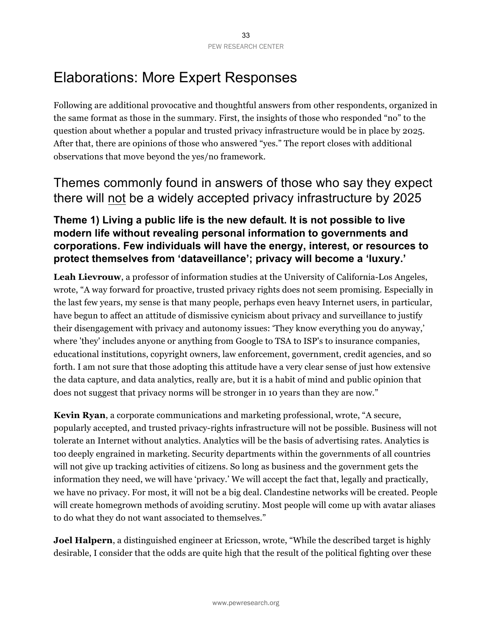## Elaborations: More Expert Responses

Following are additional provocative and thoughtful answers from other respondents, organized in the same format as those in the summary. First, the insights of those who responded "no" to the question about whether a popular and trusted privacy infrastructure would be in place by 2025. After that, there are opinions of those who answered "yes." The report closes with additional observations that move beyond the yes/no framework.

### Themes commonly found in answers of those who say they expect there will not be a widely accepted privacy infrastructure by 2025

### **Theme 1) Living a public life is the new default. It is not possible to live modern life without revealing personal information to governments and corporations. Few individuals will have the energy, interest, or resources to protect themselves from 'dataveillance'; privacy will become a 'luxury.'**

**Leah Lievrouw**, a professor of information studies at the University of California-Los Angeles, wrote, "A way forward for proactive, trusted privacy rights does not seem promising. Especially in the last few years, my sense is that many people, perhaps even heavy Internet users, in particular, have begun to affect an attitude of dismissive cynicism about privacy and surveillance to justify their disengagement with privacy and autonomy issues: 'They know everything you do anyway,' where 'they' includes anyone or anything from Google to TSA to ISP's to insurance companies, educational institutions, copyright owners, law enforcement, government, credit agencies, and so forth. I am not sure that those adopting this attitude have a very clear sense of just how extensive the data capture, and data analytics, really are, but it is a habit of mind and public opinion that does not suggest that privacy norms will be stronger in 10 years than they are now."

**Kevin Ryan**, a corporate communications and marketing professional, wrote, "A secure, popularly accepted, and trusted privacy-rights infrastructure will not be possible. Business will not tolerate an Internet without analytics. Analytics will be the basis of advertising rates. Analytics is too deeply engrained in marketing. Security departments within the governments of all countries will not give up tracking activities of citizens. So long as business and the government gets the information they need, we will have 'privacy.' We will accept the fact that, legally and practically, we have no privacy. For most, it will not be a big deal. Clandestine networks will be created. People will create homegrown methods of avoiding scrutiny. Most people will come up with avatar aliases to do what they do not want associated to themselves."

**Joel Halpern**, a distinguished engineer at Ericsson, wrote, "While the described target is highly desirable, I consider that the odds are quite high that the result of the political fighting over these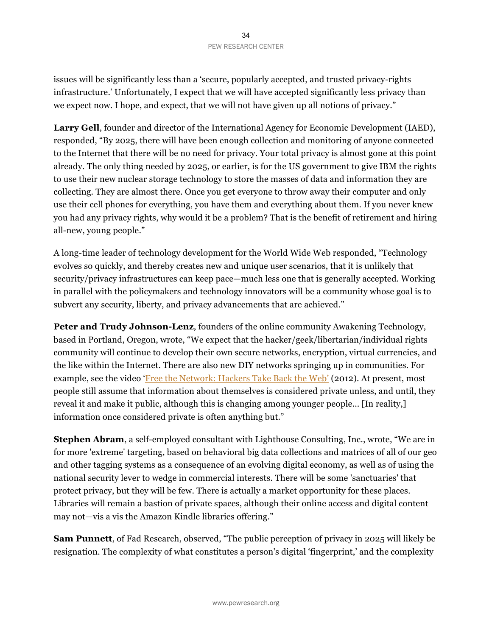issues will be significantly less than a 'secure, popularly accepted, and trusted privacy-rights infrastructure.' Unfortunately, I expect that we will have accepted significantly less privacy than we expect now. I hope, and expect, that we will not have given up all notions of privacy."

**Larry Gell**, founder and director of the International Agency for Economic Development (IAED), responded, "By 2025, there will have been enough collection and monitoring of anyone connected to the Internet that there will be no need for privacy. Your total privacy is almost gone at this point already. The only thing needed by 2025, or earlier, is for the US government to give IBM the rights to use their new nuclear storage technology to store the masses of data and information they are collecting. They are almost there. Once you get everyone to throw away their computer and only use their cell phones for everything, you have them and everything about them. If you never knew you had any privacy rights, why would it be a problem? That is the benefit of retirement and hiring all-new, young people."

A long-time leader of technology development for the World Wide Web responded, "Technology evolves so quickly, and thereby creates new and unique user scenarios, that it is unlikely that security/privacy infrastructures can keep pace—much less one that is generally accepted. Working in parallel with the policymakers and technology innovators will be a community whose goal is to subvert any security, liberty, and privacy advancements that are achieved."

**Peter and Trudy Johnson-Lenz**, founders of the online community Awakening Technology, based in Portland, Oregon, wrote, "We expect that the hacker/geek/libertarian/individual rights community will continue to develop their own secure networks, encryption, virtual currencies, and the like within the Internet. There are also new DIY networks springing up in communities. For example, see the video 'Free the Network: Hackers Take Back the Web' (2012). At present, most people still assume that information about themselves is considered private unless, and until, they reveal it and make it public, although this is changing among younger people... [In reality,] information once considered private is often anything but."

**Stephen Abram**, a self-employed consultant with Lighthouse Consulting, Inc., wrote, "We are in for more 'extreme' targeting, based on behavioral big data collections and matrices of all of our geo and other tagging systems as a consequence of an evolving digital economy, as well as of using the national security lever to wedge in commercial interests. There will be some 'sanctuaries' that protect privacy, but they will be few. There is actually a market opportunity for these places. Libraries will remain a bastion of private spaces, although their online access and digital content may not—vis a vis the Amazon Kindle libraries offering."

**Sam Punnett**, of Fad Research, observed, "The public perception of privacy in 2025 will likely be resignation. The complexity of what constitutes a person's digital 'fingerprint,' and the complexity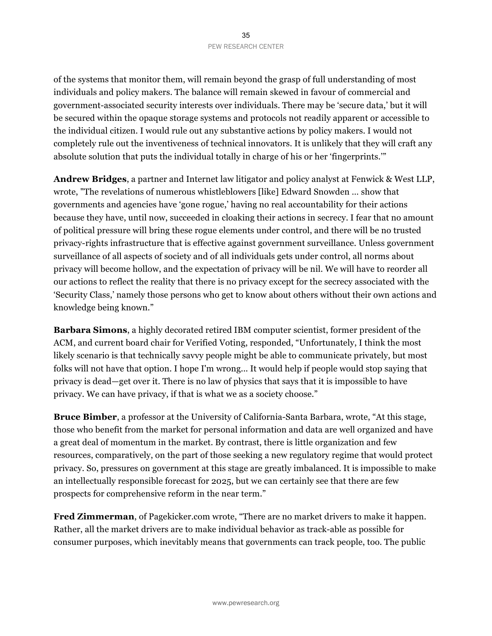of the systems that monitor them, will remain beyond the grasp of full understanding of most individuals and policy makers. The balance will remain skewed in favour of commercial and government-associated security interests over individuals. There may be 'secure data,' but it will be secured within the opaque storage systems and protocols not readily apparent or accessible to the individual citizen. I would rule out any substantive actions by policy makers. I would not completely rule out the inventiveness of technical innovators. It is unlikely that they will craft any absolute solution that puts the individual totally in charge of his or her 'fingerprints.'"

**Andrew Bridges**, a partner and Internet law litigator and policy analyst at Fenwick & West LLP, wrote, "The revelations of numerous whistleblowers [like] Edward Snowden … show that governments and agencies have 'gone rogue,' having no real accountability for their actions because they have, until now, succeeded in cloaking their actions in secrecy. I fear that no amount of political pressure will bring these rogue elements under control, and there will be no trusted privacy-rights infrastructure that is effective against government surveillance. Unless government surveillance of all aspects of society and of all individuals gets under control, all norms about privacy will become hollow, and the expectation of privacy will be nil. We will have to reorder all our actions to reflect the reality that there is no privacy except for the secrecy associated with the 'Security Class,' namely those persons who get to know about others without their own actions and knowledge being known."

**Barbara Simons**, a highly decorated retired IBM computer scientist, former president of the ACM, and current board chair for Verified Voting, responded, "Unfortunately, I think the most likely scenario is that technically savvy people might be able to communicate privately, but most folks will not have that option. I hope I'm wrong... It would help if people would stop saying that privacy is dead—get over it. There is no law of physics that says that it is impossible to have privacy. We can have privacy, if that is what we as a society choose."

**Bruce Bimber**, a professor at the University of California-Santa Barbara, wrote, "At this stage, those who benefit from the market for personal information and data are well organized and have a great deal of momentum in the market. By contrast, there is little organization and few resources, comparatively, on the part of those seeking a new regulatory regime that would protect privacy. So, pressures on government at this stage are greatly imbalanced. It is impossible to make an intellectually responsible forecast for 2025, but we can certainly see that there are few prospects for comprehensive reform in the near term."

**Fred Zimmerman**, of Pagekicker.com wrote, "There are no market drivers to make it happen. Rather, all the market drivers are to make individual behavior as track-able as possible for consumer purposes, which inevitably means that governments can track people, too. The public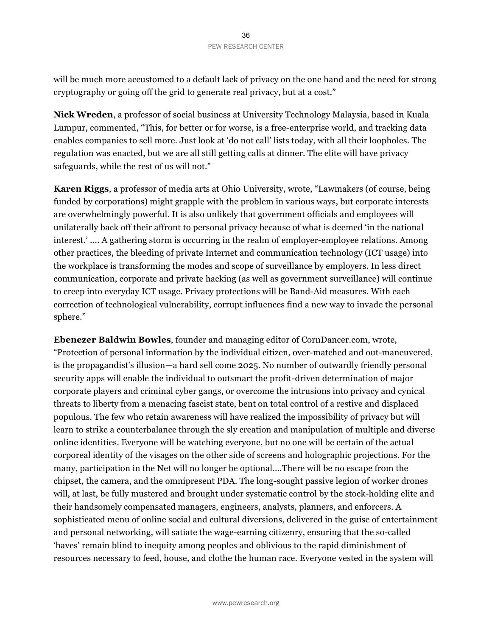will be much more accustomed to a default lack of privacy on the one hand and the need for strong cryptography or going off the grid to generate real privacy, but at a cost."

**Nick Wreden**, a professor of social business at University Technology Malaysia, based in Kuala Lumpur, commented, "This, for better or for worse, is a free-enterprise world, and tracking data enables companies to sell more. Just look at 'do not call' lists today, with all their loopholes. The regulation was enacted, but we are all still getting calls at dinner. The elite will have privacy safeguards, while the rest of us will not."

**Karen Riggs**, a professor of media arts at Ohio University, wrote, "Lawmakers (of course, being funded by corporations) might grapple with the problem in various ways, but corporate interests are overwhelmingly powerful. It is also unlikely that government officials and employees will unilaterally back off their affront to personal privacy because of what is deemed 'in the national interest.' .... A gathering storm is occurring in the realm of employer-employee relations. Among other practices, the bleeding of private Internet and communication technology (ICT usage) into the workplace is transforming the modes and scope of surveillance by employers. In less direct communication, corporate and private hacking (as well as government surveillance) will continue to creep into everyday ICT usage. Privacy protections will be Band-Aid measures. With each correction of technological vulnerability, corrupt influences find a new way to invade the personal sphere."

**Ebenezer Baldwin Bowles**, founder and managing editor of CornDancer.com, wrote, "Protection of personal information by the individual citizen, over-matched and out-maneuvered, is the propagandist's illusion—a hard sell come 2025. No number of outwardly friendly personal security apps will enable the individual to outsmart the profit-driven determination of major corporate players and criminal cyber gangs, or overcome the intrusions into privacy and cynical threats to liberty from a menacing fascist state, bent on total control of a restive and displaced populous. The few who retain awareness will have realized the impossibility of privacy but will learn to strike a counterbalance through the sly creation and manipulation of multiple and diverse online identities. Everyone will be watching everyone, but no one will be certain of the actual corporeal identity of the visages on the other side of screens and holographic projections. For the many, participation in the Net will no longer be optional.…There will be no escape from the chipset, the camera, and the omnipresent PDA. The long-sought passive legion of worker drones will, at last, be fully mustered and brought under systematic control by the stock-holding elite and their handsomely compensated managers, engineers, analysts, planners, and enforcers. A sophisticated menu of online social and cultural diversions, delivered in the guise of entertainment and personal networking, will satiate the wage-earning citizenry, ensuring that the so-called 'haves' remain blind to inequity among peoples and oblivious to the rapid diminishment of resources necessary to feed, house, and clothe the human race. Everyone vested in the system will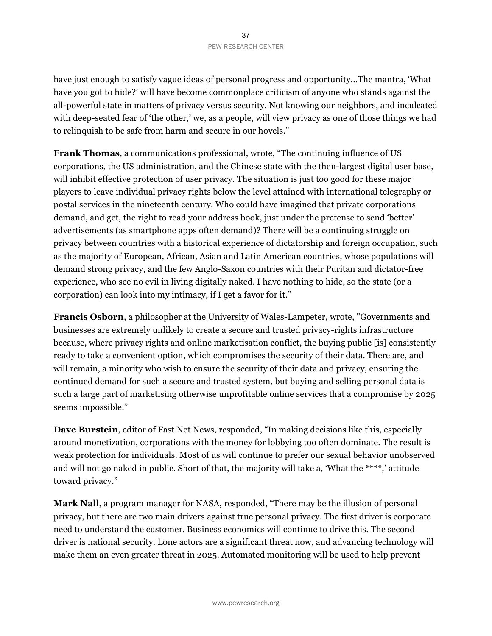have just enough to satisfy vague ideas of personal progress and opportunity...The mantra, 'What have you got to hide?' will have become commonplace criticism of anyone who stands against the all-powerful state in matters of privacy versus security. Not knowing our neighbors, and inculcated with deep-seated fear of 'the other,' we, as a people, will view privacy as one of those things we had to relinquish to be safe from harm and secure in our hovels."

**Frank Thomas**, a communications professional, wrote, "The continuing influence of US corporations, the US administration, and the Chinese state with the then-largest digital user base, will inhibit effective protection of user privacy. The situation is just too good for these major players to leave individual privacy rights below the level attained with international telegraphy or postal services in the nineteenth century. Who could have imagined that private corporations demand, and get, the right to read your address book, just under the pretense to send 'better' advertisements (as smartphone apps often demand)? There will be a continuing struggle on privacy between countries with a historical experience of dictatorship and foreign occupation, such as the majority of European, African, Asian and Latin American countries, whose populations will demand strong privacy, and the few Anglo-Saxon countries with their Puritan and dictator-free experience, who see no evil in living digitally naked. I have nothing to hide, so the state (or a corporation) can look into my intimacy, if I get a favor for it."

**Francis Osborn**, a philosopher at the University of Wales-Lampeter, wrote, "Governments and businesses are extremely unlikely to create a secure and trusted privacy-rights infrastructure because, where privacy rights and online marketisation conflict, the buying public [is] consistently ready to take a convenient option, which compromises the security of their data. There are, and will remain, a minority who wish to ensure the security of their data and privacy, ensuring the continued demand for such a secure and trusted system, but buying and selling personal data is such a large part of marketising otherwise unprofitable online services that a compromise by 2025 seems impossible."

**Dave Burstein**, editor of Fast Net News, responded, "In making decisions like this, especially around monetization, corporations with the money for lobbying too often dominate. The result is weak protection for individuals. Most of us will continue to prefer our sexual behavior unobserved and will not go naked in public. Short of that, the majority will take a, 'What the \*\*\*\*,' attitude toward privacy."

**Mark Nall**, a program manager for NASA, responded, "There may be the illusion of personal privacy, but there are two main drivers against true personal privacy. The first driver is corporate need to understand the customer. Business economics will continue to drive this. The second driver is national security. Lone actors are a significant threat now, and advancing technology will make them an even greater threat in 2025. Automated monitoring will be used to help prevent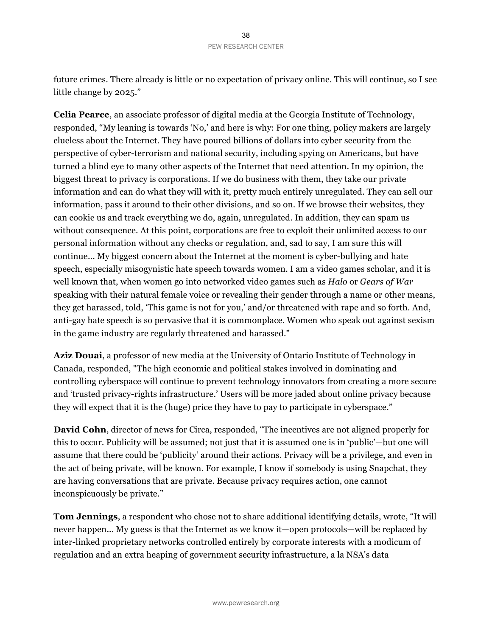future crimes. There already is little or no expectation of privacy online. This will continue, so I see little change by 2025."

**Celia Pearce**, an associate professor of digital media at the Georgia Institute of Technology, responded, "My leaning is towards 'No,' and here is why: For one thing, policy makers are largely clueless about the Internet. They have poured billions of dollars into cyber security from the perspective of cyber-terrorism and national security, including spying on Americans, but have turned a blind eye to many other aspects of the Internet that need attention. In my opinion, the biggest threat to privacy is corporations. If we do business with them, they take our private information and can do what they will with it, pretty much entirely unregulated. They can sell our information, pass it around to their other divisions, and so on. If we browse their websites, they can cookie us and track everything we do, again, unregulated. In addition, they can spam us without consequence. At this point, corporations are free to exploit their unlimited access to our personal information without any checks or regulation, and, sad to say, I am sure this will continue... My biggest concern about the Internet at the moment is cyber-bullying and hate speech, especially misogynistic hate speech towards women. I am a video games scholar, and it is well known that, when women go into networked video games such as *Halo* or *Gears of War* speaking with their natural female voice or revealing their gender through a name or other means, they get harassed, told, 'This game is not for you,' and/or threatened with rape and so forth. And, anti-gay hate speech is so pervasive that it is commonplace. Women who speak out against sexism in the game industry are regularly threatened and harassed."

**Aziz Douai**, a professor of new media at the University of Ontario Institute of Technology in Canada, responded, "The high economic and political stakes involved in dominating and controlling cyberspace will continue to prevent technology innovators from creating a more secure and 'trusted privacy-rights infrastructure.' Users will be more jaded about online privacy because they will expect that it is the (huge) price they have to pay to participate in cyberspace."

**David Cohn**, director of news for Circa, responded, "The incentives are not aligned properly for this to occur. Publicity will be assumed; not just that it is assumed one is in 'public'—but one will assume that there could be 'publicity' around their actions. Privacy will be a privilege, and even in the act of being private, will be known. For example, I know if somebody is using Snapchat, they are having conversations that are private. Because privacy requires action, one cannot inconspicuously be private."

**Tom Jennings**, a respondent who chose not to share additional identifying details, wrote, "It will never happen... My guess is that the Internet as we know it—open protocols—will be replaced by inter-linked proprietary networks controlled entirely by corporate interests with a modicum of regulation and an extra heaping of government security infrastructure, a la NSA's data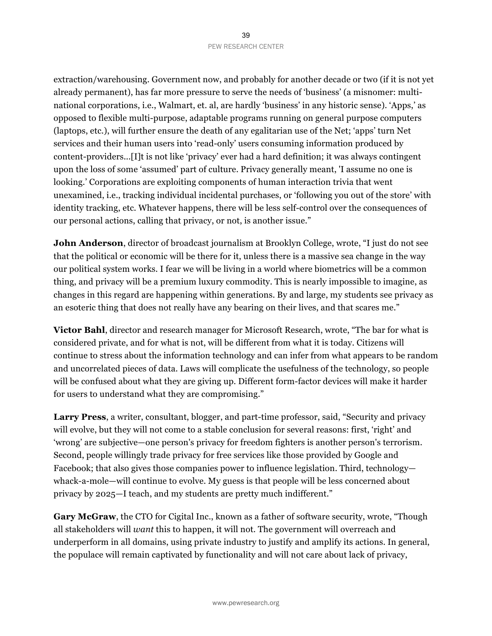extraction/warehousing. Government now, and probably for another decade or two (if it is not yet already permanent), has far more pressure to serve the needs of 'business' (a misnomer: multinational corporations, i.e., Walmart, et. al, are hardly 'business' in any historic sense). 'Apps,' as opposed to flexible multi-purpose, adaptable programs running on general purpose computers (laptops, etc.), will further ensure the death of any egalitarian use of the Net; 'apps' turn Net services and their human users into 'read-only' users consuming information produced by content-providers...[I]t is not like 'privacy' ever had a hard definition; it was always contingent upon the loss of some 'assumed' part of culture. Privacy generally meant, 'I assume no one is looking.' Corporations are exploiting components of human interaction trivia that went unexamined, i.e., tracking individual incidental purchases, or 'following you out of the store' with identity tracking, etc. Whatever happens, there will be less self-control over the consequences of our personal actions, calling that privacy, or not, is another issue."

**John Anderson**, director of broadcast journalism at Brooklyn College, wrote, "I just do not see that the political or economic will be there for it, unless there is a massive sea change in the way our political system works. I fear we will be living in a world where biometrics will be a common thing, and privacy will be a premium luxury commodity. This is nearly impossible to imagine, as changes in this regard are happening within generations. By and large, my students see privacy as an esoteric thing that does not really have any bearing on their lives, and that scares me."

**Victor Bahl**, director and research manager for Microsoft Research, wrote, "The bar for what is considered private, and for what is not, will be different from what it is today. Citizens will continue to stress about the information technology and can infer from what appears to be random and uncorrelated pieces of data. Laws will complicate the usefulness of the technology, so people will be confused about what they are giving up. Different form-factor devices will make it harder for users to understand what they are compromising."

**Larry Press**, a writer, consultant, blogger, and part-time professor, said, "Security and privacy will evolve, but they will not come to a stable conclusion for several reasons: first, 'right' and 'wrong' are subjective—one person's privacy for freedom fighters is another person's terrorism. Second, people willingly trade privacy for free services like those provided by Google and Facebook; that also gives those companies power to influence legislation. Third, technology whack-a-mole—will continue to evolve. My guess is that people will be less concerned about privacy by 2025—I teach, and my students are pretty much indifferent."

Gary McGraw, the CTO for Cigital Inc., known as a father of software security, wrote, "Though all stakeholders will *want* this to happen, it will not. The government will overreach and underperform in all domains, using private industry to justify and amplify its actions. In general, the populace will remain captivated by functionality and will not care about lack of privacy,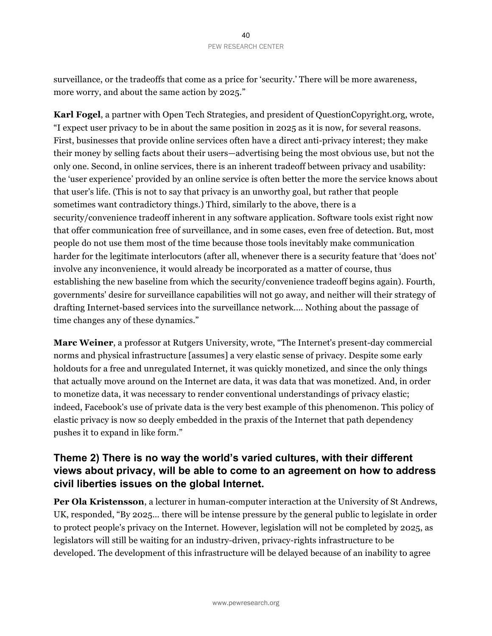surveillance, or the tradeoffs that come as a price for 'security.' There will be more awareness, more worry, and about the same action by 2025."

**Karl Fogel**, a partner with Open Tech Strategies, and president of QuestionCopyright.org, wrote, "I expect user privacy to be in about the same position in 2025 as it is now, for several reasons. First, businesses that provide online services often have a direct anti-privacy interest; they make their money by selling facts about their users—advertising being the most obvious use, but not the only one. Second, in online services, there is an inherent tradeoff between privacy and usability: the 'user experience' provided by an online service is often better the more the service knows about that user's life. (This is not to say that privacy is an unworthy goal, but rather that people sometimes want contradictory things.) Third, similarly to the above, there is a security/convenience tradeoff inherent in any software application. Software tools exist right now that offer communication free of surveillance, and in some cases, even free of detection. But, most people do not use them most of the time because those tools inevitably make communication harder for the legitimate interlocutors (after all, whenever there is a security feature that 'does not' involve any inconvenience, it would already be incorporated as a matter of course, thus establishing the new baseline from which the security/convenience tradeoff begins again). Fourth, governments' desire for surveillance capabilities will not go away, and neither will their strategy of drafting Internet-based services into the surveillance network.… Nothing about the passage of time changes any of these dynamics."

**Marc Weiner**, a professor at Rutgers University, wrote, "The Internet's present-day commercial norms and physical infrastructure [assumes] a very elastic sense of privacy. Despite some early holdouts for a free and unregulated Internet, it was quickly monetized, and since the only things that actually move around on the Internet are data, it was data that was monetized. And, in order to monetize data, it was necessary to render conventional understandings of privacy elastic; indeed, Facebook's use of private data is the very best example of this phenomenon. This policy of elastic privacy is now so deeply embedded in the praxis of the Internet that path dependency pushes it to expand in like form."

## **Theme 2) There is no way the world's varied cultures, with their different views about privacy, will be able to come to an agreement on how to address civil liberties issues on the global Internet.**

**Per Ola Kristensson**, a lecturer in human-computer interaction at the University of St Andrews, UK, responded, "By 2025… there will be intense pressure by the general public to legislate in order to protect people's privacy on the Internet. However, legislation will not be completed by 2025, as legislators will still be waiting for an industry-driven, privacy-rights infrastructure to be developed. The development of this infrastructure will be delayed because of an inability to agree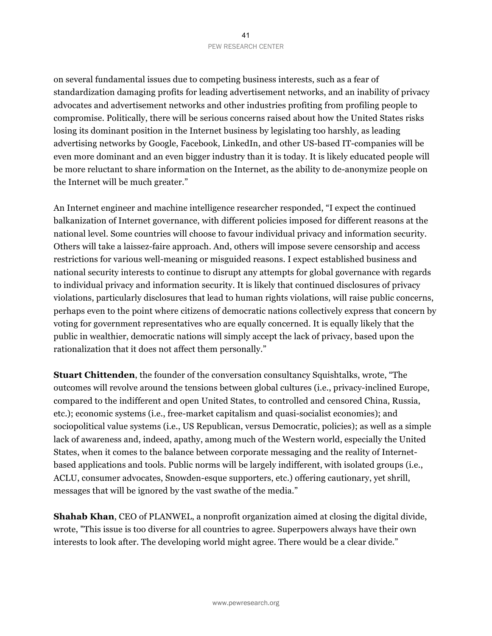on several fundamental issues due to competing business interests, such as a fear of standardization damaging profits for leading advertisement networks, and an inability of privacy advocates and advertisement networks and other industries profiting from profiling people to compromise. Politically, there will be serious concerns raised about how the United States risks losing its dominant position in the Internet business by legislating too harshly, as leading advertising networks by Google, Facebook, LinkedIn, and other US-based IT-companies will be even more dominant and an even bigger industry than it is today. It is likely educated people will be more reluctant to share information on the Internet, as the ability to de-anonymize people on the Internet will be much greater."

An Internet engineer and machine intelligence researcher responded, "I expect the continued balkanization of Internet governance, with different policies imposed for different reasons at the national level. Some countries will choose to favour individual privacy and information security. Others will take a laissez-faire approach. And, others will impose severe censorship and access restrictions for various well-meaning or misguided reasons. I expect established business and national security interests to continue to disrupt any attempts for global governance with regards to individual privacy and information security. It is likely that continued disclosures of privacy violations, particularly disclosures that lead to human rights violations, will raise public concerns, perhaps even to the point where citizens of democratic nations collectively express that concern by voting for government representatives who are equally concerned. It is equally likely that the public in wealthier, democratic nations will simply accept the lack of privacy, based upon the rationalization that it does not affect them personally."

**Stuart Chittenden**, the founder of the conversation consultancy Squishtalks, wrote, "The outcomes will revolve around the tensions between global cultures (i.e., privacy-inclined Europe, compared to the indifferent and open United States, to controlled and censored China, Russia, etc.); economic systems (i.e., free-market capitalism and quasi-socialist economies); and sociopolitical value systems (i.e., US Republican, versus Democratic, policies); as well as a simple lack of awareness and, indeed, apathy, among much of the Western world, especially the United States, when it comes to the balance between corporate messaging and the reality of Internetbased applications and tools. Public norms will be largely indifferent, with isolated groups (i.e., ACLU, consumer advocates, Snowden-esque supporters, etc.) offering cautionary, yet shrill, messages that will be ignored by the vast swathe of the media."

**Shahab Khan**, CEO of PLANWEL, a nonprofit organization aimed at closing the digital divide, wrote, "This issue is too diverse for all countries to agree. Superpowers always have their own interests to look after. The developing world might agree. There would be a clear divide."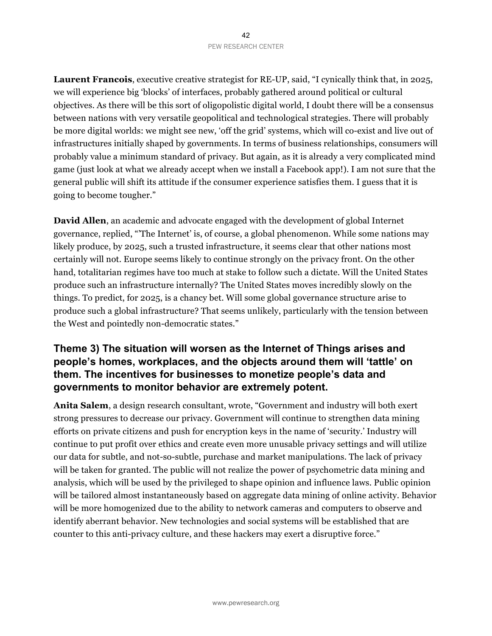**Laurent Francois**, executive creative strategist for RE-UP, said, "I cynically think that, in 2025, we will experience big 'blocks' of interfaces, probably gathered around political or cultural objectives. As there will be this sort of oligopolistic digital world, I doubt there will be a consensus between nations with very versatile geopolitical and technological strategies. There will probably be more digital worlds: we might see new, 'off the grid' systems, which will co-exist and live out of infrastructures initially shaped by governments. In terms of business relationships, consumers will probably value a minimum standard of privacy. But again, as it is already a very complicated mind game (just look at what we already accept when we install a Facebook app!). I am not sure that the general public will shift its attitude if the consumer experience satisfies them. I guess that it is going to become tougher."

**David Allen**, an academic and advocate engaged with the development of global Internet governance, replied, "'The Internet' is, of course, a global phenomenon. While some nations may likely produce, by 2025, such a trusted infrastructure, it seems clear that other nations most certainly will not. Europe seems likely to continue strongly on the privacy front. On the other hand, totalitarian regimes have too much at stake to follow such a dictate. Will the United States produce such an infrastructure internally? The United States moves incredibly slowly on the things. To predict, for 2025, is a chancy bet. Will some global governance structure arise to produce such a global infrastructure? That seems unlikely, particularly with the tension between the West and pointedly non-democratic states."

## **Theme 3) The situation will worsen as the Internet of Things arises and people's homes, workplaces, and the objects around them will 'tattle' on them. The incentives for businesses to monetize people's data and governments to monitor behavior are extremely potent.**

**Anita Salem**, a design research consultant, wrote, "Government and industry will both exert strong pressures to decrease our privacy. Government will continue to strengthen data mining efforts on private citizens and push for encryption keys in the name of 'security.' Industry will continue to put profit over ethics and create even more unusable privacy settings and will utilize our data for subtle, and not-so-subtle, purchase and market manipulations. The lack of privacy will be taken for granted. The public will not realize the power of psychometric data mining and analysis, which will be used by the privileged to shape opinion and influence laws. Public opinion will be tailored almost instantaneously based on aggregate data mining of online activity. Behavior will be more homogenized due to the ability to network cameras and computers to observe and identify aberrant behavior. New technologies and social systems will be established that are counter to this anti-privacy culture, and these hackers may exert a disruptive force."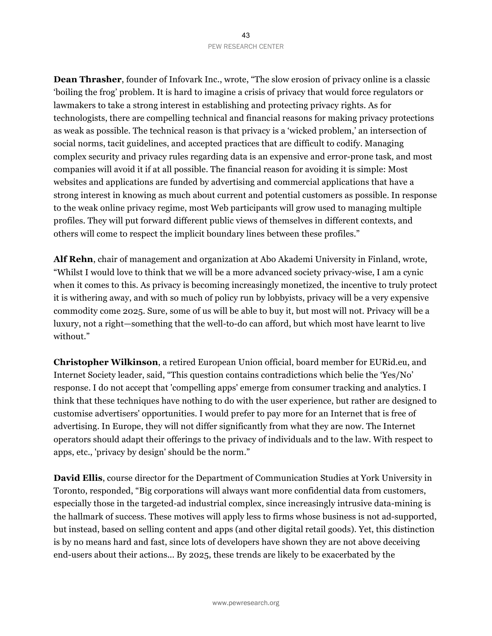**Dean Thrasher**, founder of Infovark Inc., wrote, "The slow erosion of privacy online is a classic 'boiling the frog' problem. It is hard to imagine a crisis of privacy that would force regulators or lawmakers to take a strong interest in establishing and protecting privacy rights. As for technologists, there are compelling technical and financial reasons for making privacy protections as weak as possible. The technical reason is that privacy is a 'wicked problem,' an intersection of social norms, tacit guidelines, and accepted practices that are difficult to codify. Managing complex security and privacy rules regarding data is an expensive and error-prone task, and most companies will avoid it if at all possible. The financial reason for avoiding it is simple: Most websites and applications are funded by advertising and commercial applications that have a strong interest in knowing as much about current and potential customers as possible. In response to the weak online privacy regime, most Web participants will grow used to managing multiple profiles. They will put forward different public views of themselves in different contexts, and others will come to respect the implicit boundary lines between these profiles."

**Alf Rehn**, chair of management and organization at Abo Akademi University in Finland, wrote, "Whilst I would love to think that we will be a more advanced society privacy-wise, I am a cynic when it comes to this. As privacy is becoming increasingly monetized, the incentive to truly protect it is withering away, and with so much of policy run by lobbyists, privacy will be a very expensive commodity come 2025. Sure, some of us will be able to buy it, but most will not. Privacy will be a luxury, not a right—something that the well-to-do can afford, but which most have learnt to live without."

**Christopher Wilkinson**, a retired European Union official, board member for EURid.eu, and Internet Society leader, said, "This question contains contradictions which belie the 'Yes/No' response. I do not accept that 'compelling apps' emerge from consumer tracking and analytics. I think that these techniques have nothing to do with the user experience, but rather are designed to customise advertisers' opportunities. I would prefer to pay more for an Internet that is free of advertising. In Europe, they will not differ significantly from what they are now. The Internet operators should adapt their offerings to the privacy of individuals and to the law. With respect to apps, etc., 'privacy by design' should be the norm."

**David Ellis**, course director for the Department of Communication Studies at York University in Toronto, responded, "Big corporations will always want more confidential data from customers, especially those in the targeted-ad industrial complex, since increasingly intrusive data-mining is the hallmark of success. These motives will apply less to firms whose business is not ad-supported, but instead, based on selling content and apps (and other digital retail goods). Yet, this distinction is by no means hard and fast, since lots of developers have shown they are not above deceiving end-users about their actions... By 2025, these trends are likely to be exacerbated by the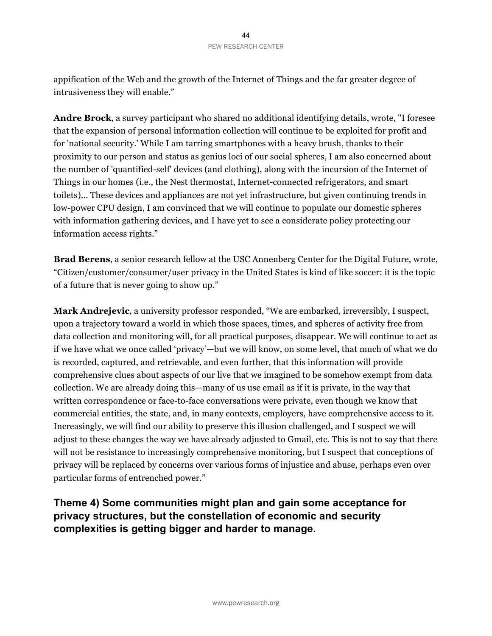appification of the Web and the growth of the Internet of Things and the far greater degree of intrusiveness they will enable."

**Andre Brock**, a survey participant who shared no additional identifying details, wrote, "I foresee that the expansion of personal information collection will continue to be exploited for profit and for 'national security.' While I am tarring smartphones with a heavy brush, thanks to their proximity to our person and status as genius loci of our social spheres, I am also concerned about the number of 'quantified-self' devices (and clothing), along with the incursion of the Internet of Things in our homes (i.e., the Nest thermostat, Internet-connected refrigerators, and smart toilets)... These devices and appliances are not yet infrastructure, but given continuing trends in low-power CPU design, I am convinced that we will continue to populate our domestic spheres with information gathering devices, and I have yet to see a considerate policy protecting our information access rights."

**Brad Berens**, a senior research fellow at the USC Annenberg Center for the Digital Future, wrote, "Citizen/customer/consumer/user privacy in the United States is kind of like soccer: it is the topic of a future that is never going to show up."

**Mark Andrejevic**, a university professor responded, "We are embarked, irreversibly, I suspect, upon a trajectory toward a world in which those spaces, times, and spheres of activity free from data collection and monitoring will, for all practical purposes, disappear. We will continue to act as if we have what we once called 'privacy'—but we will know, on some level, that much of what we do is recorded, captured, and retrievable, and even further, that this information will provide comprehensive clues about aspects of our live that we imagined to be somehow exempt from data collection. We are already doing this—many of us use email as if it is private, in the way that written correspondence or face-to-face conversations were private, even though we know that commercial entities, the state, and, in many contexts, employers, have comprehensive access to it. Increasingly, we will find our ability to preserve this illusion challenged, and I suspect we will adjust to these changes the way we have already adjusted to Gmail, etc. This is not to say that there will not be resistance to increasingly comprehensive monitoring, but I suspect that conceptions of privacy will be replaced by concerns over various forms of injustice and abuse, perhaps even over particular forms of entrenched power."

## **Theme 4) Some communities might plan and gain some acceptance for privacy structures, but the constellation of economic and security complexities is getting bigger and harder to manage.**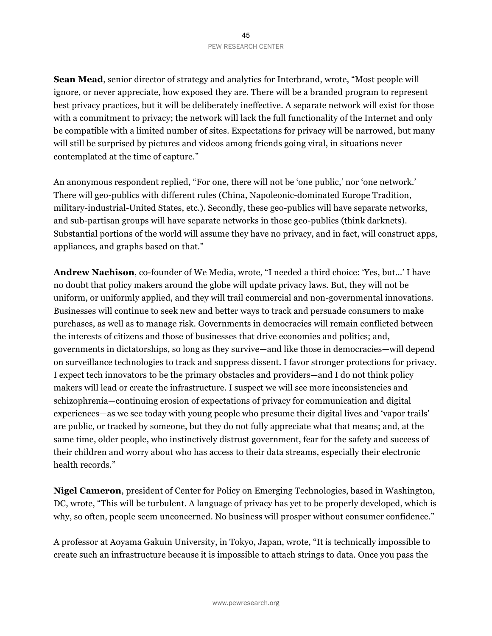**Sean Mead**, senior director of strategy and analytics for Interbrand, wrote, "Most people will ignore, or never appreciate, how exposed they are. There will be a branded program to represent best privacy practices, but it will be deliberately ineffective. A separate network will exist for those with a commitment to privacy; the network will lack the full functionality of the Internet and only be compatible with a limited number of sites. Expectations for privacy will be narrowed, but many will still be surprised by pictures and videos among friends going viral, in situations never contemplated at the time of capture."

An anonymous respondent replied, "For one, there will not be 'one public,' nor 'one network.' There will geo-publics with different rules (China, Napoleonic-dominated Europe Tradition, military-industrial-United States, etc.). Secondly, these geo-publics will have separate networks, and sub-partisan groups will have separate networks in those geo-publics (think darknets). Substantial portions of the world will assume they have no privacy, and in fact, will construct apps, appliances, and graphs based on that."

**Andrew Nachison**, co-founder of We Media, wrote, "I needed a third choice: 'Yes, but…' I have no doubt that policy makers around the globe will update privacy laws. But, they will not be uniform, or uniformly applied, and they will trail commercial and non-governmental innovations. Businesses will continue to seek new and better ways to track and persuade consumers to make purchases, as well as to manage risk. Governments in democracies will remain conflicted between the interests of citizens and those of businesses that drive economies and politics; and, governments in dictatorships, so long as they survive—and like those in democracies—will depend on surveillance technologies to track and suppress dissent. I favor stronger protections for privacy. I expect tech innovators to be the primary obstacles and providers—and I do not think policy makers will lead or create the infrastructure. I suspect we will see more inconsistencies and schizophrenia—continuing erosion of expectations of privacy for communication and digital experiences—as we see today with young people who presume their digital lives and 'vapor trails' are public, or tracked by someone, but they do not fully appreciate what that means; and, at the same time, older people, who instinctively distrust government, fear for the safety and success of their children and worry about who has access to their data streams, especially their electronic health records."

**Nigel Cameron**, president of Center for Policy on Emerging Technologies, based in Washington, DC, wrote, "This will be turbulent. A language of privacy has yet to be properly developed, which is why, so often, people seem unconcerned. No business will prosper without consumer confidence."

A professor at Aoyama Gakuin University, in Tokyo, Japan, wrote, "It is technically impossible to create such an infrastructure because it is impossible to attach strings to data. Once you pass the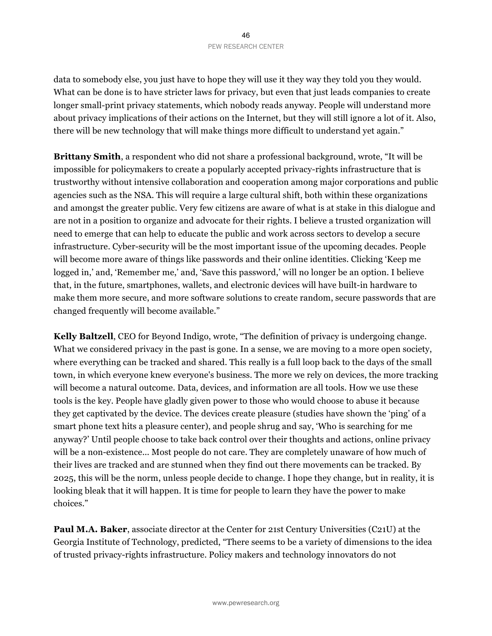data to somebody else, you just have to hope they will use it they way they told you they would. What can be done is to have stricter laws for privacy, but even that just leads companies to create longer small-print privacy statements, which nobody reads anyway. People will understand more about privacy implications of their actions on the Internet, but they will still ignore a lot of it. Also, there will be new technology that will make things more difficult to understand yet again."

**Brittany Smith**, a respondent who did not share a professional background, wrote, "It will be impossible for policymakers to create a popularly accepted privacy-rights infrastructure that is trustworthy without intensive collaboration and cooperation among major corporations and public agencies such as the NSA. This will require a large cultural shift, both within these organizations and amongst the greater public. Very few citizens are aware of what is at stake in this dialogue and are not in a position to organize and advocate for their rights. I believe a trusted organization will need to emerge that can help to educate the public and work across sectors to develop a secure infrastructure. Cyber-security will be the most important issue of the upcoming decades. People will become more aware of things like passwords and their online identities. Clicking 'Keep me logged in,' and, 'Remember me,' and, 'Save this password,' will no longer be an option. I believe that, in the future, smartphones, wallets, and electronic devices will have built-in hardware to make them more secure, and more software solutions to create random, secure passwords that are changed frequently will become available."

**Kelly Baltzell**, CEO for Beyond Indigo, wrote, "The definition of privacy is undergoing change. What we considered privacy in the past is gone. In a sense, we are moving to a more open society, where everything can be tracked and shared. This really is a full loop back to the days of the small town, in which everyone knew everyone's business. The more we rely on devices, the more tracking will become a natural outcome. Data, devices, and information are all tools. How we use these tools is the key. People have gladly given power to those who would choose to abuse it because they get captivated by the device. The devices create pleasure (studies have shown the 'ping' of a smart phone text hits a pleasure center), and people shrug and say, 'Who is searching for me anyway?' Until people choose to take back control over their thoughts and actions, online privacy will be a non-existence... Most people do not care. They are completely unaware of how much of their lives are tracked and are stunned when they find out there movements can be tracked. By 2025, this will be the norm, unless people decide to change. I hope they change, but in reality, it is looking bleak that it will happen. It is time for people to learn they have the power to make choices."

**Paul M.A. Baker**, associate director at the Center for 21st Century Universities (C21U) at the Georgia Institute of Technology, predicted, "There seems to be a variety of dimensions to the idea of trusted privacy-rights infrastructure. Policy makers and technology innovators do not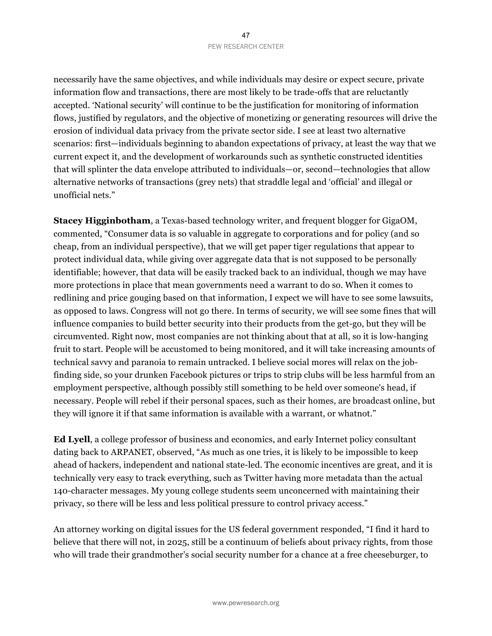necessarily have the same objectives, and while individuals may desire or expect secure, private information flow and transactions, there are most likely to be trade-offs that are reluctantly accepted. 'National security' will continue to be the justification for monitoring of information flows, justified by regulators, and the objective of monetizing or generating resources will drive the erosion of individual data privacy from the private sector side. I see at least two alternative scenarios: first—individuals beginning to abandon expectations of privacy, at least the way that we current expect it, and the development of workarounds such as synthetic constructed identities that will splinter the data envelope attributed to individuals—or, second—technologies that allow alternative networks of transactions (grey nets) that straddle legal and 'official' and illegal or unofficial nets."

**Stacey Higginbotham**, a Texas-based technology writer, and frequent blogger for GigaOM, commented, "Consumer data is so valuable in aggregate to corporations and for policy (and so cheap, from an individual perspective), that we will get paper tiger regulations that appear to protect individual data, while giving over aggregate data that is not supposed to be personally identifiable; however, that data will be easily tracked back to an individual, though we may have more protections in place that mean governments need a warrant to do so. When it comes to redlining and price gouging based on that information, I expect we will have to see some lawsuits, as opposed to laws. Congress will not go there. In terms of security, we will see some fines that will influence companies to build better security into their products from the get-go, but they will be circumvented. Right now, most companies are not thinking about that at all, so it is low-hanging fruit to start. People will be accustomed to being monitored, and it will take increasing amounts of technical savvy and paranoia to remain untracked. I believe social mores will relax on the jobfinding side, so your drunken Facebook pictures or trips to strip clubs will be less harmful from an employment perspective, although possibly still something to be held over someone's head, if necessary. People will rebel if their personal spaces, such as their homes, are broadcast online, but they will ignore it if that same information is available with a warrant, or whatnot."

**Ed Lyell**, a college professor of business and economics, and early Internet policy consultant dating back to ARPANET, observed, "As much as one tries, it is likely to be impossible to keep ahead of hackers, independent and national state-led. The economic incentives are great, and it is technically very easy to track everything, such as Twitter having more metadata than the actual 140-character messages. My young college students seem unconcerned with maintaining their privacy, so there will be less and less political pressure to control privacy access."

An attorney working on digital issues for the US federal government responded, "I find it hard to believe that there will not, in 2025, still be a continuum of beliefs about privacy rights, from those who will trade their grandmother's social security number for a chance at a free cheeseburger, to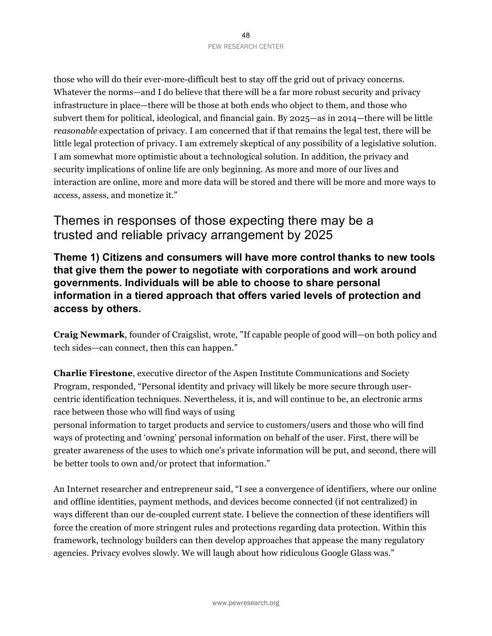those who will do their ever-more-difficult best to stay off the grid out of privacy concerns. Whatever the norms—and I do believe that there will be a far more robust security and privacy infrastructure in place—there will be those at both ends who object to them, and those who subvert them for political, ideological, and financial gain. By 2025—as in 2014—there will be little *reasonable* expectation of privacy. I am concerned that if that remains the legal test, there will be little legal protection of privacy. I am extremely skeptical of any possibility of a legislative solution. I am somewhat more optimistic about a technological solution. In addition, the privacy and security implications of online life are only beginning. As more and more of our lives and interaction are online, more and more data will be stored and there will be more and more ways to access, assess, and monetize it."

# Themes in responses of those expecting there may be a trusted and reliable privacy arrangement by 2025

**Theme 1) Citizens and consumers will have more control thanks to new tools that give them the power to negotiate with corporations and work around governments. Individuals will be able to choose to share personal information in a tiered approach that offers varied levels of protection and access by others.**

**Craig Newmark**, founder of Craigslist, wrote, "If capable people of good will—on both policy and tech sides—can connect, then this can happen."

**Charlie Firestone**, executive director of the Aspen Institute Communications and Society Program, responded, "Personal identity and privacy will likely be more secure through usercentric identification techniques. Nevertheless, it is, and will continue to be, an electronic arms race between those who will find ways of using

personal information to target products and service to customers/users and those who will find ways of protecting and 'owning' personal information on behalf of the user. First, there will be greater awareness of the uses to which one's private information will be put, and second, there will be better tools to own and/or protect that information."

An Internet researcher and entrepreneur said, "I see a convergence of identifiers, where our online and offline identities, payment methods, and devices become connected (if not centralized) in ways different than our de-coupled current state. I believe the connection of these identifiers will force the creation of more stringent rules and protections regarding data protection. Within this framework, technology builders can then develop approaches that appease the many regulatory agencies. Privacy evolves slowly. We will laugh about how ridiculous Google Glass was."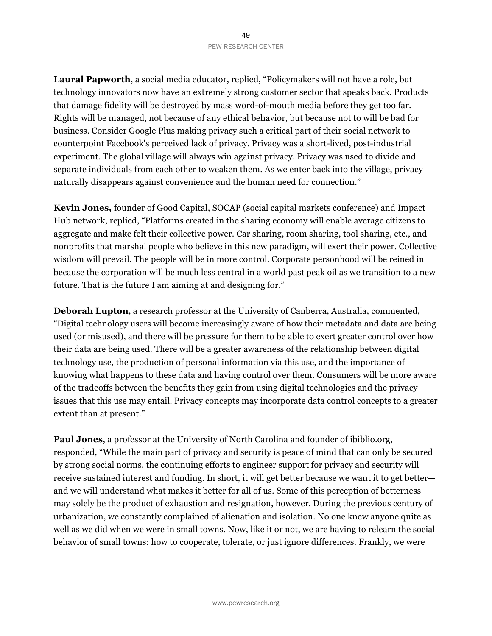**Laural Papworth**, a social media educator, replied, "Policymakers will not have a role, but technology innovators now have an extremely strong customer sector that speaks back. Products that damage fidelity will be destroyed by mass word-of-mouth media before they get too far. Rights will be managed, not because of any ethical behavior, but because not to will be bad for business. Consider Google Plus making privacy such a critical part of their social network to counterpoint Facebook's perceived lack of privacy. Privacy was a short-lived, post-industrial experiment. The global village will always win against privacy. Privacy was used to divide and separate individuals from each other to weaken them. As we enter back into the village, privacy naturally disappears against convenience and the human need for connection."

**Kevin Jones,** founder of Good Capital, SOCAP (social capital markets conference) and Impact Hub network, replied, "Platforms created in the sharing economy will enable average citizens to aggregate and make felt their collective power. Car sharing, room sharing, tool sharing, etc., and nonprofits that marshal people who believe in this new paradigm, will exert their power. Collective wisdom will prevail. The people will be in more control. Corporate personhood will be reined in because the corporation will be much less central in a world past peak oil as we transition to a new future. That is the future I am aiming at and designing for."

**Deborah Lupton**, a research professor at the University of Canberra, Australia, commented, "Digital technology users will become increasingly aware of how their metadata and data are being used (or misused), and there will be pressure for them to be able to exert greater control over how their data are being used. There will be a greater awareness of the relationship between digital technology use, the production of personal information via this use, and the importance of knowing what happens to these data and having control over them. Consumers will be more aware of the tradeoffs between the benefits they gain from using digital technologies and the privacy issues that this use may entail. Privacy concepts may incorporate data control concepts to a greater extent than at present."

**Paul Jones**, a professor at the University of North Carolina and founder of ibiblio.org, responded, "While the main part of privacy and security is peace of mind that can only be secured by strong social norms, the continuing efforts to engineer support for privacy and security will receive sustained interest and funding. In short, it will get better because we want it to get better and we will understand what makes it better for all of us. Some of this perception of betterness may solely be the product of exhaustion and resignation, however. During the previous century of urbanization, we constantly complained of alienation and isolation. No one knew anyone quite as well as we did when we were in small towns. Now, like it or not, we are having to relearn the social behavior of small towns: how to cooperate, tolerate, or just ignore differences. Frankly, we were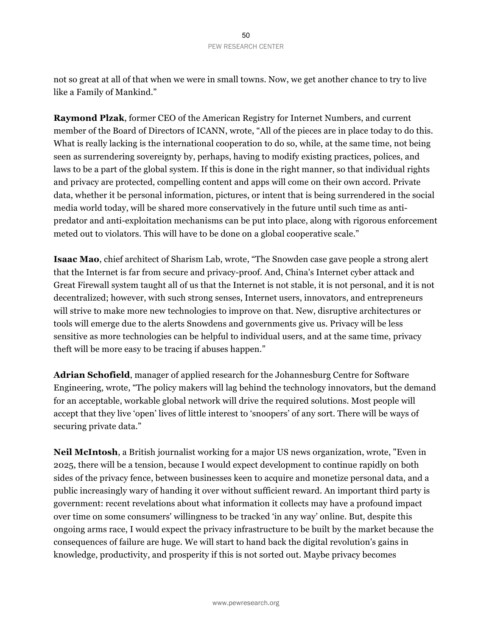not so great at all of that when we were in small towns. Now, we get another chance to try to live like a Family of Mankind."

**Raymond Plzak**, former CEO of the American Registry for Internet Numbers, and current member of the Board of Directors of ICANN, wrote, "All of the pieces are in place today to do this. What is really lacking is the international cooperation to do so, while, at the same time, not being seen as surrendering sovereignty by, perhaps, having to modify existing practices, polices, and laws to be a part of the global system. If this is done in the right manner, so that individual rights and privacy are protected, compelling content and apps will come on their own accord. Private data, whether it be personal information, pictures, or intent that is being surrendered in the social media world today, will be shared more conservatively in the future until such time as antipredator and anti-exploitation mechanisms can be put into place, along with rigorous enforcement meted out to violators. This will have to be done on a global cooperative scale."

**Isaac Mao**, chief architect of Sharism Lab, wrote, "The Snowden case gave people a strong alert that the Internet is far from secure and privacy-proof. And, China's Internet cyber attack and Great Firewall system taught all of us that the Internet is not stable, it is not personal, and it is not decentralized; however, with such strong senses, Internet users, innovators, and entrepreneurs will strive to make more new technologies to improve on that. New, disruptive architectures or tools will emerge due to the alerts Snowdens and governments give us. Privacy will be less sensitive as more technologies can be helpful to individual users, and at the same time, privacy theft will be more easy to be tracing if abuses happen."

**Adrian Schofield**, manager of applied research for the Johannesburg Centre for Software Engineering, wrote, "The policy makers will lag behind the technology innovators, but the demand for an acceptable, workable global network will drive the required solutions. Most people will accept that they live 'open' lives of little interest to 'snoopers' of any sort. There will be ways of securing private data."

**Neil McIntosh**, a British journalist working for a major US news organization, wrote, "Even in 2025, there will be a tension, because I would expect development to continue rapidly on both sides of the privacy fence, between businesses keen to acquire and monetize personal data, and a public increasingly wary of handing it over without sufficient reward. An important third party is government: recent revelations about what information it collects may have a profound impact over time on some consumers' willingness to be tracked 'in any way' online. But, despite this ongoing arms race, I would expect the privacy infrastructure to be built by the market because the consequences of failure are huge. We will start to hand back the digital revolution's gains in knowledge, productivity, and prosperity if this is not sorted out. Maybe privacy becomes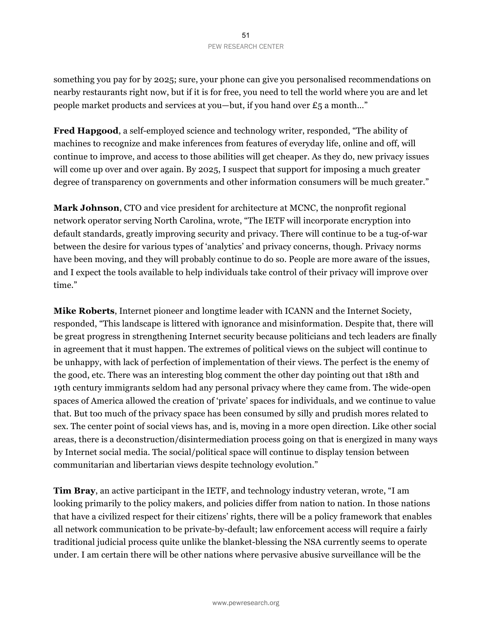#### 51 PEW RESEARCH CENTER

something you pay for by 2025; sure, your phone can give you personalised recommendations on nearby restaurants right now, but if it is for free, you need to tell the world where you are and let people market products and services at you—but, if you hand over £5 a month…"

**Fred Hapgood**, a self-employed science and technology writer, responded, "The ability of machines to recognize and make inferences from features of everyday life, online and off, will continue to improve, and access to those abilities will get cheaper. As they do, new privacy issues will come up over and over again. By 2025, I suspect that support for imposing a much greater degree of transparency on governments and other information consumers will be much greater."

**Mark Johnson**, CTO and vice president for architecture at MCNC, the nonprofit regional network operator serving North Carolina, wrote, "The IETF will incorporate encryption into default standards, greatly improving security and privacy. There will continue to be a tug-of-war between the desire for various types of 'analytics' and privacy concerns, though. Privacy norms have been moving, and they will probably continue to do so. People are more aware of the issues, and I expect the tools available to help individuals take control of their privacy will improve over time."

**Mike Roberts**, Internet pioneer and longtime leader with ICANN and the Internet Society, responded, "This landscape is littered with ignorance and misinformation. Despite that, there will be great progress in strengthening Internet security because politicians and tech leaders are finally in agreement that it must happen. The extremes of political views on the subject will continue to be unhappy, with lack of perfection of implementation of their views. The perfect is the enemy of the good, etc. There was an interesting blog comment the other day pointing out that 18th and 19th century immigrants seldom had any personal privacy where they came from. The wide-open spaces of America allowed the creation of 'private' spaces for individuals, and we continue to value that. But too much of the privacy space has been consumed by silly and prudish mores related to sex. The center point of social views has, and is, moving in a more open direction. Like other social areas, there is a deconstruction/disintermediation process going on that is energized in many ways by Internet social media. The social/political space will continue to display tension between communitarian and libertarian views despite technology evolution."

**Tim Bray**, an active participant in the IETF, and technology industry veteran, wrote, "I am looking primarily to the policy makers, and policies differ from nation to nation. In those nations that have a civilized respect for their citizens' rights, there will be a policy framework that enables all network communication to be private-by-default; law enforcement access will require a fairly traditional judicial process quite unlike the blanket-blessing the NSA currently seems to operate under. I am certain there will be other nations where pervasive abusive surveillance will be the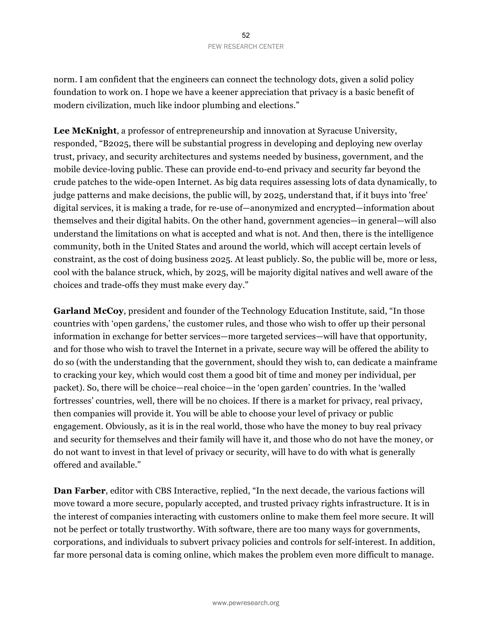norm. I am confident that the engineers can connect the technology dots, given a solid policy foundation to work on. I hope we have a keener appreciation that privacy is a basic benefit of modern civilization, much like indoor plumbing and elections."

**Lee McKnight**, a professor of entrepreneurship and innovation at Syracuse University, responded, "B2025, there will be substantial progress in developing and deploying new overlay trust, privacy, and security architectures and systems needed by business, government, and the mobile device-loving public. These can provide end-to-end privacy and security far beyond the crude patches to the wide-open Internet. As big data requires assessing lots of data dynamically, to judge patterns and make decisions, the public will, by 2025, understand that, if it buys into 'free' digital services, it is making a trade, for re-use of—anonymized and encrypted—information about themselves and their digital habits. On the other hand, government agencies—in general—will also understand the limitations on what is accepted and what is not. And then, there is the intelligence community, both in the United States and around the world, which will accept certain levels of constraint, as the cost of doing business 2025. At least publicly. So, the public will be, more or less, cool with the balance struck, which, by 2025, will be majority digital natives and well aware of the choices and trade-offs they must make every day."

**Garland McCoy**, president and founder of the Technology Education Institute, said, "In those countries with 'open gardens,' the customer rules, and those who wish to offer up their personal information in exchange for better services—more targeted services—will have that opportunity, and for those who wish to travel the Internet in a private, secure way will be offered the ability to do so (with the understanding that the government, should they wish to, can dedicate a mainframe to cracking your key, which would cost them a good bit of time and money per individual, per packet). So, there will be choice—real choice—in the 'open garden' countries. In the 'walled fortresses' countries, well, there will be no choices. If there is a market for privacy, real privacy, then companies will provide it. You will be able to choose your level of privacy or public engagement. Obviously, as it is in the real world, those who have the money to buy real privacy and security for themselves and their family will have it, and those who do not have the money, or do not want to invest in that level of privacy or security, will have to do with what is generally offered and available."

**Dan Farber**, editor with CBS Interactive, replied, "In the next decade, the various factions will move toward a more secure, popularly accepted, and trusted privacy rights infrastructure. It is in the interest of companies interacting with customers online to make them feel more secure. It will not be perfect or totally trustworthy. With software, there are too many ways for governments, corporations, and individuals to subvert privacy policies and controls for self-interest. In addition, far more personal data is coming online, which makes the problem even more difficult to manage.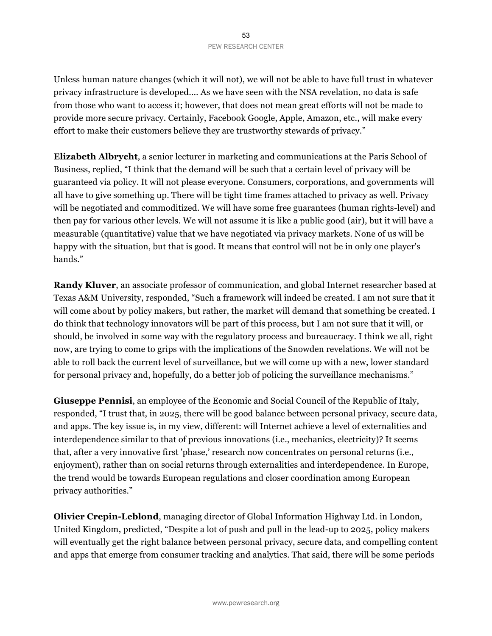Unless human nature changes (which it will not), we will not be able to have full trust in whatever privacy infrastructure is developed.… As we have seen with the NSA revelation, no data is safe from those who want to access it; however, that does not mean great efforts will not be made to provide more secure privacy. Certainly, Facebook Google, Apple, Amazon, etc., will make every effort to make their customers believe they are trustworthy stewards of privacy."

**Elizabeth Albrycht**, a senior lecturer in marketing and communications at the Paris School of Business, replied, "I think that the demand will be such that a certain level of privacy will be guaranteed via policy. It will not please everyone. Consumers, corporations, and governments will all have to give something up. There will be tight time frames attached to privacy as well. Privacy will be negotiated and commoditized. We will have some free guarantees (human rights-level) and then pay for various other levels. We will not assume it is like a public good (air), but it will have a measurable (quantitative) value that we have negotiated via privacy markets. None of us will be happy with the situation, but that is good. It means that control will not be in only one player's hands."

**Randy Kluver**, an associate professor of communication, and global Internet researcher based at Texas A&M University, responded, "Such a framework will indeed be created. I am not sure that it will come about by policy makers, but rather, the market will demand that something be created. I do think that technology innovators will be part of this process, but I am not sure that it will, or should, be involved in some way with the regulatory process and bureaucracy. I think we all, right now, are trying to come to grips with the implications of the Snowden revelations. We will not be able to roll back the current level of surveillance, but we will come up with a new, lower standard for personal privacy and, hopefully, do a better job of policing the surveillance mechanisms."

**Giuseppe Pennisi**, an employee of the Economic and Social Council of the Republic of Italy, responded, "I trust that, in 2025, there will be good balance between personal privacy, secure data, and apps. The key issue is, in my view, different: will Internet achieve a level of externalities and interdependence similar to that of previous innovations (i.e., mechanics, electricity)? It seems that, after a very innovative first 'phase,' research now concentrates on personal returns (i.e., enjoyment), rather than on social returns through externalities and interdependence. In Europe, the trend would be towards European regulations and closer coordination among European privacy authorities."

**Olivier Crepin-Leblond**, managing director of Global Information Highway Ltd. in London, United Kingdom, predicted, "Despite a lot of push and pull in the lead-up to 2025, policy makers will eventually get the right balance between personal privacy, secure data, and compelling content and apps that emerge from consumer tracking and analytics. That said, there will be some periods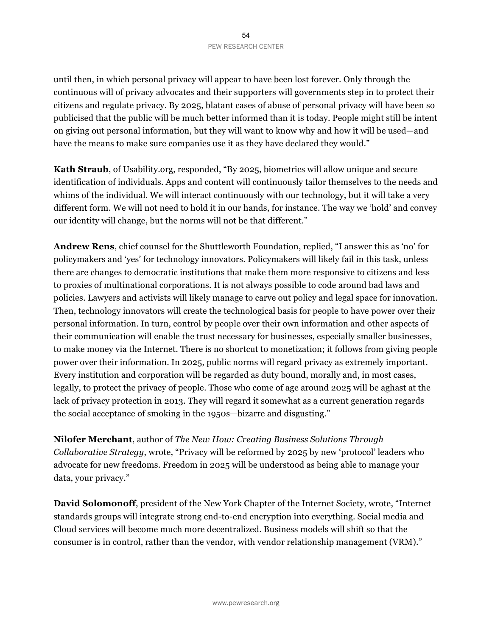until then, in which personal privacy will appear to have been lost forever. Only through the continuous will of privacy advocates and their supporters will governments step in to protect their citizens and regulate privacy. By 2025, blatant cases of abuse of personal privacy will have been so publicised that the public will be much better informed than it is today. People might still be intent on giving out personal information, but they will want to know why and how it will be used—and have the means to make sure companies use it as they have declared they would."

**Kath Straub**, of Usability.org, responded, "By 2025, biometrics will allow unique and secure identification of individuals. Apps and content will continuously tailor themselves to the needs and whims of the individual. We will interact continuously with our technology, but it will take a very different form. We will not need to hold it in our hands, for instance. The way we 'hold' and convey our identity will change, but the norms will not be that different."

**Andrew Rens**, chief counsel for the Shuttleworth Foundation, replied, "I answer this as 'no' for policymakers and 'yes' for technology innovators. Policymakers will likely fail in this task, unless there are changes to democratic institutions that make them more responsive to citizens and less to proxies of multinational corporations. It is not always possible to code around bad laws and policies. Lawyers and activists will likely manage to carve out policy and legal space for innovation. Then, technology innovators will create the technological basis for people to have power over their personal information. In turn, control by people over their own information and other aspects of their communication will enable the trust necessary for businesses, especially smaller businesses, to make money via the Internet. There is no shortcut to monetization; it follows from giving people power over their information. In 2025, public norms will regard privacy as extremely important. Every institution and corporation will be regarded as duty bound, morally and, in most cases, legally, to protect the privacy of people. Those who come of age around 2025 will be aghast at the lack of privacy protection in 2013. They will regard it somewhat as a current generation regards the social acceptance of smoking in the 1950s—bizarre and disgusting."

**Nilofer Merchant**, author of *The New How: Creating Business Solutions Through Collaborative Strategy*, wrote, "Privacy will be reformed by 2025 by new 'protocol' leaders who advocate for new freedoms. Freedom in 2025 will be understood as being able to manage your data, your privacy."

**David Solomonoff**, president of the New York Chapter of the Internet Society, wrote, "Internet standards groups will integrate strong end-to-end encryption into everything. Social media and Cloud services will become much more decentralized. Business models will shift so that the consumer is in control, rather than the vendor, with vendor relationship management (VRM)."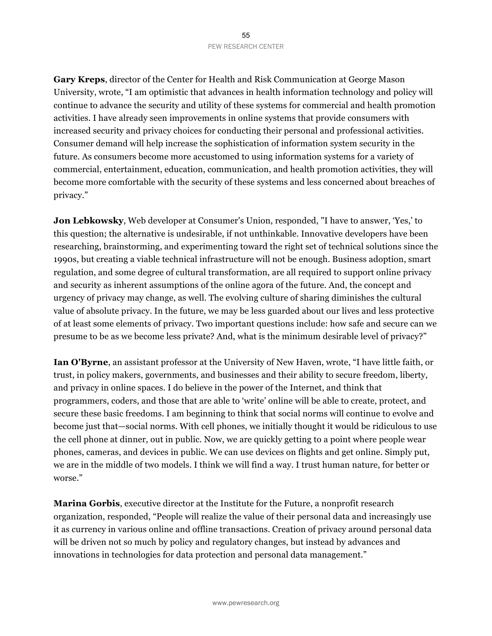**Gary Kreps**, director of the Center for Health and Risk Communication at George Mason University, wrote, "I am optimistic that advances in health information technology and policy will continue to advance the security and utility of these systems for commercial and health promotion activities. I have already seen improvements in online systems that provide consumers with increased security and privacy choices for conducting their personal and professional activities. Consumer demand will help increase the sophistication of information system security in the future. As consumers become more accustomed to using information systems for a variety of commercial, entertainment, education, communication, and health promotion activities, they will become more comfortable with the security of these systems and less concerned about breaches of privacy."

**Jon Lebkowsky**, Web developer at Consumer's Union, responded, "I have to answer, 'Yes,' to this question; the alternative is undesirable, if not unthinkable. Innovative developers have been researching, brainstorming, and experimenting toward the right set of technical solutions since the 1990s, but creating a viable technical infrastructure will not be enough. Business adoption, smart regulation, and some degree of cultural transformation, are all required to support online privacy and security as inherent assumptions of the online agora of the future. And, the concept and urgency of privacy may change, as well. The evolving culture of sharing diminishes the cultural value of absolute privacy. In the future, we may be less guarded about our lives and less protective of at least some elements of privacy. Two important questions include: how safe and secure can we presume to be as we become less private? And, what is the minimum desirable level of privacy?"

**Ian O'Byrne**, an assistant professor at the University of New Haven, wrote, "I have little faith, or trust, in policy makers, governments, and businesses and their ability to secure freedom, liberty, and privacy in online spaces. I do believe in the power of the Internet, and think that programmers, coders, and those that are able to 'write' online will be able to create, protect, and secure these basic freedoms. I am beginning to think that social norms will continue to evolve and become just that—social norms. With cell phones, we initially thought it would be ridiculous to use the cell phone at dinner, out in public. Now, we are quickly getting to a point where people wear phones, cameras, and devices in public. We can use devices on flights and get online. Simply put, we are in the middle of two models. I think we will find a way. I trust human nature, for better or worse."

**Marina Gorbis**, executive director at the Institute for the Future, a nonprofit research organization, responded, "People will realize the value of their personal data and increasingly use it as currency in various online and offline transactions. Creation of privacy around personal data will be driven not so much by policy and regulatory changes, but instead by advances and innovations in technologies for data protection and personal data management."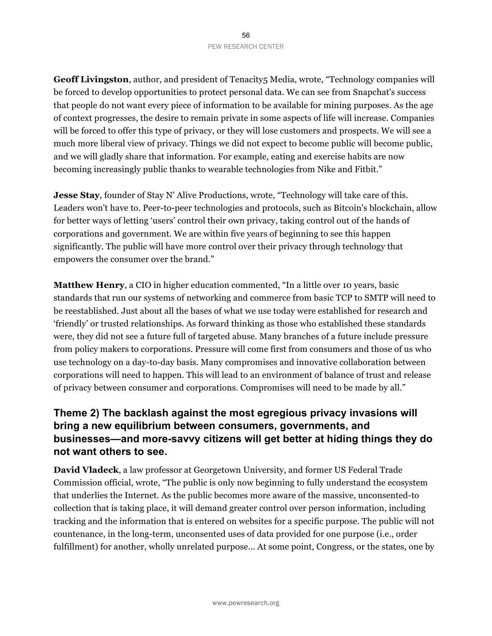#### 56 PEW RESEARCH CENTER

**Geoff Livingston**, author, and president of Tenacity5 Media, wrote, "Technology companies will be forced to develop opportunities to protect personal data. We can see from Snapchat's success that people do not want every piece of information to be available for mining purposes. As the age of context progresses, the desire to remain private in some aspects of life will increase. Companies will be forced to offer this type of privacy, or they will lose customers and prospects. We will see a much more liberal view of privacy. Things we did not expect to become public will become public, and we will gladly share that information. For example, eating and exercise habits are now becoming increasingly public thanks to wearable technologies from Nike and Fitbit."

**Jesse Stay**, founder of Stay N' Alive Productions, wrote, "Technology will take care of this. Leaders won't have to. Peer-to-peer technologies and protocols, such as Bitcoin's blockchain, allow for better ways of letting 'users' control their own privacy, taking control out of the hands of corporations and government. We are within five years of beginning to see this happen significantly. The public will have more control over their privacy through technology that empowers the consumer over the brand."

**Matthew Henry**, a CIO in higher education commented, "In a little over 10 years, basic standards that run our systems of networking and commerce from basic TCP to SMTP will need to be reestablished. Just about all the bases of what we use today were established for research and 'friendly' or trusted relationships. As forward thinking as those who established these standards were, they did not see a future full of targeted abuse. Many branches of a future include pressure from policy makers to corporations. Pressure will come first from consumers and those of us who use technology on a day-to-day basis. Many compromises and innovative collaboration between corporations will need to happen. This will lead to an environment of balance of trust and release of privacy between consumer and corporations. Compromises will need to be made by all."

# **Theme 2) The backlash against the most egregious privacy invasions will bring a new equilibrium between consumers, governments, and businesses—and more-savvy citizens will get better at hiding things they do not want others to see.**

**David Vladeck**, a law professor at Georgetown University, and former US Federal Trade Commission official, wrote, "The public is only now beginning to fully understand the ecosystem that underlies the Internet. As the public becomes more aware of the massive, unconsented-to collection that is taking place, it will demand greater control over person information, including tracking and the information that is entered on websites for a specific purpose. The public will not countenance, in the long-term, unconsented uses of data provided for one purpose (i.e., order fulfillment) for another, wholly unrelated purpose... At some point, Congress, or the states, one by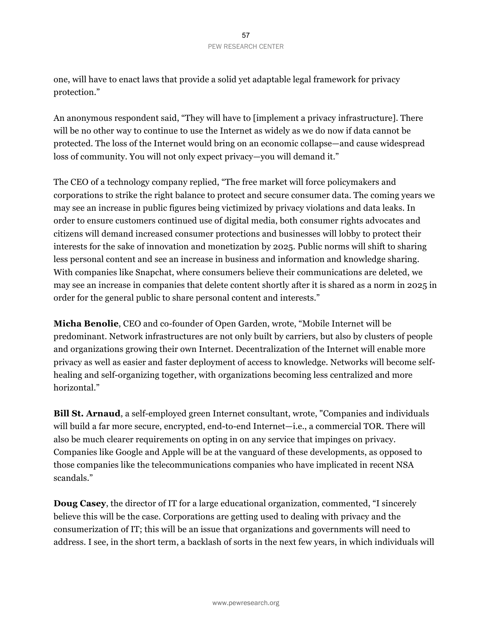one, will have to enact laws that provide a solid yet adaptable legal framework for privacy protection."

An anonymous respondent said, "They will have to [implement a privacy infrastructure]. There will be no other way to continue to use the Internet as widely as we do now if data cannot be protected. The loss of the Internet would bring on an economic collapse—and cause widespread loss of community. You will not only expect privacy—you will demand it."

The CEO of a technology company replied, "The free market will force policymakers and corporations to strike the right balance to protect and secure consumer data. The coming years we may see an increase in public figures being victimized by privacy violations and data leaks. In order to ensure customers continued use of digital media, both consumer rights advocates and citizens will demand increased consumer protections and businesses will lobby to protect their interests for the sake of innovation and monetization by 2025. Public norms will shift to sharing less personal content and see an increase in business and information and knowledge sharing. With companies like Snapchat, where consumers believe their communications are deleted, we may see an increase in companies that delete content shortly after it is shared as a norm in 2025 in order for the general public to share personal content and interests."

**Micha Benolie**, CEO and co-founder of Open Garden, wrote, "Mobile Internet will be predominant. Network infrastructures are not only built by carriers, but also by clusters of people and organizations growing their own Internet. Decentralization of the Internet will enable more privacy as well as easier and faster deployment of access to knowledge. Networks will become selfhealing and self-organizing together, with organizations becoming less centralized and more horizontal."

**Bill St. Arnaud**, a self-employed green Internet consultant, wrote, "Companies and individuals will build a far more secure, encrypted, end-to-end Internet—i.e., a commercial TOR. There will also be much clearer requirements on opting in on any service that impinges on privacy. Companies like Google and Apple will be at the vanguard of these developments, as opposed to those companies like the telecommunications companies who have implicated in recent NSA scandals."

**Doug Casey**, the director of IT for a large educational organization, commented, "I sincerely believe this will be the case. Corporations are getting used to dealing with privacy and the consumerization of IT; this will be an issue that organizations and governments will need to address. I see, in the short term, a backlash of sorts in the next few years, in which individuals will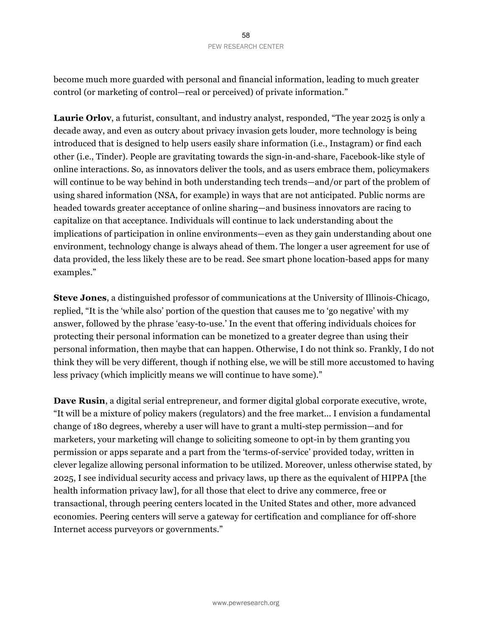become much more guarded with personal and financial information, leading to much greater control (or marketing of control—real or perceived) of private information."

**Laurie Orlov**, a futurist, consultant, and industry analyst, responded, "The year 2025 is only a decade away, and even as outcry about privacy invasion gets louder, more technology is being introduced that is designed to help users easily share information (i.e., Instagram) or find each other (i.e., Tinder). People are gravitating towards the sign-in-and-share, Facebook-like style of online interactions. So, as innovators deliver the tools, and as users embrace them, policymakers will continue to be way behind in both understanding tech trends—and/or part of the problem of using shared information (NSA, for example) in ways that are not anticipated. Public norms are headed towards greater acceptance of online sharing—and business innovators are racing to capitalize on that acceptance. Individuals will continue to lack understanding about the implications of participation in online environments—even as they gain understanding about one environment, technology change is always ahead of them. The longer a user agreement for use of data provided, the less likely these are to be read. See smart phone location-based apps for many examples."

**Steve Jones**, a distinguished professor of communications at the University of Illinois-Chicago, replied, "It is the 'while also' portion of the question that causes me to 'go negative' with my answer, followed by the phrase 'easy-to-use.' In the event that offering individuals choices for protecting their personal information can be monetized to a greater degree than using their personal information, then maybe that can happen. Otherwise, I do not think so. Frankly, I do not think they will be very different, though if nothing else, we will be still more accustomed to having less privacy (which implicitly means we will continue to have some)."

**Dave Rusin**, a digital serial entrepreneur, and former digital global corporate executive, wrote, "It will be a mixture of policy makers (regulators) and the free market... I envision a fundamental change of 180 degrees, whereby a user will have to grant a multi-step permission—and for marketers, your marketing will change to soliciting someone to opt-in by them granting you permission or apps separate and a part from the 'terms-of-service' provided today, written in clever legalize allowing personal information to be utilized. Moreover, unless otherwise stated, by 2025, I see individual security access and privacy laws, up there as the equivalent of HIPPA [the health information privacy law], for all those that elect to drive any commerce, free or transactional, through peering centers located in the United States and other, more advanced economies. Peering centers will serve a gateway for certification and compliance for off-shore Internet access purveyors or governments."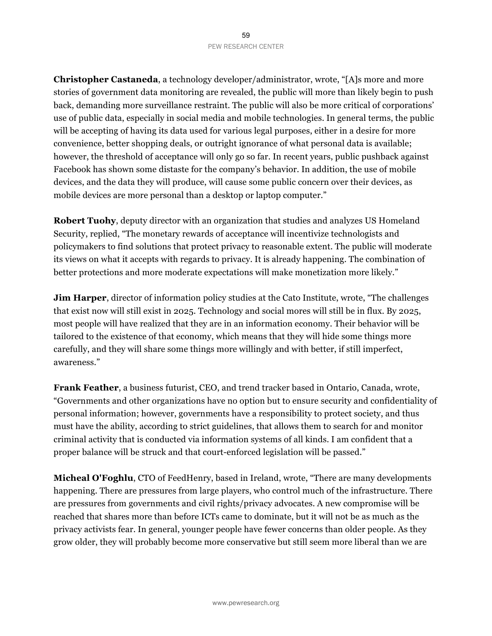#### 59 PEW RESEARCH CENTER

**Christopher Castaneda**, a technology developer/administrator, wrote, "[A]s more and more stories of government data monitoring are revealed, the public will more than likely begin to push back, demanding more surveillance restraint. The public will also be more critical of corporations' use of public data, especially in social media and mobile technologies. In general terms, the public will be accepting of having its data used for various legal purposes, either in a desire for more convenience, better shopping deals, or outright ignorance of what personal data is available; however, the threshold of acceptance will only go so far. In recent years, public pushback against Facebook has shown some distaste for the company's behavior. In addition, the use of mobile devices, and the data they will produce, will cause some public concern over their devices, as mobile devices are more personal than a desktop or laptop computer."

**Robert Tuohy**, deputy director with an organization that studies and analyzes US Homeland Security, replied, "The monetary rewards of acceptance will incentivize technologists and policymakers to find solutions that protect privacy to reasonable extent. The public will moderate its views on what it accepts with regards to privacy. It is already happening. The combination of better protections and more moderate expectations will make monetization more likely."

**Jim Harper**, director of information policy studies at the Cato Institute, wrote, "The challenges that exist now will still exist in 2025. Technology and social mores will still be in flux. By 2025, most people will have realized that they are in an information economy. Their behavior will be tailored to the existence of that economy, which means that they will hide some things more carefully, and they will share some things more willingly and with better, if still imperfect, awareness."

**Frank Feather**, a business futurist, CEO, and trend tracker based in Ontario, Canada, wrote, "Governments and other organizations have no option but to ensure security and confidentiality of personal information; however, governments have a responsibility to protect society, and thus must have the ability, according to strict guidelines, that allows them to search for and monitor criminal activity that is conducted via information systems of all kinds. I am confident that a proper balance will be struck and that court-enforced legislation will be passed."

**Micheal O'Foghlu**, CTO of FeedHenry, based in Ireland, wrote, "There are many developments happening. There are pressures from large players, who control much of the infrastructure. There are pressures from governments and civil rights/privacy advocates. A new compromise will be reached that shares more than before ICTs came to dominate, but it will not be as much as the privacy activists fear. In general, younger people have fewer concerns than older people. As they grow older, they will probably become more conservative but still seem more liberal than we are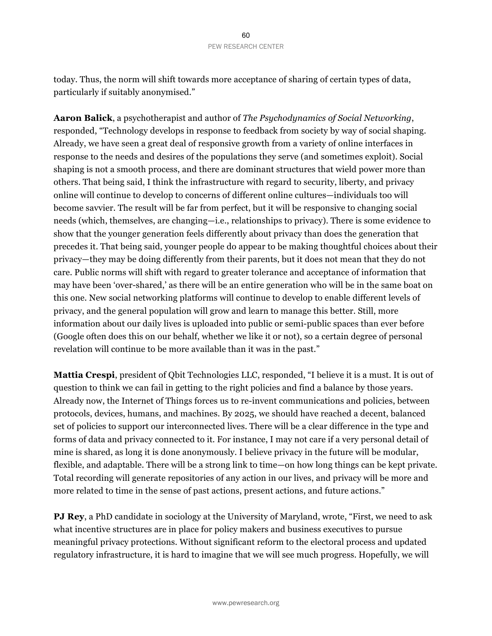today. Thus, the norm will shift towards more acceptance of sharing of certain types of data, particularly if suitably anonymised."

**Aaron Balick**, a psychotherapist and author of *The Psychodynamics of Social Networking*, responded, "Technology develops in response to feedback from society by way of social shaping. Already, we have seen a great deal of responsive growth from a variety of online interfaces in response to the needs and desires of the populations they serve (and sometimes exploit). Social shaping is not a smooth process, and there are dominant structures that wield power more than others. That being said, I think the infrastructure with regard to security, liberty, and privacy online will continue to develop to concerns of different online cultures—individuals too will become savvier. The result will be far from perfect, but it will be responsive to changing social needs (which, themselves, are changing—i.e., relationships to privacy). There is some evidence to show that the younger generation feels differently about privacy than does the generation that precedes it. That being said, younger people do appear to be making thoughtful choices about their privacy—they may be doing differently from their parents, but it does not mean that they do not care. Public norms will shift with regard to greater tolerance and acceptance of information that may have been 'over-shared,' as there will be an entire generation who will be in the same boat on this one. New social networking platforms will continue to develop to enable different levels of privacy, and the general population will grow and learn to manage this better. Still, more information about our daily lives is uploaded into public or semi-public spaces than ever before (Google often does this on our behalf, whether we like it or not), so a certain degree of personal revelation will continue to be more available than it was in the past."

**Mattia Crespi**, president of Qbit Technologies LLC, responded, "I believe it is a must. It is out of question to think we can fail in getting to the right policies and find a balance by those years. Already now, the Internet of Things forces us to re-invent communications and policies, between protocols, devices, humans, and machines. By 2025, we should have reached a decent, balanced set of policies to support our interconnected lives. There will be a clear difference in the type and forms of data and privacy connected to it. For instance, I may not care if a very personal detail of mine is shared, as long it is done anonymously. I believe privacy in the future will be modular, flexible, and adaptable. There will be a strong link to time—on how long things can be kept private. Total recording will generate repositories of any action in our lives, and privacy will be more and more related to time in the sense of past actions, present actions, and future actions."

**PJ Rey**, a PhD candidate in sociology at the University of Maryland, wrote, "First, we need to ask what incentive structures are in place for policy makers and business executives to pursue meaningful privacy protections. Without significant reform to the electoral process and updated regulatory infrastructure, it is hard to imagine that we will see much progress. Hopefully, we will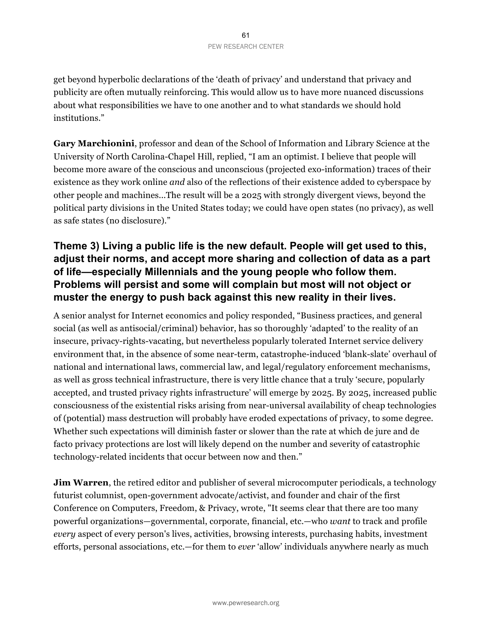get beyond hyperbolic declarations of the 'death of privacy' and understand that privacy and publicity are often mutually reinforcing. This would allow us to have more nuanced discussions about what responsibilities we have to one another and to what standards we should hold institutions."

**Gary Marchionini**, professor and dean of the School of Information and Library Science at the University of North Carolina-Chapel Hill, replied, "I am an optimist. I believe that people will become more aware of the conscious and unconscious (projected exo-information) traces of their existence as they work online *and* also of the reflections of their existence added to cyberspace by other people and machines...The result will be a 2025 with strongly divergent views, beyond the political party divisions in the United States today; we could have open states (no privacy), as well as safe states (no disclosure)."

# **Theme 3) Living a public life is the new default. People will get used to this, adjust their norms, and accept more sharing and collection of data as a part of life—especially Millennials and the young people who follow them. Problems will persist and some will complain but most will not object or muster the energy to push back against this new reality in their lives.**

A senior analyst for Internet economics and policy responded, "Business practices, and general social (as well as antisocial/criminal) behavior, has so thoroughly 'adapted' to the reality of an insecure, privacy-rights-vacating, but nevertheless popularly tolerated Internet service delivery environment that, in the absence of some near-term, catastrophe-induced 'blank-slate' overhaul of national and international laws, commercial law, and legal/regulatory enforcement mechanisms, as well as gross technical infrastructure, there is very little chance that a truly 'secure, popularly accepted, and trusted privacy rights infrastructure' will emerge by 2025. By 2025, increased public consciousness of the existential risks arising from near-universal availability of cheap technologies of (potential) mass destruction will probably have eroded expectations of privacy, to some degree. Whether such expectations will diminish faster or slower than the rate at which de jure and de facto privacy protections are lost will likely depend on the number and severity of catastrophic technology-related incidents that occur between now and then."

**Jim Warren**, the retired editor and publisher of several microcomputer periodicals, a technology futurist columnist, open-government advocate/activist, and founder and chair of the first Conference on Computers, Freedom, & Privacy, wrote, "It seems clear that there are too many powerful organizations—governmental, corporate, financial, etc.—who *want* to track and profile *every* aspect of every person's lives, activities, browsing interests, purchasing habits, investment efforts, personal associations, etc.—for them to *ever* 'allow' individuals anywhere nearly as much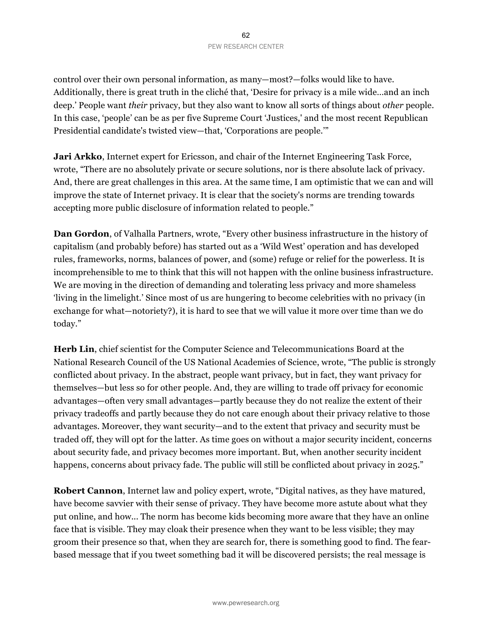control over their own personal information, as many—most?—folks would like to have. Additionally, there is great truth in the cliché that, 'Desire for privacy is a mile wide…and an inch deep.' People want *their* privacy, but they also want to know all sorts of things about *other* people. In this case, 'people' can be as per five Supreme Court 'Justices,' and the most recent Republican Presidential candidate's twisted view—that, 'Corporations are people.'"

**Jari Arkko**, Internet expert for Ericsson, and chair of the Internet Engineering Task Force, wrote, "There are no absolutely private or secure solutions, nor is there absolute lack of privacy. And, there are great challenges in this area. At the same time, I am optimistic that we can and will improve the state of Internet privacy. It is clear that the society's norms are trending towards accepting more public disclosure of information related to people."

**Dan Gordon**, of Valhalla Partners, wrote, "Every other business infrastructure in the history of capitalism (and probably before) has started out as a 'Wild West' operation and has developed rules, frameworks, norms, balances of power, and (some) refuge or relief for the powerless. It is incomprehensible to me to think that this will not happen with the online business infrastructure. We are moving in the direction of demanding and tolerating less privacy and more shameless 'living in the limelight.' Since most of us are hungering to become celebrities with no privacy (in exchange for what—notoriety?), it is hard to see that we will value it more over time than we do today."

**Herb Lin**, chief scientist for the Computer Science and Telecommunications Board at the National Research Council of the US National Academies of Science, wrote, "The public is strongly conflicted about privacy. In the abstract, people want privacy, but in fact, they want privacy for themselves—but less so for other people. And, they are willing to trade off privacy for economic advantages—often very small advantages—partly because they do not realize the extent of their privacy tradeoffs and partly because they do not care enough about their privacy relative to those advantages. Moreover, they want security—and to the extent that privacy and security must be traded off, they will opt for the latter. As time goes on without a major security incident, concerns about security fade, and privacy becomes more important. But, when another security incident happens, concerns about privacy fade. The public will still be conflicted about privacy in 2025."

**Robert Cannon**, Internet law and policy expert, wrote, "Digital natives, as they have matured, have become savvier with their sense of privacy. They have become more astute about what they put online, and how... The norm has become kids becoming more aware that they have an online face that is visible. They may cloak their presence when they want to be less visible; they may groom their presence so that, when they are search for, there is something good to find. The fearbased message that if you tweet something bad it will be discovered persists; the real message is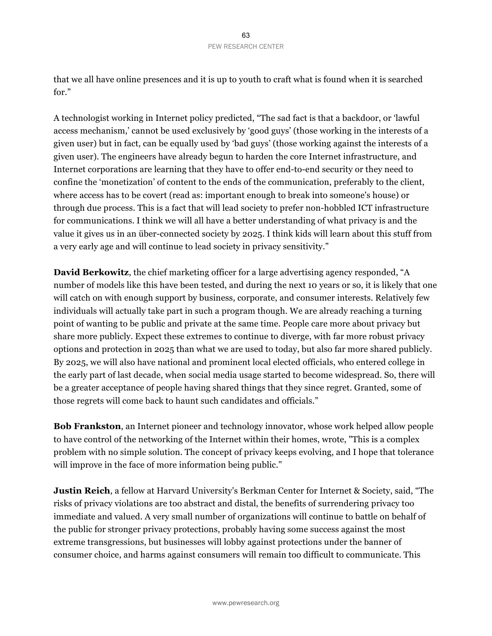that we all have online presences and it is up to youth to craft what is found when it is searched for."

A technologist working in Internet policy predicted, "The sad fact is that a backdoor, or 'lawful access mechanism,' cannot be used exclusively by 'good guys' (those working in the interests of a given user) but in fact, can be equally used by 'bad guys' (those working against the interests of a given user). The engineers have already begun to harden the core Internet infrastructure, and Internet corporations are learning that they have to offer end-to-end security or they need to confine the 'monetization' of content to the ends of the communication, preferably to the client, where access has to be covert (read as: important enough to break into someone's house) or through due process. This is a fact that will lead society to prefer non-hobbled ICT infrastructure for communications. I think we will all have a better understanding of what privacy is and the value it gives us in an über-connected society by 2025. I think kids will learn about this stuff from a very early age and will continue to lead society in privacy sensitivity."

**David Berkowitz**, the chief marketing officer for a large advertising agency responded, "A number of models like this have been tested, and during the next 10 years or so, it is likely that one will catch on with enough support by business, corporate, and consumer interests. Relatively few individuals will actually take part in such a program though. We are already reaching a turning point of wanting to be public and private at the same time. People care more about privacy but share more publicly. Expect these extremes to continue to diverge, with far more robust privacy options and protection in 2025 than what we are used to today, but also far more shared publicly. By 2025, we will also have national and prominent local elected officials, who entered college in the early part of last decade, when social media usage started to become widespread. So, there will be a greater acceptance of people having shared things that they since regret. Granted, some of those regrets will come back to haunt such candidates and officials."

**Bob Frankston**, an Internet pioneer and technology innovator, whose work helped allow people to have control of the networking of the Internet within their homes, wrote, "This is a complex problem with no simple solution. The concept of privacy keeps evolving, and I hope that tolerance will improve in the face of more information being public."

**Justin Reich**, a fellow at Harvard University's Berkman Center for Internet & Society, said, "The risks of privacy violations are too abstract and distal, the benefits of surrendering privacy too immediate and valued. A very small number of organizations will continue to battle on behalf of the public for stronger privacy protections, probably having some success against the most extreme transgressions, but businesses will lobby against protections under the banner of consumer choice, and harms against consumers will remain too difficult to communicate. This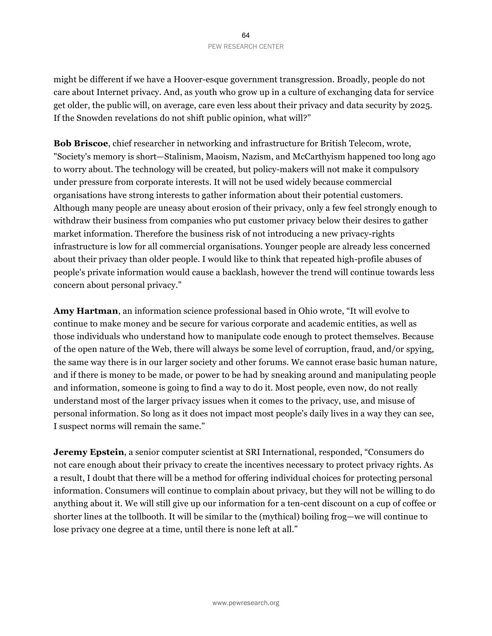might be different if we have a Hoover-esque government transgression. Broadly, people do not care about Internet privacy. And, as youth who grow up in a culture of exchanging data for service get older, the public will, on average, care even less about their privacy and data security by 2025. If the Snowden revelations do not shift public opinion, what will?"

**Bob Briscoe**, chief researcher in networking and infrastructure for British Telecom, wrote, "Society's memory is short—Stalinism, Maoism, Nazism, and McCarthyism happened too long ago to worry about. The technology will be created, but policy-makers will not make it compulsory under pressure from corporate interests. It will not be used widely because commercial organisations have strong interests to gather information about their potential customers. Although many people are uneasy about erosion of their privacy, only a few feel strongly enough to withdraw their business from companies who put customer privacy below their desires to gather market information. Therefore the business risk of not introducing a new privacy-rights infrastructure is low for all commercial organisations. Younger people are already less concerned about their privacy than older people. I would like to think that repeated high-profile abuses of people's private information would cause a backlash, however the trend will continue towards less concern about personal privacy."

**Amy Hartman**, an information science professional based in Ohio wrote, "It will evolve to continue to make money and be secure for various corporate and academic entities, as well as those individuals who understand how to manipulate code enough to protect themselves. Because of the open nature of the Web, there will always be some level of corruption, fraud, and/or spying, the same way there is in our larger society and other forums. We cannot erase basic human nature, and if there is money to be made, or power to be had by sneaking around and manipulating people and information, someone is going to find a way to do it. Most people, even now, do not really understand most of the larger privacy issues when it comes to the privacy, use, and misuse of personal information. So long as it does not impact most people's daily lives in a way they can see, I suspect norms will remain the same."

**Jeremy Epstein**, a senior computer scientist at SRI International, responded, "Consumers do not care enough about their privacy to create the incentives necessary to protect privacy rights. As a result, I doubt that there will be a method for offering individual choices for protecting personal information. Consumers will continue to complain about privacy, but they will not be willing to do anything about it. We will still give up our information for a ten-cent discount on a cup of coffee or shorter lines at the tollbooth. It will be similar to the (mythical) boiling frog—we will continue to lose privacy one degree at a time, until there is none left at all."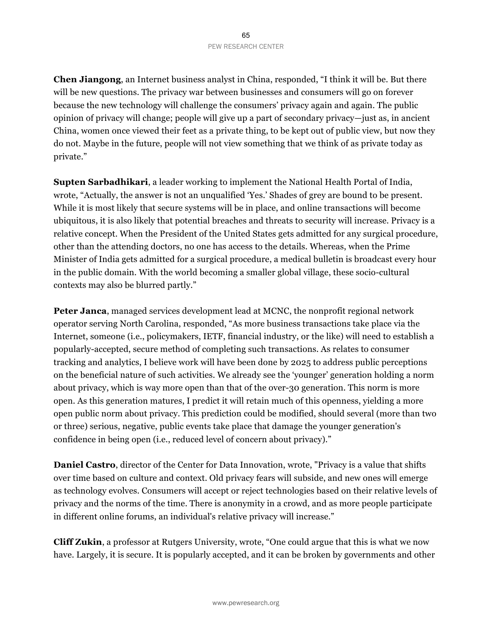**Chen Jiangong**, an Internet business analyst in China, responded, "I think it will be. But there will be new questions. The privacy war between businesses and consumers will go on forever because the new technology will challenge the consumers' privacy again and again. The public opinion of privacy will change; people will give up a part of secondary privacy—just as, in ancient China, women once viewed their feet as a private thing, to be kept out of public view, but now they do not. Maybe in the future, people will not view something that we think of as private today as private."

**Supten Sarbadhikari**, a leader working to implement the National Health Portal of India, wrote, "Actually, the answer is not an unqualified 'Yes.' Shades of grey are bound to be present. While it is most likely that secure systems will be in place, and online transactions will become ubiquitous, it is also likely that potential breaches and threats to security will increase. Privacy is a relative concept. When the President of the United States gets admitted for any surgical procedure, other than the attending doctors, no one has access to the details. Whereas, when the Prime Minister of India gets admitted for a surgical procedure, a medical bulletin is broadcast every hour in the public domain. With the world becoming a smaller global village, these socio-cultural contexts may also be blurred partly."

**Peter Janca**, managed services development lead at MCNC, the nonprofit regional network operator serving North Carolina, responded, "As more business transactions take place via the Internet, someone (i.e., policymakers, IETF, financial industry, or the like) will need to establish a popularly-accepted, secure method of completing such transactions. As relates to consumer tracking and analytics, I believe work will have been done by 2025 to address public perceptions on the beneficial nature of such activities. We already see the 'younger' generation holding a norm about privacy, which is way more open than that of the over-30 generation. This norm is more open. As this generation matures, I predict it will retain much of this openness, yielding a more open public norm about privacy. This prediction could be modified, should several (more than two or three) serious, negative, public events take place that damage the younger generation's confidence in being open (i.e., reduced level of concern about privacy)."

**Daniel Castro**, director of the Center for Data Innovation, wrote, "Privacy is a value that shifts over time based on culture and context. Old privacy fears will subside, and new ones will emerge as technology evolves. Consumers will accept or reject technologies based on their relative levels of privacy and the norms of the time. There is anonymity in a crowd, and as more people participate in different online forums, an individual's relative privacy will increase."

**Cliff Zukin**, a professor at Rutgers University, wrote, "One could argue that this is what we now have. Largely, it is secure. It is popularly accepted, and it can be broken by governments and other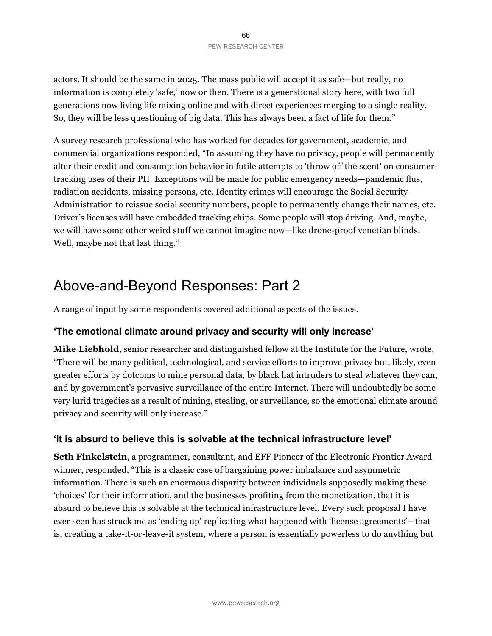66 PEW RESEARCH CENTER

actors. It should be the same in 2025. The mass public will accept it as safe—but really, no information is completely 'safe,' now or then. There is a generational story here, with two full generations now living life mixing online and with direct experiences merging to a single reality. So, they will be less questioning of big data. This has always been a fact of life for them."

A survey research professional who has worked for decades for government, academic, and commercial organizations responded, "In assuming they have no privacy, people will permanently alter their credit and consumption behavior in futile attempts to 'throw off the scent' on consumertracking uses of their PII. Exceptions will be made for public emergency needs—pandemic flus, radiation accidents, missing persons, etc. Identity crimes will encourage the Social Security Administration to reissue social security numbers, people to permanently change their names, etc. Driver's licenses will have embedded tracking chips. Some people will stop driving. And, maybe, we will have some other weird stuff we cannot imagine now—like drone-proof venetian blinds. Well, maybe not that last thing."

# Above-and-Beyond Responses: Part 2

A range of input by some respondents covered additional aspects of the issues.

## **'The emotional climate around privacy and security will only increase'**

**Mike Liebhold**, senior researcher and distinguished fellow at the Institute for the Future, wrote, "There will be many political, technological, and service efforts to improve privacy but, likely, even greater efforts by dotcoms to mine personal data, by black hat intruders to steal whatever they can, and by government's pervasive surveillance of the entire Internet. There will undoubtedly be some very lurid tragedies as a result of mining, stealing, or surveillance, so the emotional climate around privacy and security will only increase."

## **'It is absurd to believe this is solvable at the technical infrastructure level'**

**Seth Finkelstein**, a programmer, consultant, and EFF Pioneer of the Electronic Frontier Award winner, responded, "This is a classic case of bargaining power imbalance and asymmetric information. There is such an enormous disparity between individuals supposedly making these 'choices' for their information, and the businesses profiting from the monetization, that it is absurd to believe this is solvable at the technical infrastructure level. Every such proposal I have ever seen has struck me as 'ending up' replicating what happened with 'license agreements'—that is, creating a take-it-or-leave-it system, where a person is essentially powerless to do anything but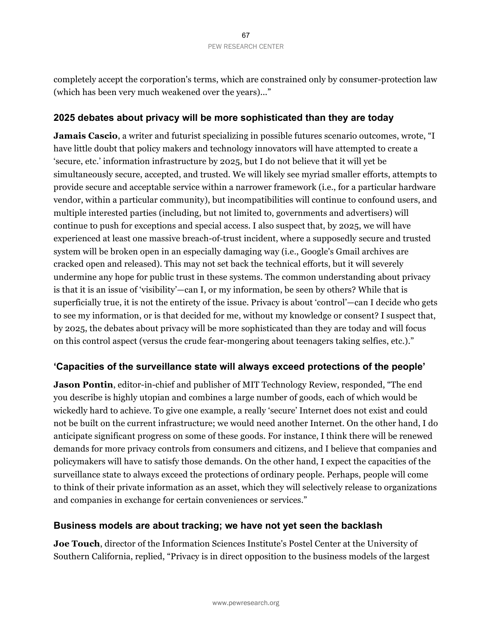completely accept the corporation's terms, which are constrained only by consumer-protection law (which has been very much weakened over the years)..."

### **2025 debates about privacy will be more sophisticated than they are today**

**Jamais Cascio**, a writer and futurist specializing in possible futures scenario outcomes, wrote, "I have little doubt that policy makers and technology innovators will have attempted to create a 'secure, etc.' information infrastructure by 2025, but I do not believe that it will yet be simultaneously secure, accepted, and trusted. We will likely see myriad smaller efforts, attempts to provide secure and acceptable service within a narrower framework (i.e., for a particular hardware vendor, within a particular community), but incompatibilities will continue to confound users, and multiple interested parties (including, but not limited to, governments and advertisers) will continue to push for exceptions and special access. I also suspect that, by 2025, we will have experienced at least one massive breach-of-trust incident, where a supposedly secure and trusted system will be broken open in an especially damaging way (i.e., Google's Gmail archives are cracked open and released). This may not set back the technical efforts, but it will severely undermine any hope for public trust in these systems. The common understanding about privacy is that it is an issue of 'visibility'—can I, or my information, be seen by others? While that is superficially true, it is not the entirety of the issue. Privacy is about 'control'—can I decide who gets to see my information, or is that decided for me, without my knowledge or consent? I suspect that, by 2025, the debates about privacy will be more sophisticated than they are today and will focus on this control aspect (versus the crude fear-mongering about teenagers taking selfies, etc.)."

#### **'Capacities of the surveillance state will always exceed protections of the people'**

**Jason Pontin**, editor-in-chief and publisher of MIT Technology Review, responded, "The end you describe is highly utopian and combines a large number of goods, each of which would be wickedly hard to achieve. To give one example, a really 'secure' Internet does not exist and could not be built on the current infrastructure; we would need another Internet. On the other hand, I do anticipate significant progress on some of these goods. For instance, I think there will be renewed demands for more privacy controls from consumers and citizens, and I believe that companies and policymakers will have to satisfy those demands. On the other hand, I expect the capacities of the surveillance state to always exceed the protections of ordinary people. Perhaps, people will come to think of their private information as an asset, which they will selectively release to organizations and companies in exchange for certain conveniences or services."

#### **Business models are about tracking; we have not yet seen the backlash**

**Joe Touch**, director of the Information Sciences Institute's Postel Center at the University of Southern California, replied, "Privacy is in direct opposition to the business models of the largest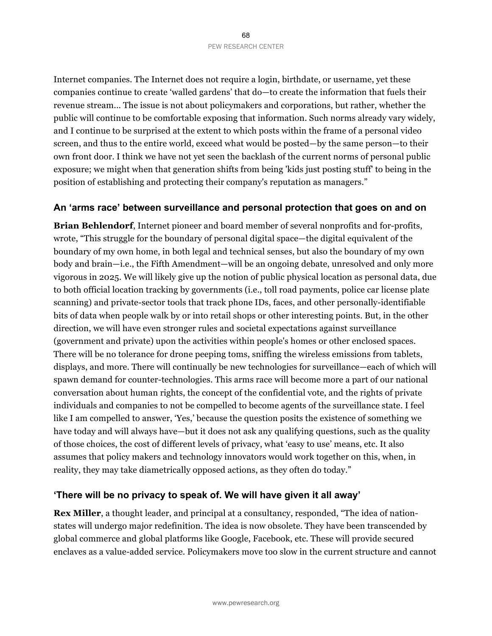Internet companies. The Internet does not require a login, birthdate, or username, yet these companies continue to create 'walled gardens' that do—to create the information that fuels their revenue stream... The issue is not about policymakers and corporations, but rather, whether the public will continue to be comfortable exposing that information. Such norms already vary widely, and I continue to be surprised at the extent to which posts within the frame of a personal video screen, and thus to the entire world, exceed what would be posted—by the same person—to their own front door. I think we have not yet seen the backlash of the current norms of personal public exposure; we might when that generation shifts from being 'kids just posting stuff' to being in the position of establishing and protecting their company's reputation as managers."

#### **An 'arms race' between surveillance and personal protection that goes on and on**

**Brian Behlendorf**, Internet pioneer and board member of several nonprofits and for-profits, wrote, "This struggle for the boundary of personal digital space—the digital equivalent of the boundary of my own home, in both legal and technical senses, but also the boundary of my own body and brain—i.e., the Fifth Amendment—will be an ongoing debate, unresolved and only more vigorous in 2025. We will likely give up the notion of public physical location as personal data, due to both official location tracking by governments (i.e., toll road payments, police car license plate scanning) and private-sector tools that track phone IDs, faces, and other personally-identifiable bits of data when people walk by or into retail shops or other interesting points. But, in the other direction, we will have even stronger rules and societal expectations against surveillance (government and private) upon the activities within people's homes or other enclosed spaces. There will be no tolerance for drone peeping toms, sniffing the wireless emissions from tablets, displays, and more. There will continually be new technologies for surveillance—each of which will spawn demand for counter-technologies. This arms race will become more a part of our national conversation about human rights, the concept of the confidential vote, and the rights of private individuals and companies to not be compelled to become agents of the surveillance state. I feel like I am compelled to answer, 'Yes,' because the question posits the existence of something we have today and will always have—but it does not ask any qualifying questions, such as the quality of those choices, the cost of different levels of privacy, what 'easy to use' means, etc. It also assumes that policy makers and technology innovators would work together on this, when, in reality, they may take diametrically opposed actions, as they often do today."

#### **'There will be no privacy to speak of. We will have given it all away'**

**Rex Miller**, a thought leader, and principal at a consultancy, responded, "The idea of nationstates will undergo major redefinition. The idea is now obsolete. They have been transcended by global commerce and global platforms like Google, Facebook, etc. These will provide secured enclaves as a value-added service. Policymakers move too slow in the current structure and cannot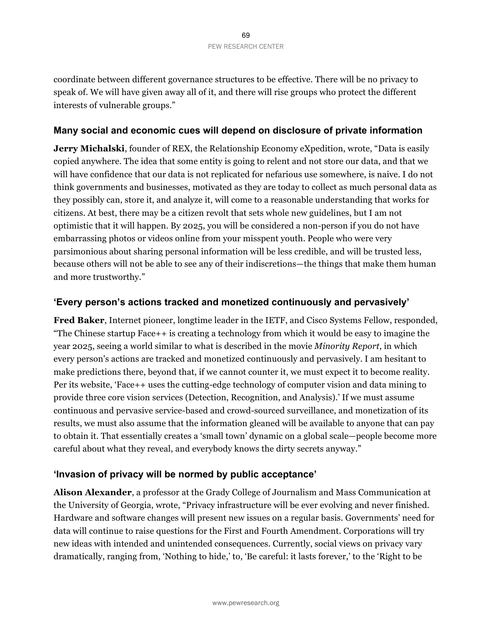coordinate between different governance structures to be effective. There will be no privacy to speak of. We will have given away all of it, and there will rise groups who protect the different interests of vulnerable groups."

#### **Many social and economic cues will depend on disclosure of private information**

**Jerry Michalski**, founder of REX, the Relationship Economy eXpedition, wrote, "Data is easily copied anywhere. The idea that some entity is going to relent and not store our data, and that we will have confidence that our data is not replicated for nefarious use somewhere, is naive. I do not think governments and businesses, motivated as they are today to collect as much personal data as they possibly can, store it, and analyze it, will come to a reasonable understanding that works for citizens. At best, there may be a citizen revolt that sets whole new guidelines, but I am not optimistic that it will happen. By 2025, you will be considered a non-person if you do not have embarrassing photos or videos online from your misspent youth. People who were very parsimonious about sharing personal information will be less credible, and will be trusted less, because others will not be able to see any of their indiscretions—the things that make them human and more trustworthy."

#### **'Every person's actions tracked and monetized continuously and pervasively'**

**Fred Baker**, Internet pioneer, longtime leader in the IETF, and Cisco Systems Fellow, responded, "The Chinese startup Face++ is creating a technology from which it would be easy to imagine the year 2025, seeing a world similar to what is described in the movie *Minority Report*, in which every person's actions are tracked and monetized continuously and pervasively. I am hesitant to make predictions there, beyond that, if we cannot counter it, we must expect it to become reality. Per its website, 'Face++ uses the cutting-edge technology of computer vision and data mining to provide three core vision services (Detection, Recognition, and Analysis).' If we must assume continuous and pervasive service-based and crowd-sourced surveillance, and monetization of its results, we must also assume that the information gleaned will be available to anyone that can pay to obtain it. That essentially creates a 'small town' dynamic on a global scale—people become more careful about what they reveal, and everybody knows the dirty secrets anyway."

#### **'Invasion of privacy will be normed by public acceptance'**

**Alison Alexander**, a professor at the Grady College of Journalism and Mass Communication at the University of Georgia, wrote, "Privacy infrastructure will be ever evolving and never finished. Hardware and software changes will present new issues on a regular basis. Governments' need for data will continue to raise questions for the First and Fourth Amendment. Corporations will try new ideas with intended and unintended consequences. Currently, social views on privacy vary dramatically, ranging from, 'Nothing to hide,' to, 'Be careful: it lasts forever,' to the 'Right to be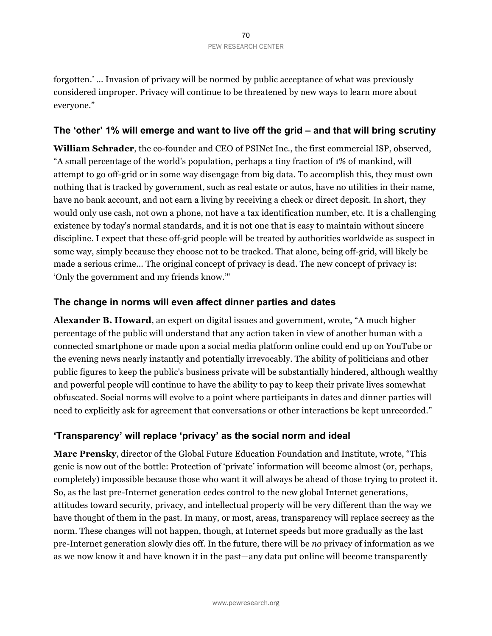forgotten.' ... Invasion of privacy will be normed by public acceptance of what was previously considered improper. Privacy will continue to be threatened by new ways to learn more about everyone."

#### **The 'other' 1% will emerge and want to live off the grid – and that will bring scrutiny**

**William Schrader**, the co-founder and CEO of PSINet Inc., the first commercial ISP, observed, "A small percentage of the world's population, perhaps a tiny fraction of 1% of mankind, will attempt to go off-grid or in some way disengage from big data. To accomplish this, they must own nothing that is tracked by government, such as real estate or autos, have no utilities in their name, have no bank account, and not earn a living by receiving a check or direct deposit. In short, they would only use cash, not own a phone, not have a tax identification number, etc. It is a challenging existence by today's normal standards, and it is not one that is easy to maintain without sincere discipline. I expect that these off-grid people will be treated by authorities worldwide as suspect in some way, simply because they choose not to be tracked. That alone, being off-grid, will likely be made a serious crime... The original concept of privacy is dead. The new concept of privacy is: 'Only the government and my friends know.'"

#### **The change in norms will even affect dinner parties and dates**

**Alexander B. Howard**, an expert on digital issues and government, wrote, "A much higher percentage of the public will understand that any action taken in view of another human with a connected smartphone or made upon a social media platform online could end up on YouTube or the evening news nearly instantly and potentially irrevocably. The ability of politicians and other public figures to keep the public's business private will be substantially hindered, although wealthy and powerful people will continue to have the ability to pay to keep their private lives somewhat obfuscated. Social norms will evolve to a point where participants in dates and dinner parties will need to explicitly ask for agreement that conversations or other interactions be kept unrecorded."

## **'Transparency' will replace 'privacy' as the social norm and ideal**

**Marc Prensky**, director of the Global Future Education Foundation and Institute, wrote, "This genie is now out of the bottle: Protection of 'private' information will become almost (or, perhaps, completely) impossible because those who want it will always be ahead of those trying to protect it. So, as the last pre-Internet generation cedes control to the new global Internet generations, attitudes toward security, privacy, and intellectual property will be very different than the way we have thought of them in the past. In many, or most, areas, transparency will replace secrecy as the norm. These changes will not happen, though, at Internet speeds but more gradually as the last pre-Internet generation slowly dies off. In the future, there will be *no* privacy of information as we as we now know it and have known it in the past—any data put online will become transparently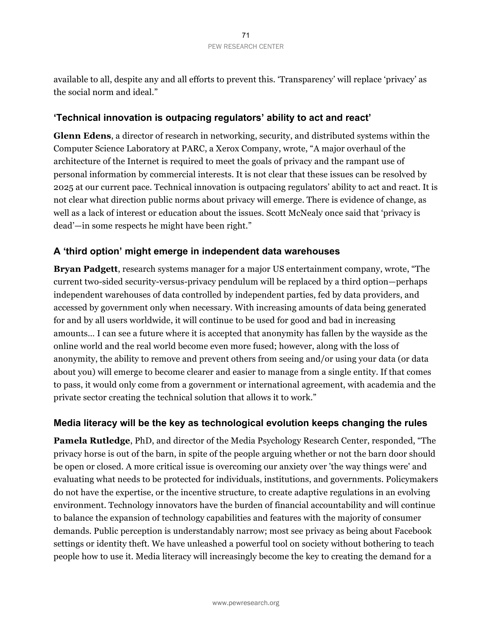available to all, despite any and all efforts to prevent this. 'Transparency' will replace 'privacy' as the social norm and ideal."

### **'Technical innovation is outpacing regulators' ability to act and react'**

**Glenn Edens**, a director of research in networking, security, and distributed systems within the Computer Science Laboratory at PARC, a Xerox Company, wrote, "A major overhaul of the architecture of the Internet is required to meet the goals of privacy and the rampant use of personal information by commercial interests. It is not clear that these issues can be resolved by 2025 at our current pace. Technical innovation is outpacing regulators' ability to act and react. It is not clear what direction public norms about privacy will emerge. There is evidence of change, as well as a lack of interest or education about the issues. Scott McNealy once said that 'privacy is dead'—in some respects he might have been right."

## **A 'third option' might emerge in independent data warehouses**

**Bryan Padgett**, research systems manager for a major US entertainment company, wrote, "The current two-sided security-versus-privacy pendulum will be replaced by a third option—perhaps independent warehouses of data controlled by independent parties, fed by data providers, and accessed by government only when necessary. With increasing amounts of data being generated for and by all users worldwide, it will continue to be used for good and bad in increasing amounts… I can see a future where it is accepted that anonymity has fallen by the wayside as the online world and the real world become even more fused; however, along with the loss of anonymity, the ability to remove and prevent others from seeing and/or using your data (or data about you) will emerge to become clearer and easier to manage from a single entity. If that comes to pass, it would only come from a government or international agreement, with academia and the private sector creating the technical solution that allows it to work."

#### **Media literacy will be the key as technological evolution keeps changing the rules**

**Pamela Rutledge**, PhD, and director of the Media Psychology Research Center, responded, "The privacy horse is out of the barn, in spite of the people arguing whether or not the barn door should be open or closed. A more critical issue is overcoming our anxiety over 'the way things were' and evaluating what needs to be protected for individuals, institutions, and governments. Policymakers do not have the expertise, or the incentive structure, to create adaptive regulations in an evolving environment. Technology innovators have the burden of financial accountability and will continue to balance the expansion of technology capabilities and features with the majority of consumer demands. Public perception is understandably narrow; most see privacy as being about Facebook settings or identity theft. We have unleashed a powerful tool on society without bothering to teach people how to use it. Media literacy will increasingly become the key to creating the demand for a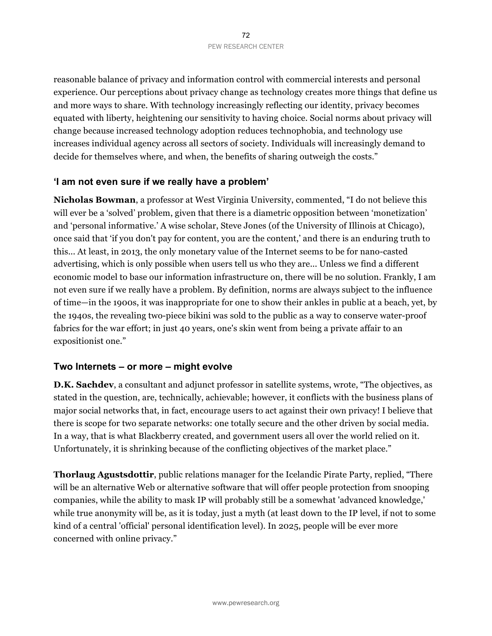reasonable balance of privacy and information control with commercial interests and personal experience. Our perceptions about privacy change as technology creates more things that define us and more ways to share. With technology increasingly reflecting our identity, privacy becomes equated with liberty, heightening our sensitivity to having choice. Social norms about privacy will change because increased technology adoption reduces technophobia, and technology use increases individual agency across all sectors of society. Individuals will increasingly demand to decide for themselves where, and when, the benefits of sharing outweigh the costs."

#### **'I am not even sure if we really have a problem'**

**Nicholas Bowman**, a professor at West Virginia University, commented, "I do not believe this will ever be a 'solved' problem, given that there is a diametric opposition between 'monetization' and 'personal informative.' A wise scholar, Steve Jones (of the University of Illinois at Chicago), once said that 'if you don't pay for content, you are the content,' and there is an enduring truth to this... At least, in 2013, the only monetary value of the Internet seems to be for nano-casted advertising, which is only possible when users tell us who they are... Unless we find a different economic model to base our information infrastructure on, there will be no solution. Frankly, I am not even sure if we really have a problem. By definition, norms are always subject to the influence of time—in the 1900s, it was inappropriate for one to show their ankles in public at a beach, yet, by the 1940s, the revealing two-piece bikini was sold to the public as a way to conserve water-proof fabrics for the war effort; in just 40 years, one's skin went from being a private affair to an expositionist one."

#### **Two Internets – or more – might evolve**

**D.K. Sachdev**, a consultant and adjunct professor in satellite systems, wrote, "The objectives, as stated in the question, are, technically, achievable; however, it conflicts with the business plans of major social networks that, in fact, encourage users to act against their own privacy! I believe that there is scope for two separate networks: one totally secure and the other driven by social media. In a way, that is what Blackberry created, and government users all over the world relied on it. Unfortunately, it is shrinking because of the conflicting objectives of the market place."

**Thorlaug Agustsdottir**, public relations manager for the Icelandic Pirate Party, replied, "There will be an alternative Web or alternative software that will offer people protection from snooping companies, while the ability to mask IP will probably still be a somewhat 'advanced knowledge,' while true anonymity will be, as it is today, just a myth (at least down to the IP level, if not to some kind of a central 'official' personal identification level). In 2025, people will be ever more concerned with online privacy."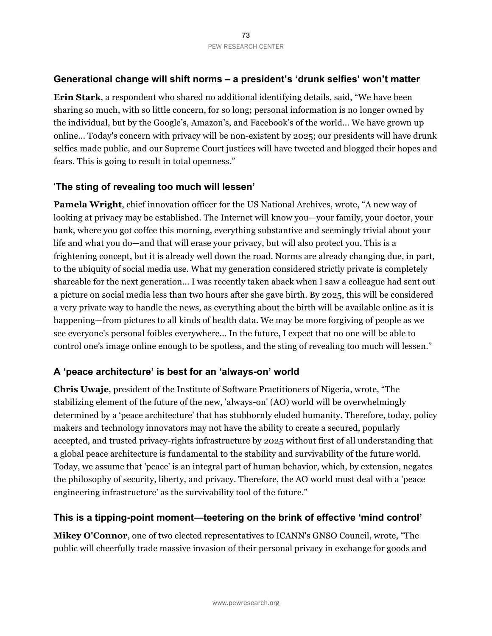# **Generational change will shift norms – a president's 'drunk selfies' won't matter**

**Erin Stark**, a respondent who shared no additional identifying details, said, "We have been sharing so much, with so little concern, for so long; personal information is no longer owned by the individual, but by the Google's, Amazon's, and Facebook's of the world... We have grown up online... Today's concern with privacy will be non-existent by 2025; our presidents will have drunk selfies made public, and our Supreme Court justices will have tweeted and blogged their hopes and fears. This is going to result in total openness."

# '**The sting of revealing too much will lessen'**

**Pamela Wright**, chief innovation officer for the US National Archives, wrote, "A new way of looking at privacy may be established. The Internet will know you—your family, your doctor, your bank, where you got coffee this morning, everything substantive and seemingly trivial about your life and what you do—and that will erase your privacy, but will also protect you. This is a frightening concept, but it is already well down the road. Norms are already changing due, in part, to the ubiquity of social media use. What my generation considered strictly private is completely shareable for the next generation... I was recently taken aback when I saw a colleague had sent out a picture on social media less than two hours after she gave birth. By 2025, this will be considered a very private way to handle the news, as everything about the birth will be available online as it is happening—from pictures to all kinds of health data. We may be more forgiving of people as we see everyone's personal foibles everywhere... In the future, I expect that no one will be able to control one's image online enough to be spotless, and the sting of revealing too much will lessen."

# **A 'peace architecture' is best for an 'always-on' world**

**Chris Uwaje**, president of the Institute of Software Practitioners of Nigeria, wrote, "The stabilizing element of the future of the new, 'always-on' (AO) world will be overwhelmingly determined by a 'peace architecture' that has stubbornly eluded humanity. Therefore, today, policy makers and technology innovators may not have the ability to create a secured, popularly accepted, and trusted privacy-rights infrastructure by 2025 without first of all understanding that a global peace architecture is fundamental to the stability and survivability of the future world. Today, we assume that 'peace' is an integral part of human behavior, which, by extension, negates the philosophy of security, liberty, and privacy. Therefore, the AO world must deal with a 'peace engineering infrastructure' as the survivability tool of the future."

# **This is a tipping-point moment—teetering on the brink of effective 'mind control'**

**Mikey O'Connor**, one of two elected representatives to ICANN's GNSO Council, wrote, "The public will cheerfully trade massive invasion of their personal privacy in exchange for goods and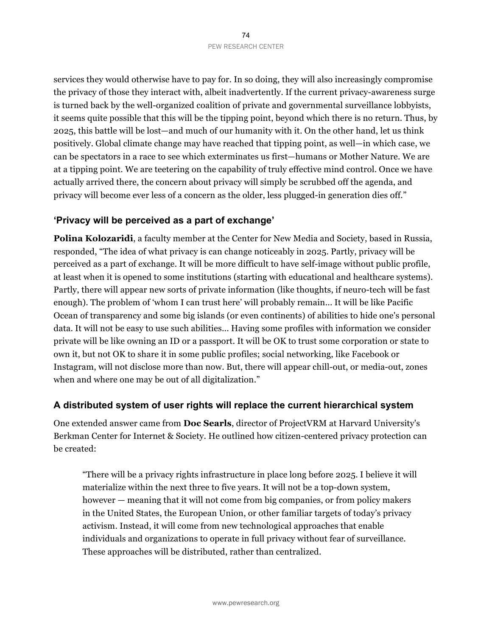services they would otherwise have to pay for. In so doing, they will also increasingly compromise the privacy of those they interact with, albeit inadvertently. If the current privacy-awareness surge is turned back by the well-organized coalition of private and governmental surveillance lobbyists, it seems quite possible that this will be the tipping point, beyond which there is no return. Thus, by 2025, this battle will be lost—and much of our humanity with it. On the other hand, let us think positively. Global climate change may have reached that tipping point, as well—in which case, we can be spectators in a race to see which exterminates us first—humans or Mother Nature. We are at a tipping point. We are teetering on the capability of truly effective mind control. Once we have actually arrived there, the concern about privacy will simply be scrubbed off the agenda, and privacy will become ever less of a concern as the older, less plugged-in generation dies off."

#### **'Privacy will be perceived as a part of exchange'**

**Polina Kolozaridi**, a faculty member at the Center for New Media and Society, based in Russia, responded, "The idea of what privacy is can change noticeably in 2025. Partly, privacy will be perceived as a part of exchange. It will be more difficult to have self-image without public profile, at least when it is opened to some institutions (starting with educational and healthcare systems). Partly, there will appear new sorts of private information (like thoughts, if neuro-tech will be fast enough). The problem of 'whom I can trust here' will probably remain... It will be like Pacific Ocean of transparency and some big islands (or even continents) of abilities to hide one's personal data. It will not be easy to use such abilities... Having some profiles with information we consider private will be like owning an ID or a passport. It will be OK to trust some corporation or state to own it, but not OK to share it in some public profiles; social networking, like Facebook or Instagram, will not disclose more than now. But, there will appear chill-out, or media-out, zones when and where one may be out of all digitalization."

#### **A distributed system of user rights will replace the current hierarchical system**

One extended answer came from **Doc Searls**, director of ProjectVRM at Harvard University's Berkman Center for Internet & Society. He outlined how citizen-centered privacy protection can be created:

"There will be a privacy rights infrastructure in place long before 2025. I believe it will materialize within the next three to five years. It will not be a top-down system, however — meaning that it will not come from big companies, or from policy makers in the United States, the European Union, or other familiar targets of today's privacy activism. Instead, it will come from new technological approaches that enable individuals and organizations to operate in full privacy without fear of surveillance. These approaches will be distributed, rather than centralized.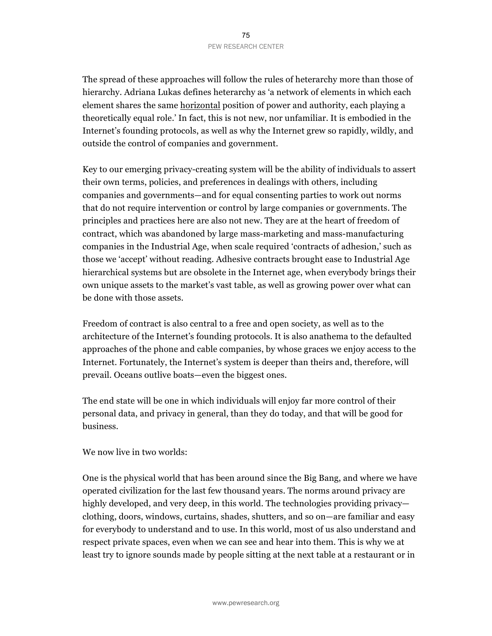The spread of these approaches will follow the rules of heterarchy more than those of hierarchy. Adriana Lukas defines heterarchy as 'a network of elements in which each element shares the same horizontal position of power and authority, each playing a theoretically equal role.' In fact, this is not new, nor unfamiliar. It is embodied in the Internet's founding protocols, as well as why the Internet grew so rapidly, wildly, and outside the control of companies and government.

Key to our emerging privacy-creating system will be the ability of individuals to assert their own terms, policies, and preferences in dealings with others, including companies and governments—and for equal consenting parties to work out norms that do not require intervention or control by large companies or governments. The principles and practices here are also not new. They are at the heart of freedom of contract, which was abandoned by large mass-marketing and mass-manufacturing companies in the Industrial Age, when scale required 'contracts of adhesion,' such as those we 'accept' without reading. Adhesive contracts brought ease to Industrial Age hierarchical systems but are obsolete in the Internet age, when everybody brings their own unique assets to the market's vast table, as well as growing power over what can be done with those assets.

Freedom of contract is also central to a free and open society, as well as to the architecture of the Internet's founding protocols. It is also anathema to the defaulted approaches of the phone and cable companies, by whose graces we enjoy access to the Internet. Fortunately, the Internet's system is deeper than theirs and, therefore, will prevail. Oceans outlive boats—even the biggest ones.

The end state will be one in which individuals will enjoy far more control of their personal data, and privacy in general, than they do today, and that will be good for business.

We now live in two worlds:

One is the physical world that has been around since the Big Bang, and where we have operated civilization for the last few thousand years. The norms around privacy are highly developed, and very deep, in this world. The technologies providing privacy clothing, doors, windows, curtains, shades, shutters, and so on—are familiar and easy for everybody to understand and to use. In this world, most of us also understand and respect private spaces, even when we can see and hear into them. This is why we at least try to ignore sounds made by people sitting at the next table at a restaurant or in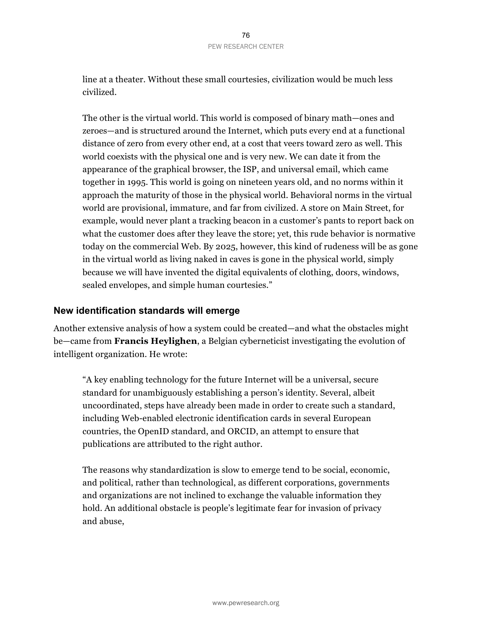line at a theater. Without these small courtesies, civilization would be much less civilized.

The other is the virtual world. This world is composed of binary math—ones and zeroes—and is structured around the Internet, which puts every end at a functional distance of zero from every other end, at a cost that veers toward zero as well. This world coexists with the physical one and is very new. We can date it from the appearance of the graphical browser, the ISP, and universal email, which came together in 1995. This world is going on nineteen years old, and no norms within it approach the maturity of those in the physical world. Behavioral norms in the virtual world are provisional, immature, and far from civilized. A store on Main Street, for example, would never plant a tracking beacon in a customer's pants to report back on what the customer does after they leave the store; yet, this rude behavior is normative today on the commercial Web. By 2025, however, this kind of rudeness will be as gone in the virtual world as living naked in caves is gone in the physical world, simply because we will have invented the digital equivalents of clothing, doors, windows, sealed envelopes, and simple human courtesies."

#### **New identification standards will emerge**

Another extensive analysis of how a system could be created—and what the obstacles might be—came from **Francis Heylighen**, a Belgian cyberneticist investigating the evolution of intelligent organization. He wrote:

"A key enabling technology for the future Internet will be a universal, secure standard for unambiguously establishing a person's identity. Several, albeit uncoordinated, steps have already been made in order to create such a standard, including Web-enabled electronic identification cards in several European countries, the OpenID standard, and ORCID, an attempt to ensure that publications are attributed to the right author.

The reasons why standardization is slow to emerge tend to be social, economic, and political, rather than technological, as different corporations, governments and organizations are not inclined to exchange the valuable information they hold. An additional obstacle is people's legitimate fear for invasion of privacy and abuse,